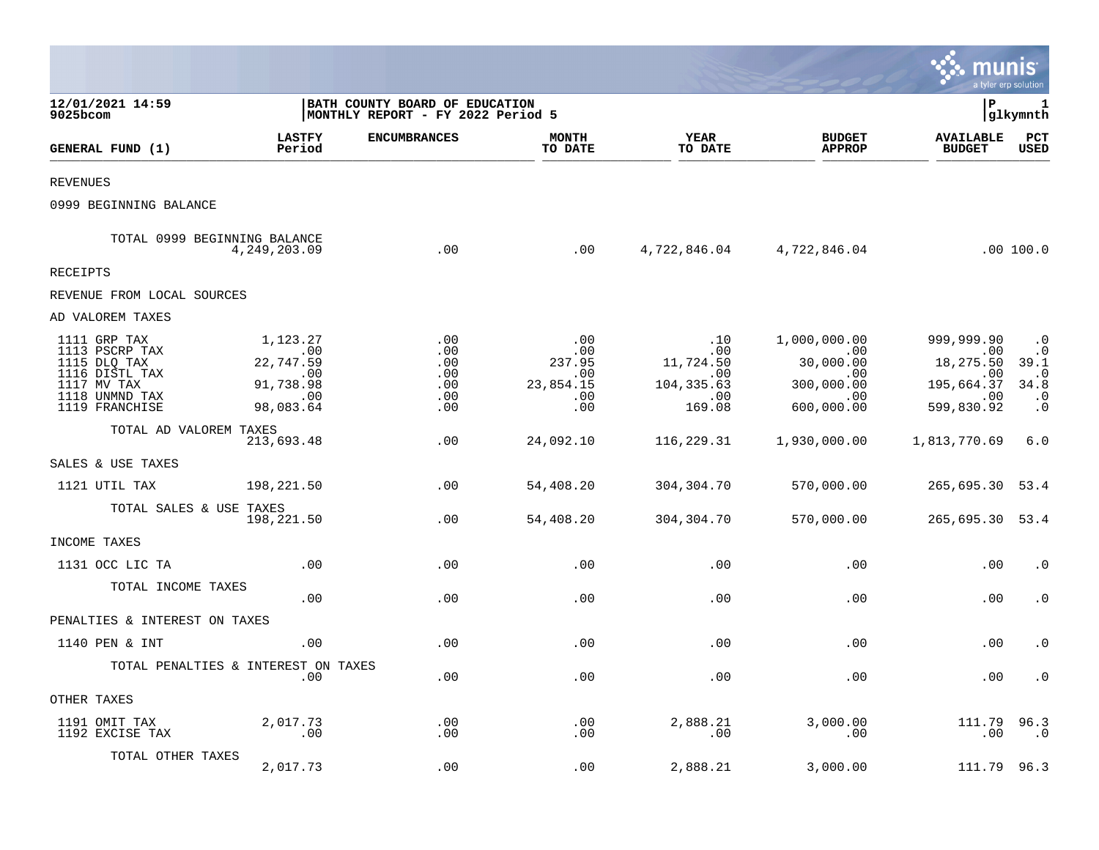|                                                                                                                     |                                                                            |                                                                     |                                                        |                                                                |                                                                            | munis                                                                    | a tyler erp solution                                                          |
|---------------------------------------------------------------------------------------------------------------------|----------------------------------------------------------------------------|---------------------------------------------------------------------|--------------------------------------------------------|----------------------------------------------------------------|----------------------------------------------------------------------------|--------------------------------------------------------------------------|-------------------------------------------------------------------------------|
| 12/01/2021 14:59<br>9025bcom                                                                                        |                                                                            | BATH COUNTY BOARD OF EDUCATION<br>MONTHLY REPORT - FY 2022 Period 5 |                                                        |                                                                |                                                                            | l P                                                                      | 1<br> glkymnth                                                                |
| GENERAL FUND (1)                                                                                                    | <b>LASTFY</b><br>Period                                                    | <b>ENCUMBRANCES</b>                                                 | <b>MONTH</b><br>TO DATE                                | YEAR<br>TO DATE                                                | <b>BUDGET</b><br><b>APPROP</b>                                             | <b>AVAILABLE</b><br><b>BUDGET</b>                                        | PCT<br><b>USED</b>                                                            |
| <b>REVENUES</b>                                                                                                     |                                                                            |                                                                     |                                                        |                                                                |                                                                            |                                                                          |                                                                               |
| 0999 BEGINNING BALANCE                                                                                              |                                                                            |                                                                     |                                                        |                                                                |                                                                            |                                                                          |                                                                               |
|                                                                                                                     | TOTAL 0999 BEGINNING BALANCE<br>4,249,203.09                               | .00                                                                 | .00                                                    |                                                                | 4,722,846.04 4,722,846.04                                                  |                                                                          | .00 100.0                                                                     |
| <b>RECEIPTS</b>                                                                                                     |                                                                            |                                                                     |                                                        |                                                                |                                                                            |                                                                          |                                                                               |
| REVENUE FROM LOCAL SOURCES                                                                                          |                                                                            |                                                                     |                                                        |                                                                |                                                                            |                                                                          |                                                                               |
| AD VALOREM TAXES                                                                                                    |                                                                            |                                                                     |                                                        |                                                                |                                                                            |                                                                          |                                                                               |
| 1111 GRP TAX<br>1113 PSCRP TAX<br>1115 DLQ TAX<br>1116 DISTL TAX<br>1117 MV TAX<br>1118 UNMND TAX<br>1119 FRANCHISE | 1,123.27<br>.00<br>22,747.59<br>$\sim$ 00<br>91,738.98<br>.00<br>98,083.64 | .00<br>.00<br>.00<br>.00<br>.00<br>.00<br>.00                       | .00<br>.00<br>237.95<br>.00<br>23,854.15<br>.00<br>.00 | .10<br>.00<br>11,724.50<br>.00<br>104, 335.63<br>.00<br>169.08 | 1,000,000.00<br>.00<br>30,000.00<br>.00<br>300,000.00<br>.00<br>600,000.00 | 999,999.90<br>.00<br>18,275.50<br>.00<br>195,664.37<br>.00<br>599,830.92 | $\cdot$ 0<br>$\cdot$ 0<br>39.1<br>$\cdot$ 0<br>34.8<br>$\cdot$ 0<br>$\cdot$ 0 |
| TOTAL AD VALOREM TAXES                                                                                              | 213,693.48                                                                 | .00                                                                 | 24,092.10                                              | 116,229.31                                                     | 1,930,000.00                                                               | 1,813,770.69                                                             | 6.0                                                                           |
| SALES & USE TAXES                                                                                                   |                                                                            |                                                                     |                                                        |                                                                |                                                                            |                                                                          |                                                                               |
| 1121 UTIL TAX                                                                                                       | 198,221.50                                                                 | .00                                                                 | 54,408.20                                              | 304,304.70                                                     | 570,000.00                                                                 | 265,695.30 53.4                                                          |                                                                               |
| TOTAL SALES & USE TAXES                                                                                             | 198,221.50                                                                 | .00                                                                 | 54,408.20                                              | 304,304.70                                                     | 570,000.00                                                                 | 265,695.30 53.4                                                          |                                                                               |
| INCOME TAXES                                                                                                        |                                                                            |                                                                     |                                                        |                                                                |                                                                            |                                                                          |                                                                               |
| 1131 OCC LIC TA                                                                                                     | .00                                                                        | .00                                                                 | .00                                                    | .00                                                            | .00                                                                        | .00                                                                      | $\cdot$ 0                                                                     |
| TOTAL INCOME TAXES                                                                                                  | .00                                                                        | .00                                                                 | .00                                                    | .00                                                            | .00                                                                        | .00                                                                      | $\cdot$ 0                                                                     |
| PENALTIES & INTEREST ON TAXES                                                                                       |                                                                            |                                                                     |                                                        |                                                                |                                                                            |                                                                          |                                                                               |
| 1140 PEN & INT                                                                                                      | .00                                                                        | .00                                                                 | .00                                                    | .00                                                            | .00                                                                        | .00                                                                      | $\cdot$ 0                                                                     |
|                                                                                                                     | TOTAL PENALTIES & INTEREST ON TAXES<br>.00                                 | .00                                                                 | .00                                                    | .00                                                            | .00                                                                        | .00                                                                      | $\cdot$ 0                                                                     |
| OTHER TAXES                                                                                                         |                                                                            |                                                                     |                                                        |                                                                |                                                                            |                                                                          |                                                                               |
| 1191 OMIT TAX<br>1192 EXCISE TAX                                                                                    | 2,017.73<br>.00                                                            | .00<br>.00                                                          | .00<br>.00                                             | 2,888.21<br>.00                                                | 3,000.00<br>.00                                                            | 111.79<br>.00                                                            | 96.3<br>$\cdot$ . $0$                                                         |
| TOTAL OTHER TAXES                                                                                                   | 2,017.73                                                                   | .00                                                                 | .00                                                    | 2,888.21                                                       | 3,000.00                                                                   | 111.79                                                                   | 96.3                                                                          |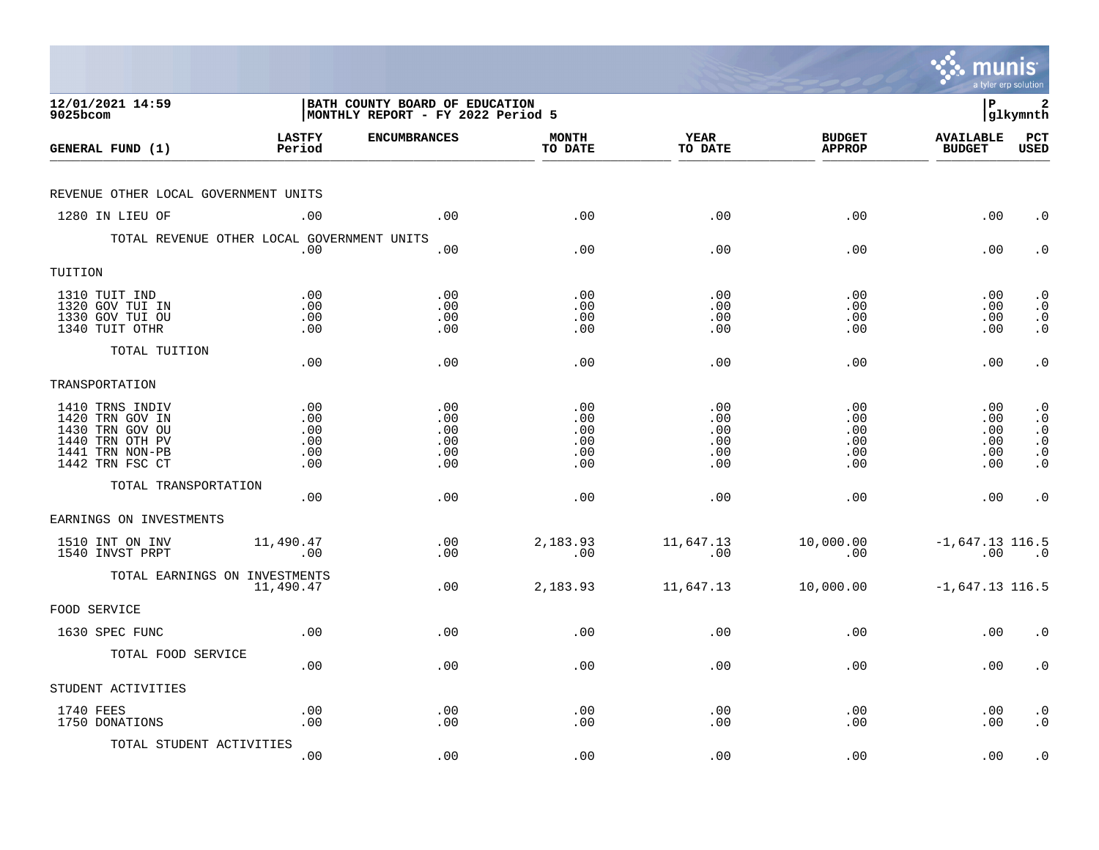|                                                                                                                |                                        |                                                                            |                                        |                                        |                                        | munis                                   | a tyler erp solution                                                              |
|----------------------------------------------------------------------------------------------------------------|----------------------------------------|----------------------------------------------------------------------------|----------------------------------------|----------------------------------------|----------------------------------------|-----------------------------------------|-----------------------------------------------------------------------------------|
| 12/01/2021 14:59<br>9025bcom                                                                                   |                                        | <b>BATH COUNTY BOARD OF EDUCATION</b><br>MONTHLY REPORT - FY 2022 Period 5 |                                        |                                        |                                        | l P                                     | 2<br> glkymnth                                                                    |
| GENERAL FUND (1)                                                                                               | <b>LASTFY</b><br>Period                | <b>ENCUMBRANCES</b>                                                        | <b>MONTH</b><br>TO DATE                | <b>YEAR</b><br>TO DATE                 | <b>BUDGET</b><br><b>APPROP</b>         | <b>AVAILABLE</b><br><b>BUDGET</b>       | PCT<br><b>USED</b>                                                                |
| REVENUE OTHER LOCAL GOVERNMENT UNITS                                                                           |                                        |                                                                            |                                        |                                        |                                        |                                         |                                                                                   |
| 1280 IN LIEU OF                                                                                                | .00                                    | .00                                                                        | .00                                    | .00                                    | .00                                    | .00                                     | $\cdot$ 0                                                                         |
| TOTAL REVENUE OTHER LOCAL GOVERNMENT UNITS                                                                     | .00                                    | .00                                                                        | .00                                    | .00                                    | .00                                    | .00                                     | $\cdot$ 0                                                                         |
| TUITION                                                                                                        |                                        |                                                                            |                                        |                                        |                                        |                                         |                                                                                   |
| 1310 TUIT IND<br>1320 GOV TUI IN<br>1330 GOV TUI OU<br>1340 TUIT OTHR                                          | .00<br>.00<br>.00<br>.00               | .00<br>.00<br>.00<br>.00                                                   | .00<br>.00<br>.00<br>.00               | .00<br>.00<br>.00<br>.00               | .00<br>.00<br>.00<br>.00               | $.00 \,$<br>$.00 \,$<br>.00<br>$.00 \,$ | $\cdot$ 0<br>$\cdot$ 0<br>$\begin{smallmatrix} 0 \\ 0 \\ 0 \end{smallmatrix}$     |
| TOTAL TUITION                                                                                                  | .00                                    | .00                                                                        | .00                                    | .00                                    | .00                                    | .00                                     | $\cdot$ 0                                                                         |
| TRANSPORTATION                                                                                                 |                                        |                                                                            |                                        |                                        |                                        |                                         |                                                                                   |
| 1410 TRNS INDIV<br>1420 TRN GOV IN<br>1430 TRN GOV OU<br>1440 TRN OTH PV<br>1441 TRN NON-PB<br>1442 TRN FSC CT | .00<br>.00<br>.00<br>.00<br>.00<br>.00 | .00<br>.00<br>.00<br>.00<br>.00<br>.00                                     | .00<br>.00<br>.00<br>.00<br>.00<br>.00 | .00<br>.00<br>.00<br>.00<br>.00<br>.00 | .00<br>.00<br>.00<br>.00<br>.00<br>.00 | .00<br>.00<br>.00<br>.00<br>.00<br>.00  | $\cdot$ 0<br>$\cdot$ 0<br>$\cdot$ 0<br>$\overline{0}$ .<br>$\cdot$ 0<br>$\cdot$ 0 |
| TOTAL TRANSPORTATION                                                                                           | .00                                    | .00                                                                        | .00                                    | .00                                    | .00                                    | .00                                     | $\cdot$ 0                                                                         |
| EARNINGS ON INVESTMENTS                                                                                        |                                        |                                                                            |                                        |                                        |                                        |                                         |                                                                                   |
| 1510 INT ON INV<br>1540 INVST PRPT                                                                             | 11,490.47<br>.00                       | .00<br>.00                                                                 | 2,183.93<br>.00                        | 11,647.13<br>.00                       | 10,000.00<br>.00                       | $-1,647.13$ 116.5<br>.00                | $\overline{\phantom{0}}$ .0                                                       |
| TOTAL EARNINGS ON INVESTMENTS                                                                                  | 11,490.47                              | .00                                                                        | 2,183.93                               | 11,647.13                              | 10,000.00                              | $-1,647.13$ 116.5                       |                                                                                   |
| FOOD SERVICE                                                                                                   |                                        |                                                                            |                                        |                                        |                                        |                                         |                                                                                   |
| 1630 SPEC FUNC                                                                                                 | .00                                    | .00                                                                        | .00                                    | .00                                    | .00                                    | .00                                     | $\cdot$ 0                                                                         |
| TOTAL FOOD SERVICE                                                                                             | .00                                    | .00                                                                        | .00                                    | .00                                    | .00                                    | $.00 \,$                                | $\cdot$ 0                                                                         |
| STUDENT ACTIVITIES                                                                                             |                                        |                                                                            |                                        |                                        |                                        |                                         |                                                                                   |
| 1740 FEES<br>1750 DONATIONS                                                                                    | .00<br>.00                             | .00<br>.00                                                                 | .00<br>.00                             | .00<br>.00                             | .00<br>.00                             | $.00 \,$<br>.00                         | $\cdot$ 0<br>$\cdot$ 0                                                            |
| TOTAL STUDENT ACTIVITIES                                                                                       | .00                                    | .00                                                                        | .00                                    | .00                                    | .00                                    | .00                                     | $\cdot$ 0                                                                         |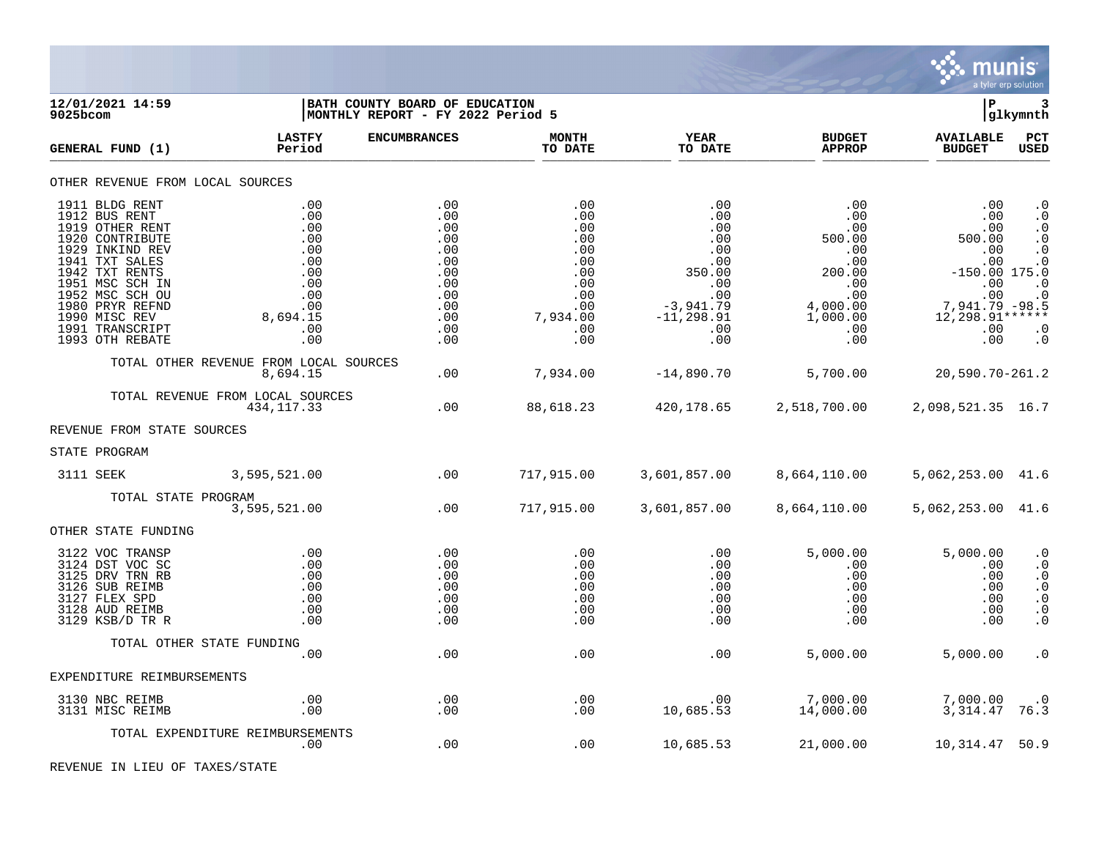

| 9025bcom | 12/01/2021 14:59                                                                                                                                                                                                                             |                                                                                              | BATH COUNTY BOARD OF EDUCATION<br> MONTHLY REPORT - FY 2022 Period 5                    |                                                                                              |                                                                                                                   |                                                                                                         | lР                                                                                                                            | 3<br> glkymnth                                                                                                                 |
|----------|----------------------------------------------------------------------------------------------------------------------------------------------------------------------------------------------------------------------------------------------|----------------------------------------------------------------------------------------------|-----------------------------------------------------------------------------------------|----------------------------------------------------------------------------------------------|-------------------------------------------------------------------------------------------------------------------|---------------------------------------------------------------------------------------------------------|-------------------------------------------------------------------------------------------------------------------------------|--------------------------------------------------------------------------------------------------------------------------------|
|          | GENERAL FUND (1)                                                                                                                                                                                                                             | <b>LASTFY</b><br>Period                                                                      | <b>ENCUMBRANCES</b>                                                                     | <b>MONTH</b><br>TO DATE                                                                      | <b>YEAR</b><br>TO DATE                                                                                            | <b>BUDGET</b><br><b>APPROP</b>                                                                          | <b>AVAILABLE</b><br><b>BUDGET</b>                                                                                             | PCT<br><b>USED</b>                                                                                                             |
|          | OTHER REVENUE FROM LOCAL SOURCES                                                                                                                                                                                                             |                                                                                              |                                                                                         |                                                                                              |                                                                                                                   |                                                                                                         |                                                                                                                               |                                                                                                                                |
|          | 1911 BLDG RENT<br>1912 BUS RENT<br>1919 OTHER RENT<br>1920 CONTRIBUTE<br>1929 INKIND REV<br>1941 TXT SALES<br>1942 TXT RENTS<br>1951 MSC SCH IN<br>1952 MSC SCH OU<br>1980 PRYR REFND<br>1990 MISC REV<br>1991 TRANSCRIPT<br>1993 OTH REBATE | .00<br>.00<br>.00<br>.00<br>.00<br>.00<br>.00<br>.00<br>.00<br>.00<br>8,694.15<br>.00<br>.00 | .00<br>.00<br>.00<br>.00<br>.00<br>.00<br>.00<br>.00<br>.00<br>.00<br>.00<br>.00<br>.00 | .00<br>.00<br>.00<br>.00<br>.00<br>.00<br>.00<br>.00<br>.00<br>.00<br>7,934.00<br>.00<br>.00 | .00<br>.00<br>.00<br>.00<br>$.00 \,$<br>.00<br>350.00<br>.00<br>.00<br>$-3,941.79$<br>$-11, 298.91$<br>.00<br>.00 | .00<br>.00<br>.00<br>500.00<br>.00<br>.00<br>200.00<br>.00<br>.00<br>4,000.00<br>1,000.00<br>.00<br>.00 | .00<br>.00<br>.00<br>500.00<br>.00<br>.00<br>$-150.00$ 175.0<br>.00<br>.00<br>7,941.79 -98.5<br>12,298.91******<br>.00<br>.00 | $\cdot$ 0<br>$\cdot$ 0<br>$\cdot$ 0<br>$\cdot$ 0<br>$\cdot$ 0<br>$\cdot$ 0<br>$\cdot$ 0<br>$\cdot$ 0<br>$\cdot$ 0<br>$\cdot$ 0 |
|          |                                                                                                                                                                                                                                              | TOTAL OTHER REVENUE FROM LOCAL SOURCES<br>8,694.15                                           | .00                                                                                     | 7,934.00                                                                                     | $-14,890.70$                                                                                                      | 5,700.00                                                                                                | 20,590.70-261.2                                                                                                               |                                                                                                                                |
|          |                                                                                                                                                                                                                                              | TOTAL REVENUE FROM LOCAL SOURCES<br>434, 117. 33                                             | .00                                                                                     | 88,618.23                                                                                    | 420,178.65                                                                                                        | 2,518,700.00                                                                                            | 2,098,521.35 16.7                                                                                                             |                                                                                                                                |
|          | REVENUE FROM STATE SOURCES                                                                                                                                                                                                                   |                                                                                              |                                                                                         |                                                                                              |                                                                                                                   |                                                                                                         |                                                                                                                               |                                                                                                                                |
|          | STATE PROGRAM                                                                                                                                                                                                                                |                                                                                              |                                                                                         |                                                                                              |                                                                                                                   |                                                                                                         |                                                                                                                               |                                                                                                                                |
|          | 3111 SEEK                                                                                                                                                                                                                                    | 3,595,521.00                                                                                 | .00                                                                                     | 717,915.00                                                                                   | 3,601,857.00                                                                                                      | 8,664,110.00                                                                                            | 5,062,253.00 41.6                                                                                                             |                                                                                                                                |
|          | TOTAL STATE PROGRAM                                                                                                                                                                                                                          | 3,595,521.00                                                                                 | .00                                                                                     | 717,915.00                                                                                   | 3,601,857.00                                                                                                      | 8,664,110.00                                                                                            | 5,062,253.00 41.6                                                                                                             |                                                                                                                                |
|          | OTHER STATE FUNDING                                                                                                                                                                                                                          |                                                                                              |                                                                                         |                                                                                              |                                                                                                                   |                                                                                                         |                                                                                                                               |                                                                                                                                |
|          | 3122 VOC TRANSP<br>3124 DST VOC SC<br>3125 DRV TRN RB<br>3126 SUB REIMB<br>3127 FLEX SPD<br>3128 AUD REIMB<br>3129 KSB/D TR R                                                                                                                | .00<br>.00<br>.00<br>.00<br>.00<br>.00<br>.00                                                | .00<br>.00<br>.00<br>.00<br>.00<br>.00<br>.00                                           | .00<br>$.00 \,$<br>.00<br>.00<br>.00<br>.00<br>.00                                           | .00<br>.00<br>.00<br>.00<br>.00<br>.00<br>.00                                                                     | 5,000.00<br>.00<br>.00<br>$.00 \,$<br>.00<br>.00<br>.00                                                 | 5,000.00<br>.00<br>.00<br>.00<br>.00<br>.00<br>.00                                                                            | $\cdot$ 0<br>$\cdot$ 0<br>$\cdot$ 0<br>$\cdot$ 0<br>$\cdot$ 0<br>. $\boldsymbol{0}$<br>$\cdot$ 0                               |
|          | TOTAL OTHER STATE FUNDING                                                                                                                                                                                                                    |                                                                                              |                                                                                         |                                                                                              |                                                                                                                   |                                                                                                         |                                                                                                                               |                                                                                                                                |
|          | EXPENDITURE REIMBURSEMENTS                                                                                                                                                                                                                   | .00                                                                                          | .00                                                                                     | .00                                                                                          | .00                                                                                                               | 5,000.00                                                                                                | 5,000.00                                                                                                                      | $\cdot$ 0                                                                                                                      |
|          | 3130 NBC REIMB                                                                                                                                                                                                                               | .00                                                                                          | .00                                                                                     | .00                                                                                          | .00                                                                                                               | 7,000.00                                                                                                | 7,000.00                                                                                                                      | $\cdot$ 0                                                                                                                      |
|          | 3131 MISC REIMB                                                                                                                                                                                                                              | .00                                                                                          | .00                                                                                     | .00                                                                                          | 10,685.53                                                                                                         | 14,000.00                                                                                               | 3, 314.47                                                                                                                     | 76.3                                                                                                                           |
|          |                                                                                                                                                                                                                                              | TOTAL EXPENDITURE REIMBURSEMENTS<br>.00                                                      | .00                                                                                     | .00                                                                                          | 10,685.53                                                                                                         | 21,000.00                                                                                               | 10,314.47                                                                                                                     | 50.9                                                                                                                           |

REVENUE IN LIEU OF TAXES/STATE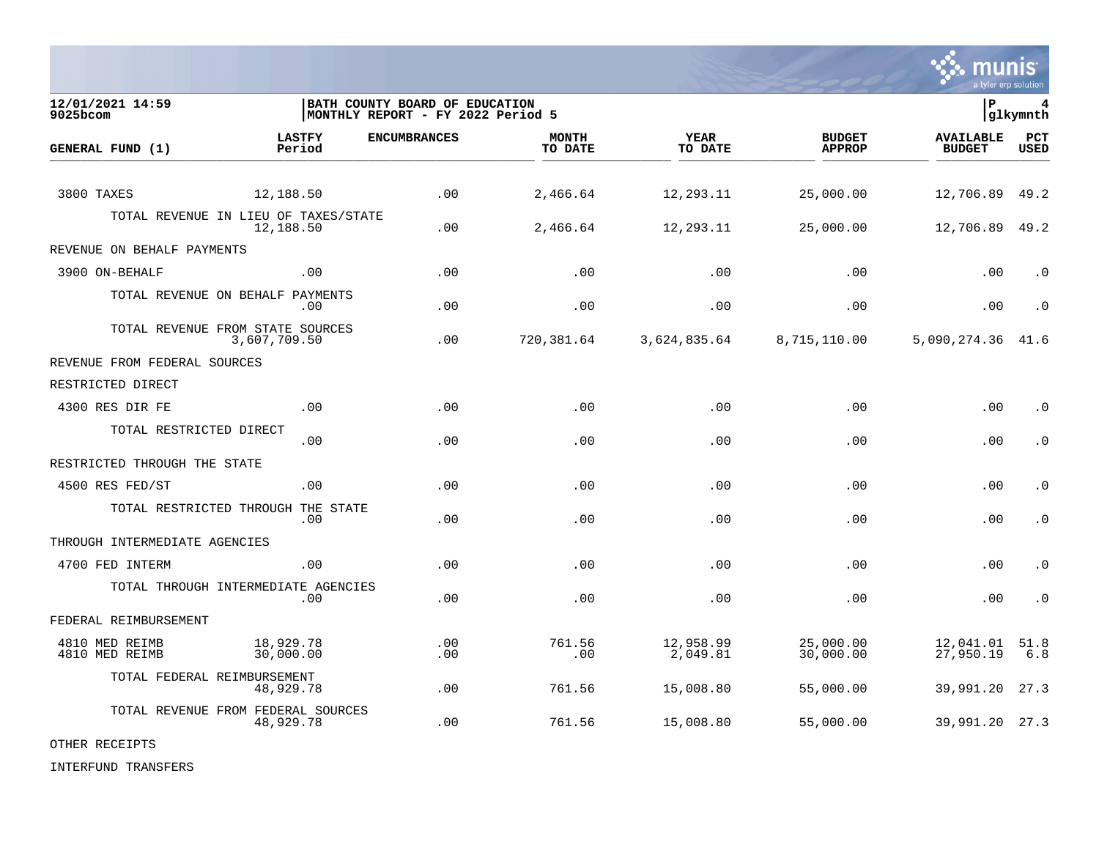

**12/01/2021 14:59 |BATH COUNTY BOARD OF EDUCATION |P 4** MONTHLY REPORT - FY 2022 Period 5 **LASTFY ENCUMBRANCES MONTH YEAR BUDGET AVAILABLE PCT GENERAL FUND (1) Period TO DATE TO DATE APPROP BUDGET USED** TO DATE THE RELIGION CONDUCT TO DATE THE RELIGION CONDUCT TO DATE THE RELIGION OF THE RELIGION OF THE RELIGION OF THE RELIGION OF THE RELIGION OF THE RELIGION OF THE RELIGION OF THE RELIGION OF THE RELIGION OF THE RELIGION 3800 TAXES 12,188.50 .00 2,466.64 12,293.11 25,000.00 12,706.89 49.2 TOTAL REVENUE IN LIEU OF TAXES/STATE<br>12.188.50 12,188.50 .00 2,466.64 12,293.11 25,000.00 12,706.89 49.2 REVENUE ON BEHALF PAYMENTS 3900 ON-BEHALF .00 .00 .00 .00 .00 .00 .0 TOTAL REVENUE ON BEHALF PAYMENTS .00 .00 .00 .00 .00 .00 .0 TOTAL REVENUE FROM STATE SOURCES<br>3.607.709.50 3,607,709.50 .00 720,381.64 3,624,835.64 8,715,110.00 5,090,274.36 41.6 REVENUE FROM FEDERAL SOURCES RESTRICTED DIRECT 4300 RES DIR FE .00 .00 .00 .00 .00 .00 .0 TOTAL RESTRICTED DIRECT .00 .00 .00 .00 .00 .00 .0 RESTRICTED THROUGH THE STATE 4500 RES FED/ST .00 .00 .00 .00 .00 .00 .0 TOTAL RESTRICTED THROUGH THE STATE .00 .00 .00 .00 .00 .00 .0 THROUGH INTERMEDIATE AGENCIES 4700 FED INTERM .00 .00 .00 .00 .00 .00 .0 TOTAL THROUGH INTERMEDIATE AGENCIES .00 .00 .00 .00 .00 .00 .0 FEDERAL REIMBURSEMENT 4810 MED REIMB 18,929.78 .00 761.56 12,958.99 25,000.00 12,041.01 51.8 4810 MED REIMB 30,000.00 .00 .00 2,049.81 30,000.00 27,950.19 6.8 TOTAL FEDERAL REIMBURSEMENT 48,929.78 .00 761.56 15,008.80 55,000.00 39,991.20 27.3 TOTAL REVENUE FROM FEDERAL SOURCES<br>48,929.78 48,929.78 .00 761.56 15,008.80 55,000.00 39,991.20 27.3

OTHER RECEIPTS

INTERFUND TRANSFERS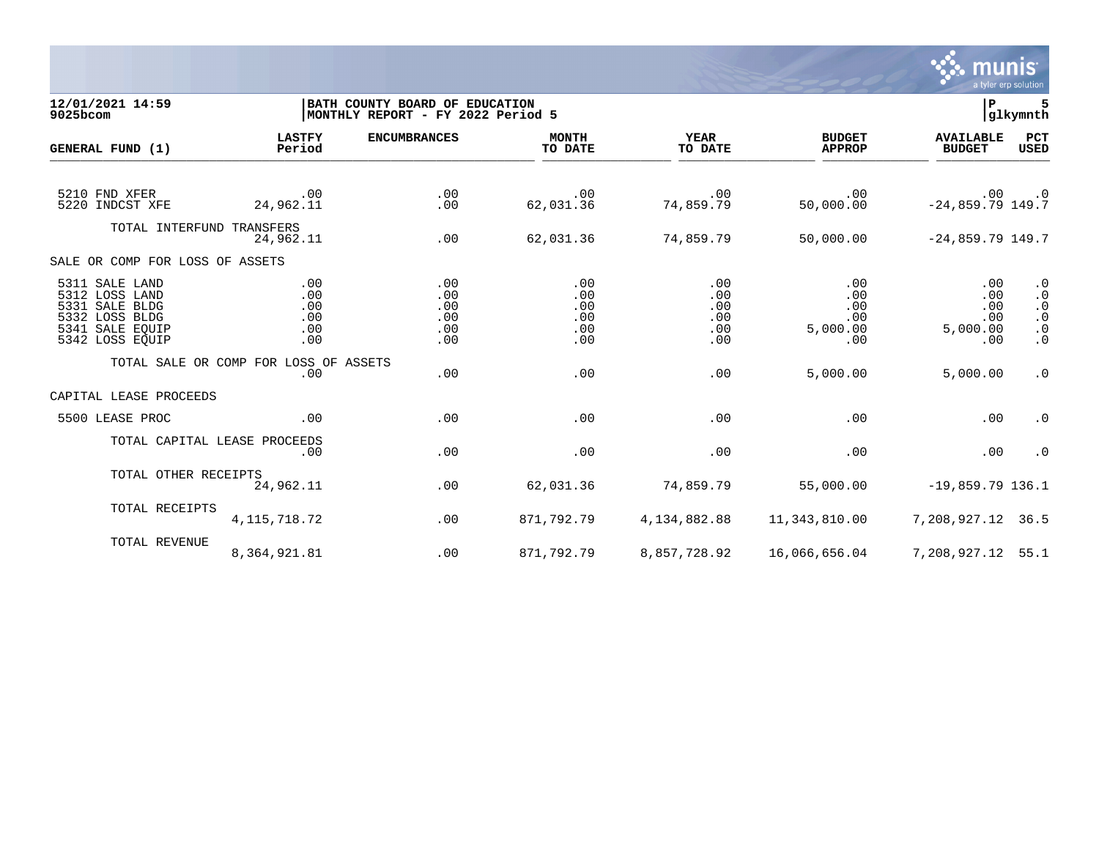

## **12/01/2021 14:59 |BATH COUNTY BOARD OF EDUCATION |P 5 9025bcom |MONTHLY REPORT - FY 2022 Period 5 |glkymnth**

| GENERAL FUND (1)                                                                                           | <b>LASTFY</b><br>Period                      | <b>ENCUMBRANCES</b>                    | <b>MONTH</b><br>TO DATE                | <b>YEAR</b><br>TO DATE                 | <b>BUDGET</b><br><b>APPROP</b>                        | <b>AVAILABLE</b><br><b>BUDGET</b>                | <b>PCT</b><br>USED                                                                  |
|------------------------------------------------------------------------------------------------------------|----------------------------------------------|----------------------------------------|----------------------------------------|----------------------------------------|-------------------------------------------------------|--------------------------------------------------|-------------------------------------------------------------------------------------|
| 5210 FND XFER<br>5220 INDCST XFE                                                                           | $\sim 00$<br>24,962.11                       | .00<br>.00                             | .00<br>62,031.36                       | .00<br>74,859.79                       | .00<br>50,000.00                                      | .00<br>$-24,859.79$ 149.7                        | $\cdot$ 0                                                                           |
| TOTAL INTERFUND TRANSFERS                                                                                  | 24,962.11                                    | .00                                    | 62,031.36                              | 74,859.79                              | 50,000.00                                             | $-24,859.79$ 149.7                               |                                                                                     |
| SALE OR COMP FOR LOSS OF ASSETS                                                                            |                                              |                                        |                                        |                                        |                                                       |                                                  |                                                                                     |
| 5311 SALE LAND<br>5312 LOSS LAND<br>5331 SALE BLDG<br>5332 LOSS BLDG<br>5341 SALE EQUIP<br>5342 LOSS EQUIP | .00<br>.00<br>.00<br>.00<br>.00<br>.00       | .00<br>.00<br>.00<br>.00<br>.00<br>.00 | .00<br>.00<br>.00<br>.00<br>.00<br>.00 | .00<br>.00<br>.00<br>.00<br>.00<br>.00 | .00<br>.00<br>.00<br>.00<br>5,000.00<br>$.00 \,$      | $.00 \,$<br>.00<br>.00<br>.00<br>5,000.00<br>.00 | $\cdot$ 0<br>$\cdot$ 0<br>$\cdot$ 0<br>$\cdot$ 0<br>. $\boldsymbol{0}$<br>$\cdot$ 0 |
|                                                                                                            | TOTAL SALE OR COMP FOR LOSS OF ASSETS<br>.00 | .00                                    | .00                                    | .00                                    | 5,000.00                                              | 5,000.00                                         | $\cdot$ 0                                                                           |
| CAPITAL LEASE PROCEEDS                                                                                     |                                              |                                        |                                        |                                        |                                                       |                                                  |                                                                                     |
| 5500 LEASE PROC                                                                                            | .00                                          | .00                                    | .00                                    | .00                                    | .00                                                   | .00                                              | $\cdot$ 0                                                                           |
|                                                                                                            | TOTAL CAPITAL LEASE PROCEEDS<br>.00          | .00                                    | .00                                    | .00                                    | .00                                                   | .00                                              | $\cdot$ 0                                                                           |
| TOTAL OTHER RECEIPTS                                                                                       | 24,962.11                                    | .00                                    | 62,031.36                              | 74,859.79                              | 55,000.00                                             | $-19,859.79$ 136.1                               |                                                                                     |
| TOTAL RECEIPTS                                                                                             | 4, 115, 718. 72                              | .00                                    | 871,792.79                             | 4,134,882.88                           | 11,343,810.00                                         | 7,208,927.12 36.5                                |                                                                                     |
| TOTAL REVENUE                                                                                              | 8,364,921.81                                 | .00                                    | 871,792.79                             |                                        | 8,857,728.92    16,066,656.04    7,208,927.12    55.1 |                                                  |                                                                                     |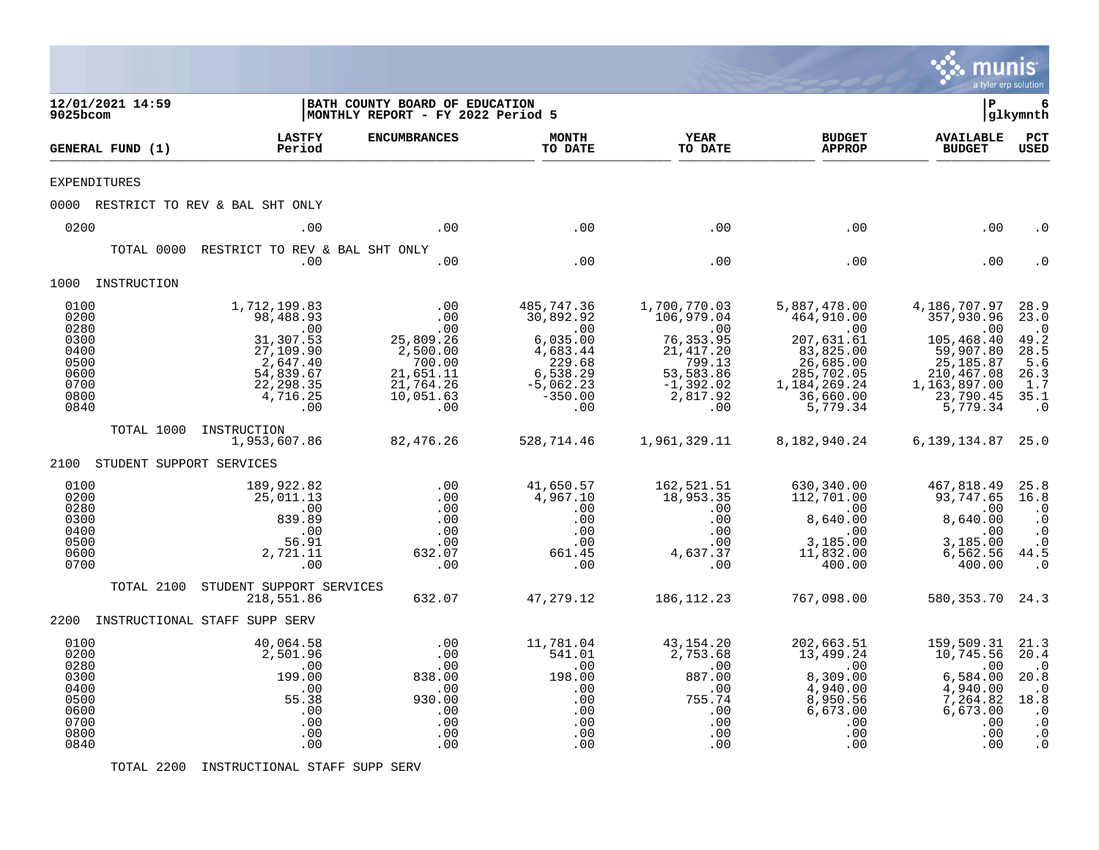|                                                                                      |                                        |                                                                                                                                                     |                                                                                                                 |                                                                                                                                    |                                                                                                                                              |                                                                                                                                                     | munis<br>a tyler erp solution                                                                                                                          |                                                                                                            |
|--------------------------------------------------------------------------------------|----------------------------------------|-----------------------------------------------------------------------------------------------------------------------------------------------------|-----------------------------------------------------------------------------------------------------------------|------------------------------------------------------------------------------------------------------------------------------------|----------------------------------------------------------------------------------------------------------------------------------------------|-----------------------------------------------------------------------------------------------------------------------------------------------------|--------------------------------------------------------------------------------------------------------------------------------------------------------|------------------------------------------------------------------------------------------------------------|
| 9025bcom                                                                             | 12/01/2021 14:59                       |                                                                                                                                                     | BATH COUNTY BOARD OF EDUCATION<br>MONTHLY REPORT - FY 2022 Period 5                                             |                                                                                                                                    |                                                                                                                                              |                                                                                                                                                     | l P                                                                                                                                                    | 6<br> glkymnth                                                                                             |
|                                                                                      | GENERAL FUND (1)                       | <b>LASTFY</b><br>Period                                                                                                                             | <b>ENCUMBRANCES</b>                                                                                             | <b>MONTH</b><br>TO DATE                                                                                                            | <b>YEAR</b><br>TO DATE                                                                                                                       | <b>BUDGET</b><br><b>APPROP</b>                                                                                                                      | <b>AVAILABLE</b><br><b>BUDGET</b>                                                                                                                      | PCT<br><b>USED</b>                                                                                         |
| <b>EXPENDITURES</b>                                                                  |                                        |                                                                                                                                                     |                                                                                                                 |                                                                                                                                    |                                                                                                                                              |                                                                                                                                                     |                                                                                                                                                        |                                                                                                            |
|                                                                                      |                                        | 0000 RESTRICT TO REV & BAL SHT ONLY                                                                                                                 |                                                                                                                 |                                                                                                                                    |                                                                                                                                              |                                                                                                                                                     |                                                                                                                                                        |                                                                                                            |
| 0200                                                                                 |                                        | .00                                                                                                                                                 | .00                                                                                                             | .00                                                                                                                                | .00                                                                                                                                          | .00                                                                                                                                                 | .00                                                                                                                                                    | . 0                                                                                                        |
|                                                                                      | TOTAL 0000                             | RESTRICT TO REV & BAL SHT ONLY<br>.00                                                                                                               | .00                                                                                                             | .00                                                                                                                                | .00                                                                                                                                          | .00                                                                                                                                                 | .00                                                                                                                                                    |                                                                                                            |
|                                                                                      | 1000 INSTRUCTION                       |                                                                                                                                                     |                                                                                                                 |                                                                                                                                    |                                                                                                                                              |                                                                                                                                                     |                                                                                                                                                        |                                                                                                            |
| 0100<br>0200<br>0280<br>0300<br>0400<br>0500<br>0600<br>0700<br>0800<br>0840<br>2100 | TOTAL 1000<br>STUDENT SUPPORT SERVICES | 1,712,199.83<br>98,488.93<br>.00<br>31,307.53<br>27,109.90<br>2,647.40<br>54,839.67<br>22, 298.35<br>4,716.25<br>.00<br>INSTRUCTION<br>1,953,607.86 | .00<br>.00<br>.00<br>25,809.26<br>2,500.00<br>700.00<br>21,651.11<br>21,764.26<br>10,051.63<br>.00<br>82,476.26 | 485,747.36<br>30,892.92<br>$\ldots$<br>6,035.00<br>4,683.44<br>229.68<br>6,538.29<br>$-5,062.23$<br>$-350.00$<br>.00<br>528,714.46 | 1,700,770.03<br>106,979.04<br>$\sim 00$<br>76, 353.95<br>21, 417.20<br>799.13<br>53,583.86<br>$-1,392.02$<br>2,817.92<br>.00<br>1,961,329.11 | 5,887,478.00<br>464,910.00<br>.00<br>207,631.61<br>83,825.00<br>26,685.00<br>285,702.05<br>1, 184, 269. 24<br>36,660.00<br>5,779.34<br>8,182,940.24 | 4,186,707.97<br>357,930.96<br>.00<br>105, 468.40<br>59,907.80<br>25,185.87<br>210,467.08<br>1,163,897.00<br>23,790.45<br>5,779.34<br>6,139,134.87 25.0 | 28.9<br>23.0<br>$\cdot$ 0<br>49.2<br>28.5<br>5.6<br>26.3<br>1.7<br>35.1<br>$\cdot$ 0                       |
| 0100<br>0200<br>0280<br>0300<br>0400<br>0500<br>0600<br>0700                         |                                        | 189,922.82<br>25,011.13<br>.00<br>839.89<br>.00<br>56.91<br>2,721.11<br>.00                                                                         | .00<br>.00<br>.00<br>.00<br>.00<br>.00<br>632.07<br>.00                                                         | 41,650.57<br>4,967.10<br>.00<br>.00<br>.00<br>.00<br>661.45<br>.00                                                                 | 162,521.51<br>18,953.35<br>.00<br>.00<br>.00<br>.00<br>4,637.37<br>.00                                                                       | 630,340.00<br>112,701.00<br>$\cdot$ 00<br>8,640.00<br>.00<br>3,185.00<br>11,832.00<br>400.00                                                        | 467,818.49<br>93,747.65<br>.00<br>8,640.00<br>.00<br>3,185.00<br>6,562.56<br>400.00                                                                    | 25.8<br>16.8<br>$\cdot$ 0<br>$\cdot$ 0<br>$\cdot$ 0<br>$\cdot$ 0<br>44.5<br>$\cdot$ 0                      |
|                                                                                      | TOTAL 2100                             | STUDENT SUPPORT SERVICES<br>218,551.86                                                                                                              | 632.07                                                                                                          | 47, 279. 12                                                                                                                        | 186, 112. 23                                                                                                                                 | 767,098.00                                                                                                                                          | 580, 353. 70 24. 3                                                                                                                                     |                                                                                                            |
|                                                                                      |                                        | 2200 INSTRUCTIONAL STAFF SUPP SERV                                                                                                                  |                                                                                                                 |                                                                                                                                    |                                                                                                                                              |                                                                                                                                                     |                                                                                                                                                        |                                                                                                            |
| 0100<br>0200<br>0280<br>0300<br>0400<br>0500<br>0600<br>0700<br>0800<br>0840         |                                        | 40,064.58<br>2,501.96<br>.00<br>199.00<br>.00<br>55.38<br>.00<br>.00<br>.00<br>.00                                                                  | .00<br>.00<br>.00<br>838.00<br>.00<br>930.00<br>.00<br>.00<br>.00<br>.00                                        | 11,781.04<br>541.01<br>.00<br>198.00<br>.00<br>.00<br>.00<br>.00<br>.00<br>.00                                                     | 43, 154. 20<br>2,753.68<br>.00<br>887.00<br>.00<br>755.74<br>.00<br>.00<br>.00<br>.00                                                        | 202,663.51<br>13,499.24<br>$.00 \,$<br>8,309.00<br>4,940.00<br>8,950.56<br>6,673.00<br>.00<br>.00<br>.00                                            | 159,509.31<br>10,745.56<br>.00<br>6,584.00<br>4,940.00<br>7,264.82<br>6,673.00<br>.00<br>.00<br>.00                                                    | 21.3<br>20.4<br>$\cdot$ 0<br>20.8<br>$\cdot$ 0<br>18.8<br>$\cdot$ 0<br>$\cdot$ 0<br>$\cdot$ 0<br>$\cdot$ 0 |

TOTAL 2200 INSTRUCTIONAL STAFF SUPP SERV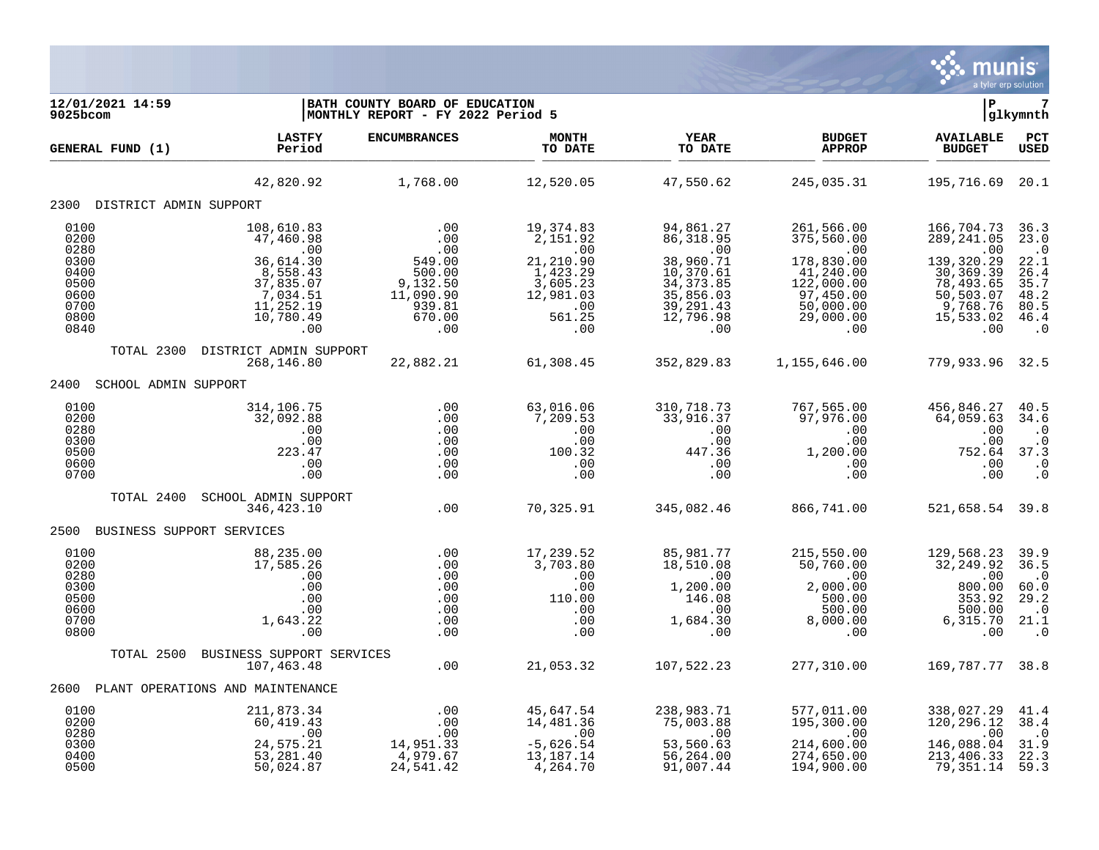

| 12/01/2021 14:59<br>9025bcom                                 |                                                                                                                | BATH COUNTY BOARD OF EDUCATION<br>MONTHLY REPORT - FY 2022 Period 5                                                                                |                                                                                                   |                                                                                    |                                                                                                                                                                                                                                                                                     | l P                                                                                   | 7<br> glkymnth                                                               |
|--------------------------------------------------------------|----------------------------------------------------------------------------------------------------------------|----------------------------------------------------------------------------------------------------------------------------------------------------|---------------------------------------------------------------------------------------------------|------------------------------------------------------------------------------------|-------------------------------------------------------------------------------------------------------------------------------------------------------------------------------------------------------------------------------------------------------------------------------------|---------------------------------------------------------------------------------------|------------------------------------------------------------------------------|
| GENERAL FUND (1)                                             | <b>LASTFY</b><br>Period                                                                                        | <b>ENCUMBRANCES</b>                                                                                                                                | <b>MONTH</b><br>TO DATE                                                                           | <b>YEAR</b><br>TO DATE                                                             | <b>BUDGET</b><br><b>APPROP</b>                                                                                                                                                                                                                                                      | <b>AVAILABLE</b><br><b>BUDGET</b>                                                     | $_{\rm PCT}$<br><b>USED</b>                                                  |
|                                                              |                                                                                                                | 42,820.92 1,768.00                                                                                                                                 | 12,520.05                                                                                         | 47,550.62                                                                          | 245,035.31                                                                                                                                                                                                                                                                          | 195,716.69 20.1                                                                       |                                                                              |
| 2300 DISTRICT ADMIN SUPPORT                                  |                                                                                                                |                                                                                                                                                    |                                                                                                   |                                                                                    |                                                                                                                                                                                                                                                                                     |                                                                                       |                                                                              |
| 0100<br>0200<br>0280                                         | 108,610.83<br>47,460.98<br>.00                                                                                 |                                                                                                                                                    | 19,374.83<br>2,151.92<br>.00                                                                      | 94,861.27<br>86,318.95<br>.00                                                      | 461,566.00<br>375,560.00<br>00.00<br>178,830.00                                                                                                                                                                                                                                     | 166,704.73<br>289, 241.05<br>.00                                                      | 36.3<br>23.0<br>$\cdot$ .0                                                   |
| 0300<br>0400<br>0500<br>0600<br>0700<br>0800<br>0840         | $\begin{array}{r} .00 \\ 36,614.30 \\ 8,558.43 \\ 37,835.07 \\ 7,034.51 \\ 11,252.19 \\ 1$<br>10,780.49<br>.00 | $\begin{array}{c} .00 \\ .00 \\ .00 \\ .00 \\ 549.00 \\ 500.00 \\ 9,132.50 \\ 11,090.99 \\ 939.81 \end{array}$<br>$-7, 30, 81$<br>$670, 00$<br>.00 | 21, 210.90<br>$\overline{1,423.29}$<br>3,605.23<br>12,981.03<br>561.25<br>.00                     | 38,960.71<br>10,370.61<br>34, 373.85<br>35,856.03<br>39,291.43<br>12,796.98<br>.00 | 41,240.00<br>122,000.00<br>97,450.00<br>50,000.00<br>29,000.00<br>.00                                                                                                                                                                                                               | 139,320.29<br>30, 369.39<br>78,493.65<br>$50, 503.07$<br>9,768.76<br>15,533.02<br>.00 | 22.1<br>26.4<br>35.7<br>48.2<br>80.5<br>46.4<br>$\overline{\phantom{0}}$ .0  |
|                                                              | TOTAL 2300 DISTRICT ADMIN SUPPORT<br>268,146.80                                                                | $22,882.21$ 61,308.45                                                                                                                              |                                                                                                   | 352,829.83                                                                         | 1,155,646.00                                                                                                                                                                                                                                                                        | 779,933.96 32.5                                                                       |                                                                              |
| 2400 SCHOOL ADMIN SUPPORT                                    |                                                                                                                |                                                                                                                                                    |                                                                                                   |                                                                                    |                                                                                                                                                                                                                                                                                     |                                                                                       |                                                                              |
| 0100<br>0200<br>0280<br>0300<br>0500<br>0600<br>0700         | 314, 106. 75<br>32,092.88<br>.00<br>.00<br>$\frac{.00}{.223.47}$<br>.00<br>.00                                 | $\begin{array}{c} .00\ .00\ .00\ .00\ .00\ .00\ .00\ .00\ \end{array}$<br>.00<br>.00                                                               | 63,016.06<br>7,209.53<br>$\begin{array}{c} .00 \\ .00 \\ .00 \\ 100.32 \end{array}$<br>.00<br>.00 |                                                                                    |                                                                                                                                                                                                                                                                                     |                                                                                       |                                                                              |
| TOTAL 2400                                                   | SCHOOL ADMIN SUPPORT<br>346,423.10                                                                             | .00                                                                                                                                                | 70,325.91                                                                                         | 345,082.46                                                                         | 866,741.00                                                                                                                                                                                                                                                                          | 521,658.54 39.8                                                                       |                                                                              |
| 2500 BUSINESS SUPPORT SERVICES                               |                                                                                                                |                                                                                                                                                    |                                                                                                   |                                                                                    |                                                                                                                                                                                                                                                                                     |                                                                                       |                                                                              |
| 0100<br>0200<br>0280<br>0300<br>0500<br>0600<br>0700<br>0800 | 88, 235.00<br>17, 585.26<br>.00<br>.00<br>.00<br>.00<br>1,643.22<br>.00                                        | $0.00$<br>$0.00$<br>$0.00$<br>.00<br>.00<br>.00<br>.00<br>.00<br>.00                                                                               | 17,239.52<br>3,703.80<br>.00<br>$\begin{array}{c} 0.00 \\ 110.00 \end{array}$                     |                                                                                    | $\begin{array}{cccccc} 239.52 & 85,981.77 & 215,550.00 & 129,568.23 \\ 703.80 & 18,510.08 & 50,760.00 & 0 & 0 & 0 \\ .00 & 0 & 0 & 0 & 0 & 0 & 0 \\ .00 & 1,200.00 & 2,000.00 & 800.00 & 0 \\ 10.00 & 146.08 & 500.00 & 500.00 & 500.00 \\ .00 & 1,684.30 & 8,000.00 & 6,315.70 \\$ |                                                                                       | 39.9<br>36.5<br>$\cdot$ .0<br>60.0<br>29.2<br>$\cdot$ 0<br>21.1<br>$\cdot$ 0 |
|                                                              | TOTAL 2500 BUSINESS SUPPORT SERVICES<br>107,463.48                                                             | $VICES$ .00                                                                                                                                        | 21,053.32 107,522.23                                                                              |                                                                                    | 277,310.00                                                                                                                                                                                                                                                                          | 169,787.77 38.8                                                                       |                                                                              |
| 2600                                                         | PLANT OPERATIONS AND MAINTENANCE                                                                               |                                                                                                                                                    |                                                                                                   |                                                                                    |                                                                                                                                                                                                                                                                                     |                                                                                       |                                                                              |
| 0100                                                         | 211,873.34                                                                                                     | .00                                                                                                                                                |                                                                                                   |                                                                                    |                                                                                                                                                                                                                                                                                     | 338,027.29                                                                            | 41.4                                                                         |
| 0200<br>0280<br>0300<br>0400<br>0500                         | 60,419.43<br>$\sim 00$<br>24,575.21<br>53, 281. 40<br>50,024.87                                                | .00<br>.00<br>14,951.33<br>4,979.67<br>24,541.42                                                                                                   | 14, 481. 30<br>.00<br>-5, 626. 54<br>13, 187. 14<br>4,264.70                                      | 91,007.44                                                                          | 577,011.00<br>195,300.00<br>00.00<br>274,600.00<br>274,650.00<br>194,900.00                                                                                                                                                                                                         | 120,296.12<br>$\overline{00}$<br>146,088.04<br>213,406.33<br>79,351.14                | 38.4<br>$\cdot$ 0<br>31.9<br>22.3<br>59.3                                    |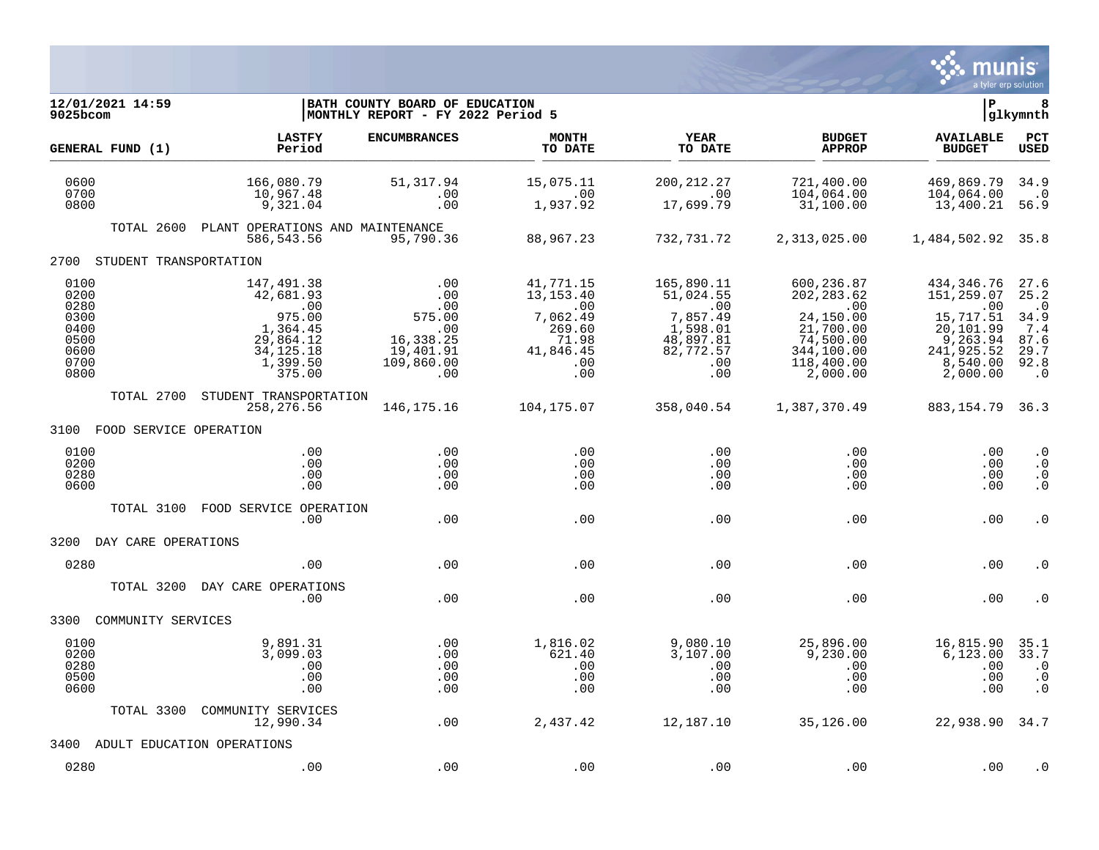

| 12/01/2021 14:59<br>9025bcom                                         |                                                                                                        | BATH COUNTY BOARD OF EDUCATION<br>MONTHLY REPORT - FY 2022 Period 5               |                                                                                                                  |                                                                                                            |                                                                                                                 | lР                                                                                                          | 8<br> glkymnth                                                                |
|----------------------------------------------------------------------|--------------------------------------------------------------------------------------------------------|-----------------------------------------------------------------------------------|------------------------------------------------------------------------------------------------------------------|------------------------------------------------------------------------------------------------------------|-----------------------------------------------------------------------------------------------------------------|-------------------------------------------------------------------------------------------------------------|-------------------------------------------------------------------------------|
| GENERAL FUND (1)                                                     | <b>LASTFY</b><br>Period                                                                                | <b>ENCUMBRANCES</b>                                                               | <b>MONTH</b><br>TO DATE                                                                                          | YEAR<br>TO DATE                                                                                            | <b>BUDGET</b><br><b>APPROP</b>                                                                                  | <b>AVAILABLE</b><br><b>BUDGET</b>                                                                           | PCT<br><b>USED</b>                                                            |
| 0600<br>0700<br>0800                                                 | 166,080.79<br>10,967.48<br>9,321.04                                                                    | 51,317.94<br>.00<br>.00                                                           | 15,075.11<br>.00<br>1,937.92                                                                                     | 200, 212.27<br>$\sim 00$<br>17,699.79                                                                      | 721,400.00<br>104,064.00<br>31,100.00                                                                           | 469,869.79<br>104,064.00<br>13,400.21                                                                       | 34.9<br>$\cdot$ 0<br>56.9                                                     |
| TOTAL 2600                                                           | PLANT OPERATIONS AND MAINTENANCE<br>586,543.56                                                         | 95,790.36                                                                         | 88,967.23                                                                                                        | 732,731.72                                                                                                 | 2,313,025.00                                                                                                    | 1,484,502.92                                                                                                | 35.8                                                                          |
| 2700                                                                 | STUDENT TRANSPORTATION                                                                                 |                                                                                   |                                                                                                                  |                                                                                                            |                                                                                                                 |                                                                                                             |                                                                               |
| 0100<br>0200<br>0280<br>0300<br>0400<br>0500<br>0600<br>0700<br>0800 | 147,491.38<br>42,681.93<br>.00<br>975.00<br>1,364.45<br>29,864.12<br>34, 125. 18<br>1,399.50<br>375.00 | .00<br>.00<br>.00<br>575.00<br>.00<br>16,338.25<br>19,401.91<br>109,860.00<br>.00 | 41,771.15<br>13,153.40<br>$\overline{\phantom{0}}$ .00<br>7,062.49<br>269.60<br>71.98<br>41,846.45<br>.00<br>.00 | 165,890.11<br>51,024.55<br>$\, \, . \, 00$<br>7,857.49<br>1,598.01<br>48,897.81<br>82,772.57<br>.00<br>.00 | 600,236.87<br>202, 283.62<br>.00<br>24,150.00<br>21,700.00<br>74,500.00<br>344,100.00<br>118,400.00<br>2,000.00 | 434,346.76<br>151,259.07<br>.00<br>15,717.51<br>20,101.99<br>9,263.94<br>241,925.52<br>8,540.00<br>2,000.00 | 27.6<br>25.2<br>$\cdot$ 0<br>34.9<br>7.4<br>87.6<br>29.7<br>92.8<br>$\cdot$ 0 |
| TOTAL 2700                                                           | STUDENT TRANSPORTATION<br>258,276.56                                                                   | 146,175.16                                                                        | 104,175.07                                                                                                       | 358,040.54                                                                                                 | 1,387,370.49                                                                                                    | 883,154.79                                                                                                  | 36.3                                                                          |
| 3100                                                                 | FOOD SERVICE OPERATION                                                                                 |                                                                                   |                                                                                                                  |                                                                                                            |                                                                                                                 |                                                                                                             |                                                                               |
| 0100<br>0200<br>0280<br>0600                                         | .00<br>.00<br>.00<br>.00                                                                               | .00<br>.00<br>.00<br>.00                                                          | .00<br>.00<br>.00<br>.00                                                                                         | .00<br>.00<br>.00<br>.00                                                                                   | .00<br>.00<br>.00<br>.00                                                                                        | .00<br>.00<br>.00<br>.00                                                                                    | $\cdot$ 0<br>$\cdot$ 0<br>$\cdot$ 0<br>$\cdot$ 0                              |
| TOTAL 3100                                                           | FOOD SERVICE OPERATION<br>.00                                                                          | .00                                                                               | .00                                                                                                              | .00                                                                                                        | .00                                                                                                             | .00                                                                                                         | $\cdot$ 0                                                                     |
| 3200<br>DAY CARE OPERATIONS                                          |                                                                                                        |                                                                                   |                                                                                                                  |                                                                                                            |                                                                                                                 |                                                                                                             |                                                                               |
| 0280                                                                 | .00                                                                                                    | .00                                                                               | .00                                                                                                              | .00                                                                                                        | .00                                                                                                             | .00                                                                                                         | . 0                                                                           |
|                                                                      | TOTAL 3200 DAY CARE OPERATIONS<br>.00                                                                  | .00                                                                               | .00                                                                                                              | .00                                                                                                        | .00                                                                                                             | .00                                                                                                         | . 0                                                                           |
| 3300<br>COMMUNITY SERVICES                                           |                                                                                                        |                                                                                   |                                                                                                                  |                                                                                                            |                                                                                                                 |                                                                                                             |                                                                               |
| 0100<br>0200<br>0280<br>0500<br>0600                                 | 9,891.31<br>3,099.03<br>.00<br>.00<br>.00                                                              | .00<br>.00<br>.00<br>.00<br>.00                                                   | 1,816.02<br>621.40<br>.00<br>.00<br>.00                                                                          | 9,080.10<br>3,107.00<br>.00<br>.00<br>.00                                                                  | 25,896.00<br>9,230.00<br>.00<br>.00<br>.00                                                                      | 16,815.90<br>6,123.00<br>.00<br>.00<br>.00                                                                  | 35.1<br>33.7<br>$\cdot$ 0<br>$\cdot$ 0<br>$\cdot$ 0                           |
| TOTAL 3300                                                           | COMMUNITY SERVICES<br>12,990.34                                                                        | .00                                                                               | 2,437.42                                                                                                         | 12,187.10                                                                                                  | 35,126.00                                                                                                       | 22,938.90 34.7                                                                                              |                                                                               |
| 3400                                                                 | ADULT EDUCATION OPERATIONS                                                                             |                                                                                   |                                                                                                                  |                                                                                                            |                                                                                                                 |                                                                                                             |                                                                               |
| 0280                                                                 | .00                                                                                                    | .00                                                                               | .00                                                                                                              | .00                                                                                                        | .00                                                                                                             | .00                                                                                                         | $\cdot$ 0                                                                     |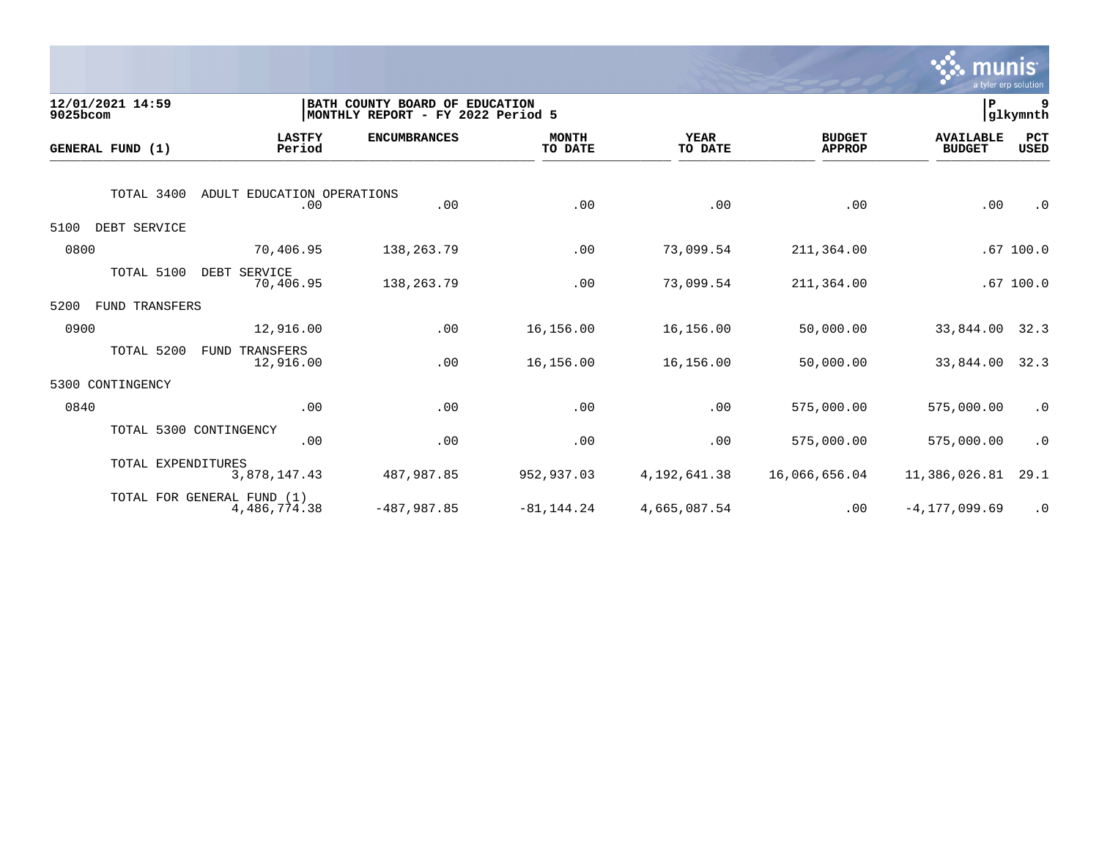

| 12/01/2021 14:59<br>9025bcom |                            |                                   | BATH COUNTY BOARD OF EDUCATION<br> MONTHLY REPORT - FY 2022 Period 5 |                         |                        |                                | ∣P                                | 9<br>glkymnth |
|------------------------------|----------------------------|-----------------------------------|----------------------------------------------------------------------|-------------------------|------------------------|--------------------------------|-----------------------------------|---------------|
| GENERAL FUND (1)             |                            | <b>LASTFY</b><br>Period           | <b>ENCUMBRANCES</b>                                                  | <b>MONTH</b><br>TO DATE | <b>YEAR</b><br>TO DATE | <b>BUDGET</b><br><b>APPROP</b> | <b>AVAILABLE</b><br><b>BUDGET</b> | PCT<br>USED   |
|                              | TOTAL 3400                 | ADULT EDUCATION OPERATIONS<br>.00 | .00                                                                  | .00                     | .00                    | .00                            | .00                               | $\cdot$ 0     |
| 5100                         | DEBT SERVICE               |                                   |                                                                      |                         |                        |                                |                                   |               |
| 0800                         |                            | 70,406.95                         | 138,263.79                                                           | .00                     | 73,099.54              | 211,364.00                     |                                   | .67100.0      |
|                              | TOTAL 5100                 | DEBT SERVICE<br>70,406.95         | 138, 263. 79                                                         | .00                     | 73,099.54              | 211,364.00                     |                                   | .67100.0      |
| 5200                         | FUND TRANSFERS             |                                   |                                                                      |                         |                        |                                |                                   |               |
| 0900                         |                            | 12,916.00                         | .00                                                                  | 16,156.00               | 16,156.00              | 50,000.00                      | 33,844.00                         | 32.3          |
|                              | TOTAL 5200                 | FUND TRANSFERS<br>12,916.00       | .00                                                                  | 16,156.00               | 16,156.00              | 50,000.00                      | 33,844.00                         | 32.3          |
| 5300                         | CONTINGENCY                |                                   |                                                                      |                         |                        |                                |                                   |               |
| 0840                         |                            | .00                               | .00                                                                  | .00                     | .00                    | 575,000.00                     | 575,000.00                        | $\cdot$ 0     |
|                              | TOTAL 5300 CONTINGENCY     | .00                               | .00                                                                  | .00                     | .00                    | 575,000.00                     | 575,000.00                        | $\cdot$ 0     |
|                              | TOTAL EXPENDITURES         | 3,878,147.43                      | 487,987.85                                                           | 952,937.03              | 4, 192, 641.38         | 16,066,656.04                  | 11,386,026.81                     | 29.1          |
|                              | TOTAL FOR GENERAL FUND (1) | 4,486,774.38                      | $-487,987.85$                                                        | $-81, 144.24$           | 4,665,087.54           | .00                            | $-4, 177, 099.69$                 | $\cdot$ 0     |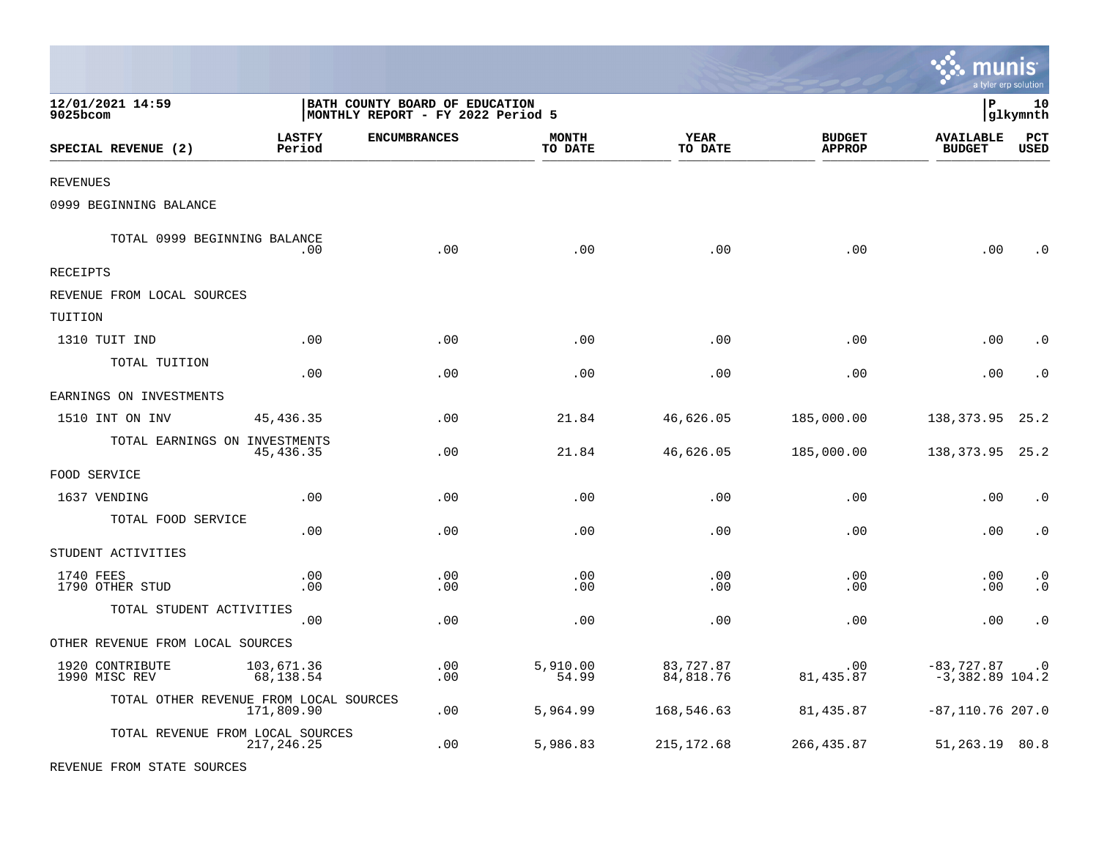|                                        |                         |                                                                     |                         |                        |                                | $\sim$ mullis<br>a tyler erp solution |                        |
|----------------------------------------|-------------------------|---------------------------------------------------------------------|-------------------------|------------------------|--------------------------------|---------------------------------------|------------------------|
| 12/01/2021 14:59<br>9025bcom           |                         | BATH COUNTY BOARD OF EDUCATION<br>MONTHLY REPORT - FY 2022 Period 5 |                         |                        |                                | l P                                   | 10<br> glkymnth        |
| SPECIAL REVENUE (2)                    | <b>LASTFY</b><br>Period | <b>ENCUMBRANCES</b>                                                 | <b>MONTH</b><br>TO DATE | YEAR<br>TO DATE        | <b>BUDGET</b><br><b>APPROP</b> | <b>AVAILABLE</b><br><b>BUDGET</b>     | PCT<br><b>USED</b>     |
| <b>REVENUES</b>                        |                         |                                                                     |                         |                        |                                |                                       |                        |
| 0999 BEGINNING BALANCE                 |                         |                                                                     |                         |                        |                                |                                       |                        |
| TOTAL 0999 BEGINNING BALANCE           | .00.                    | .00                                                                 | .00                     | .00                    | .00                            | .00                                   | . 0                    |
| RECEIPTS                               |                         |                                                                     |                         |                        |                                |                                       |                        |
| REVENUE FROM LOCAL SOURCES             |                         |                                                                     |                         |                        |                                |                                       |                        |
| TUITION                                |                         |                                                                     |                         |                        |                                |                                       |                        |
| 1310 TUIT IND                          | .00                     | .00                                                                 | .00                     | .00                    | .00                            | .00                                   | $\cdot$ 0              |
| TOTAL TUITION                          | .00                     | .00                                                                 | .00                     | .00                    | .00                            | .00                                   | $\cdot$ 0              |
| EARNINGS ON INVESTMENTS                |                         |                                                                     |                         |                        |                                |                                       |                        |
| 1510 INT ON INV                        | 45, 436.35              | .00                                                                 | 21.84                   | 46,626.05              | 185,000.00                     | 138,373.95                            | 25.2                   |
| TOTAL EARNINGS ON INVESTMENTS          | 45,436.35               | .00                                                                 | 21.84                   | 46,626.05              | 185,000.00                     | 138, 373. 95 25. 2                    |                        |
| FOOD SERVICE                           |                         |                                                                     |                         |                        |                                |                                       |                        |
| 1637 VENDING                           | .00                     | .00                                                                 | .00                     | .00                    | .00                            | .00                                   | $\cdot$ 0              |
| TOTAL FOOD SERVICE                     | .00                     | .00                                                                 | .00                     | .00                    | .00                            | .00                                   | $\cdot$ 0              |
| STUDENT ACTIVITIES                     |                         |                                                                     |                         |                        |                                |                                       |                        |
| 1740 FEES<br>1790 OTHER STUD           | .00<br>.00              | .00<br>.00                                                          | .00<br>.00              | .00<br>.00             | .00<br>.00                     | .00<br>.00                            | $\cdot$ 0<br>$\cdot$ 0 |
| TOTAL STUDENT ACTIVITIES               | .00                     | .00                                                                 | .00                     | .00                    | .00                            | .00                                   | $\cdot$ 0              |
| OTHER REVENUE FROM LOCAL SOURCES       |                         |                                                                     |                         |                        |                                |                                       |                        |
| 1920 CONTRIBUTE<br>1990 MISC REV       | 103,671.36<br>68,138.54 | .00<br>.00                                                          | 5,910.00<br>54.99       | 83,727.87<br>84,818.76 | $.00 \,$<br>81,435.87          | $-83,727.87$<br>$-3,382.89$ 104.2     | $\cdot$ 0              |
| TOTAL OTHER REVENUE FROM LOCAL SOURCES | 171,809.90              | .00                                                                 | 5,964.99                | 168,546.63             | 81,435.87                      | $-87, 110.76$ 207.0                   |                        |
| TOTAL REVENUE FROM LOCAL SOURCES       | 217, 246. 25            | .00                                                                 | 5,986.83                | 215, 172.68            | 266,435.87                     | 51,263.19 80.8                        |                        |
| REVENUE FROM STATE SOURCES             |                         |                                                                     |                         |                        |                                |                                       |                        |

 $\ddot{\cdot}$  munic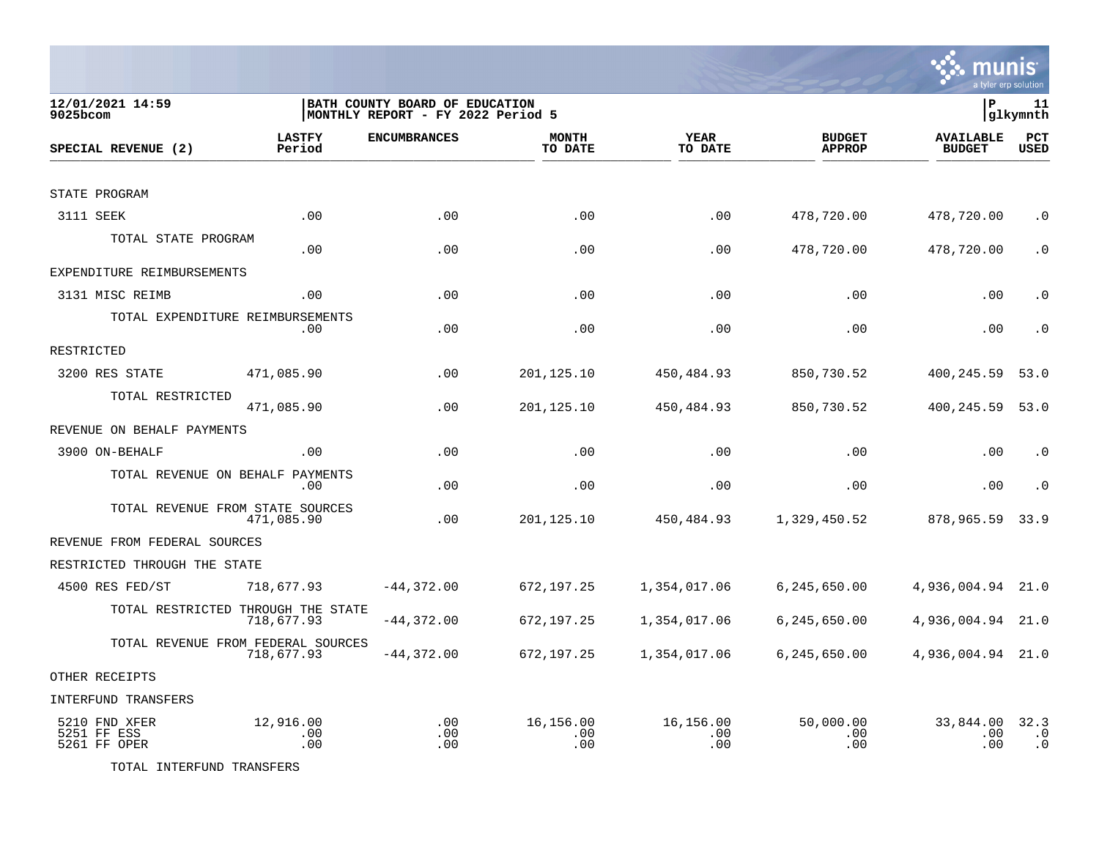

| 12/01/2021 14:59<br>9025bcom                 |                         | BATH COUNTY BOARD OF EDUCATION<br> MONTHLY REPORT - FY 2022 Period 5 |                         |                         |                                | lР                                | 11<br> glkymnth                |
|----------------------------------------------|-------------------------|----------------------------------------------------------------------|-------------------------|-------------------------|--------------------------------|-----------------------------------|--------------------------------|
| SPECIAL REVENUE (2)                          | <b>LASTFY</b><br>Period | <b>ENCUMBRANCES</b>                                                  | <b>MONTH</b><br>TO DATE | <b>YEAR</b><br>TO DATE  | <b>BUDGET</b><br><b>APPROP</b> | <b>AVAILABLE</b><br><b>BUDGET</b> | <b>PCT</b><br><b>USED</b>      |
|                                              |                         |                                                                      |                         |                         |                                |                                   |                                |
| STATE PROGRAM                                |                         |                                                                      |                         |                         |                                |                                   |                                |
| 3111 SEEK                                    | .00                     | .00                                                                  | .00                     | .00                     | 478,720.00                     | 478,720.00                        | $\cdot$ 0                      |
| TOTAL STATE PROGRAM                          | .00                     | .00                                                                  | .00                     | .00                     | 478,720.00                     | 478,720.00                        | $\cdot$ 0                      |
| EXPENDITURE REIMBURSEMENTS                   |                         |                                                                      |                         |                         |                                |                                   |                                |
| 3131 MISC REIMB                              | .00                     | .00                                                                  | .00                     | .00                     | .00                            | .00                               | $\cdot$ 0                      |
| TOTAL EXPENDITURE REIMBURSEMENTS             | .00                     | .00                                                                  | .00                     | .00                     | .00                            | .00                               | $\cdot$ 0                      |
| RESTRICTED                                   |                         |                                                                      |                         |                         |                                |                                   |                                |
| 3200 RES STATE                               | 471,085.90              | .00                                                                  | 201,125.10              | 450,484.93              | 850,730.52                     | 400,245.59                        | 53.0                           |
| TOTAL RESTRICTED                             | 471,085.90              | .00                                                                  | 201,125.10              | 450,484.93              | 850,730.52                     | 400,245.59                        | 53.0                           |
| REVENUE ON BEHALF PAYMENTS                   |                         |                                                                      |                         |                         |                                |                                   |                                |
| 3900 ON-BEHALF                               | .00                     | .00                                                                  | .00                     | .00                     | .00                            | .00                               | $\cdot$ 0                      |
| TOTAL REVENUE ON BEHALF PAYMENTS             | .00                     | .00                                                                  | .00                     | .00                     | $.00 \,$                       | .00                               | $\cdot$ 0                      |
| TOTAL REVENUE FROM STATE SOURCES             | 471,085.90              | .00                                                                  | 201,125.10              | 450,484.93              | 1,329,450.52                   | 878,965.59                        | 33.9                           |
| REVENUE FROM FEDERAL SOURCES                 |                         |                                                                      |                         |                         |                                |                                   |                                |
| RESTRICTED THROUGH THE STATE                 |                         |                                                                      |                         |                         |                                |                                   |                                |
| 4500 RES FED/ST                              | 718,677.93              | $-44,372.00$                                                         | 672,197.25              | 1,354,017.06            | 6,245,650.00                   | 4,936,004.94                      | 21.0                           |
| TOTAL RESTRICTED THROUGH THE STATE           | 718,677.93              | $-44,372.00$                                                         | 672,197.25              | 1,354,017.06            | 6, 245, 650.00                 | 4,936,004.94                      | 21.0                           |
| TOTAL REVENUE FROM FEDERAL SOURCES           | 718,677.93              | $-44,372.00$                                                         | 672,197.25              | 1,354,017.06            | 6,245,650.00                   | 4,936,004.94 21.0                 |                                |
| OTHER RECEIPTS                               |                         |                                                                      |                         |                         |                                |                                   |                                |
| INTERFUND TRANSFERS                          |                         |                                                                      |                         |                         |                                |                                   |                                |
| 5210 FND XFER<br>5251 FF ESS<br>5261 FF OPER | 12,916.00<br>.00<br>.00 | .00<br>.00<br>.00                                                    | 16,156.00<br>.00<br>.00 | 16,156.00<br>.00<br>.00 | 50,000.00<br>$.00 \,$<br>.00   | 33,844.00<br>.00<br>.00           | 32.3<br>$\cdot$ 0<br>$\cdot$ 0 |

TOTAL INTERFUND TRANSFERS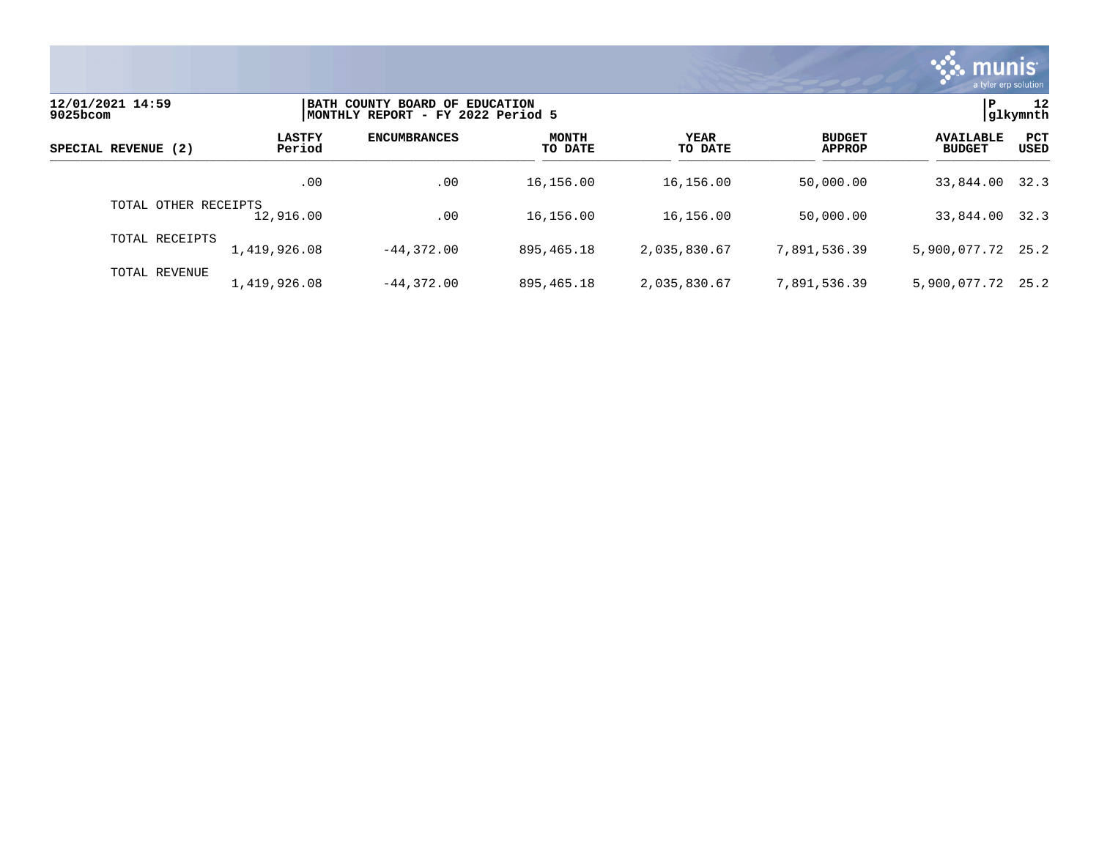

| 12/01/2021 14:59<br>9025bcom |                         | BATH COUNTY BOARD OF EDUCATION<br>MONTHLY REPORT - FY 2022 Period 5 |                         |                        |                                |                                   |                    |
|------------------------------|-------------------------|---------------------------------------------------------------------|-------------------------|------------------------|--------------------------------|-----------------------------------|--------------------|
| SPECIAL REVENUE (2)          | <b>LASTFY</b><br>Period | <b>ENCUMBRANCES</b>                                                 | <b>MONTH</b><br>TO DATE | <b>YEAR</b><br>TO DATE | <b>BUDGET</b><br><b>APPROP</b> | <b>AVAILABLE</b><br><b>BUDGET</b> | PCT<br><b>USED</b> |
|                              | .00                     | .00                                                                 | 16,156.00               | 16,156.00              | 50,000.00                      | 33,844.00                         | 32.3               |
| TOTAL OTHER RECEIPTS         | 12,916.00               | .00                                                                 | 16,156.00               | 16,156.00              | 50,000.00                      | 33,844.00                         | 32.3               |
| TOTAL RECEIPTS               | 1,419,926.08            | $-44.372.00$                                                        | 895, 465. 18            | 2,035,830.67           | 7,891,536.39                   | 5,900,077.72 25.2                 |                    |
| TOTAL REVENUE                | 1,419,926.08            | $-44.372.00$                                                        | 895, 465. 18            | 2,035,830.67           | 7,891,536.39                   | 5,900,077.72                      | 25.2               |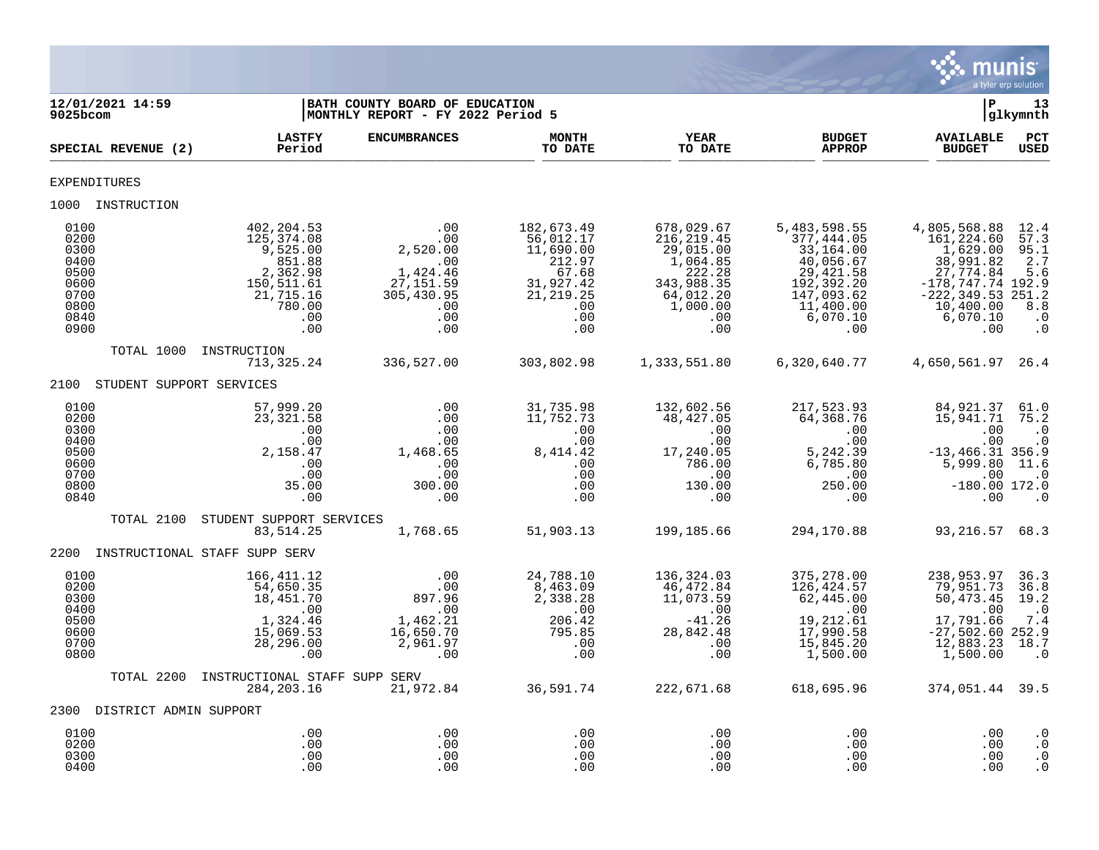

| 12/01/2021 14:59<br>9025bcom                                                 |                                                                                                               | BATH COUNTY BOARD OF EDUCATION<br>MONTHLY REPORT - FY 2022 Period 5                                    |                                                                                                         |                                                                                                                   |                                                                                                                                | ΙP                                                                                                                                              | 13<br> glkymnth                                                                                              |
|------------------------------------------------------------------------------|---------------------------------------------------------------------------------------------------------------|--------------------------------------------------------------------------------------------------------|---------------------------------------------------------------------------------------------------------|-------------------------------------------------------------------------------------------------------------------|--------------------------------------------------------------------------------------------------------------------------------|-------------------------------------------------------------------------------------------------------------------------------------------------|--------------------------------------------------------------------------------------------------------------|
| SPECIAL REVENUE (2)                                                          | <b>LASTFY</b><br>Period                                                                                       | <b>ENCUMBRANCES</b>                                                                                    | <b>MONTH</b><br>TO DATE                                                                                 | <b>YEAR</b><br>TO DATE                                                                                            | <b>BUDGET</b><br><b>APPROP</b>                                                                                                 | <b>AVAILABLE</b><br><b>BUDGET</b>                                                                                                               | PCT<br><b>USED</b>                                                                                           |
| <b>EXPENDITURES</b>                                                          |                                                                                                               |                                                                                                        |                                                                                                         |                                                                                                                   |                                                                                                                                |                                                                                                                                                 |                                                                                                              |
| 1000 INSTRUCTION                                                             |                                                                                                               |                                                                                                        |                                                                                                         |                                                                                                                   |                                                                                                                                |                                                                                                                                                 |                                                                                                              |
| 0100<br>0200<br>0300<br>0400<br>0500<br>0600<br>0700<br>0800<br>0840<br>0900 | 402,204.53<br>125,374.08<br>9,525.00<br>851.88<br>2,362.98<br>150,511.61<br>21,715.16<br>780.00<br>.00<br>.00 | .00<br>.00<br>2,520.00<br>$\overline{00}$<br>1,424.46<br>27, 151.59<br>305,430.95<br>.00<br>.00<br>.00 | 182,673.49<br>56,012.17<br>11,690.00<br>212.97<br>67.68<br>31,927.42<br>21, 219.25<br>.00<br>.00<br>.00 | 678,029.67<br>216, 219.45<br>29,015.00<br>1,064.85<br>222.28<br>343,988.35<br>64,012.20<br>1,000.00<br>.00<br>.00 | 5,483,598.55<br>377,444.05<br>33,164.00<br>40,056.67<br>29, 421.58<br>192,392.20<br>147,093.62<br>11,400.00<br>6,070.10<br>.00 | 4,805,568.88<br>161,224.60<br>1,629.00<br>38,991.82<br>27,774.84<br>$-178,747.74$ 192.9<br>$-222, 349.53 251.2$<br>10,400.00<br>6,070.10<br>.00 | 12.4<br>57.3<br>95.1<br>2.7<br>5.6<br>8.8<br>$\cdot$ 0<br>$\cdot$ 0                                          |
| TOTAL 1000                                                                   | INSTRUCTION<br>713,325.24                                                                                     | 336,527.00                                                                                             | 303,802.98                                                                                              | 1,333,551.80                                                                                                      | 6,320,640.77                                                                                                                   | 4,650,561.97 26.4                                                                                                                               |                                                                                                              |
| 2100                                                                         | STUDENT SUPPORT SERVICES                                                                                      |                                                                                                        |                                                                                                         |                                                                                                                   |                                                                                                                                |                                                                                                                                                 |                                                                                                              |
| 0100<br>0200<br>0300<br>0400<br>0500<br>0600<br>0700<br>0800<br>0840         | 57,999.20<br>23, 321.58<br>.00<br>.00<br>2,158.47<br>.00<br>.00<br>35.00<br>.00                               | .00<br>.00<br>.00<br>.00<br>1,468.65<br>.00<br>.00<br>300.00<br>.00                                    | 31,735.98<br>11,752.73<br>.00<br>.00<br>8, 414. 42<br>.00<br>.00<br>.00<br>.00                          | 132,602.56<br>48,427.05<br>.00<br>.00<br>17,240.05<br>786.00<br>.00<br>130.00<br>$.00 \,$                         | 217,523.93<br>64,368.76<br>.00<br>.00<br>5,242.39<br>6,785.80<br>$\,$ .00<br>250.00<br>$.00 \,$                                | 84,921.37<br>15,941.71<br>.00<br>.00<br>$-13, 466.31$ 356.9<br>5,999.80<br>.00<br>$-180.00$ 172.0<br>.00                                        | 61.0<br>75.2<br>$\cdot$ 0<br>$\cdot$ 0<br>11.6<br>$\overline{\phantom{0}}$ .0<br>$\overline{\phantom{0}}$ .0 |
| TOTAL 2100                                                                   | STUDENT SUPPORT SERVICES<br>83,514.25                                                                         | 1,768.65                                                                                               | 51,903.13                                                                                               | 199,185.66                                                                                                        | 294,170.88                                                                                                                     | 93, 216.57 68.3                                                                                                                                 |                                                                                                              |
| 2200                                                                         | INSTRUCTIONAL STAFF SUPP SERV                                                                                 |                                                                                                        |                                                                                                         |                                                                                                                   |                                                                                                                                |                                                                                                                                                 |                                                                                                              |
| 0100<br>0200<br>0300<br>0400<br>0500<br>0600<br>0700<br>0800                 | 166,411.12<br>54,650.35<br>18,451.70<br>.00<br>1,324.46<br>15,069.53<br>28,296.00<br>.00                      | .00<br>.00<br>897.96<br>.00<br>1,462.21<br>16,650.70<br>2,961.97<br>.00                                | 24,788.10<br>8,463.09<br>2,338.28<br>$\ddots$<br>206.42<br>795.85<br>.00<br>.00                         | 136,324.03<br>46,472.84<br>11,073.59<br>.00<br>$-41.26$<br>28,842.48<br>.00<br>.00                                | 375,278.00<br>126,424.57<br>62,445.00<br>.00<br>19,212.61<br>17,990.58<br>15,845.20<br>1,500.00                                | 238,953.97<br>79,951.73<br>50, 473. 45<br>.00<br>17,791.66<br>$-27,502.60$ 252.9<br>12,883.23<br>1,500.00                                       | 36.3<br>36.8<br>19.2<br>$\cdot$ 0<br>7.4<br>18.7<br>$\cdot$ 0                                                |
| TOTAL 2200                                                                   | INSTRUCTIONAL STAFF SUPP SERV<br>284, 203. 16                                                                 | 21,972.84                                                                                              | 36,591.74                                                                                               | 222,671.68                                                                                                        | 618,695.96                                                                                                                     | 374,051.44 39.5                                                                                                                                 |                                                                                                              |
| 2300 DISTRICT ADMIN SUPPORT                                                  |                                                                                                               |                                                                                                        |                                                                                                         |                                                                                                                   |                                                                                                                                |                                                                                                                                                 |                                                                                                              |
| 0100<br>0200<br>0300<br>0400                                                 | .00<br>.00<br>.00<br>.00                                                                                      | .00<br>.00<br>.00<br>.00                                                                               | .00<br>.00<br>.00<br>.00                                                                                | .00<br>.00<br>.00<br>.00                                                                                          | .00<br>.00<br>.00<br>.00                                                                                                       | .00<br>.00<br>.00<br>.00                                                                                                                        | $\cdot$ 0<br>$\cdot$ 0<br>$\cdot$ 0<br>$\cdot$ 0                                                             |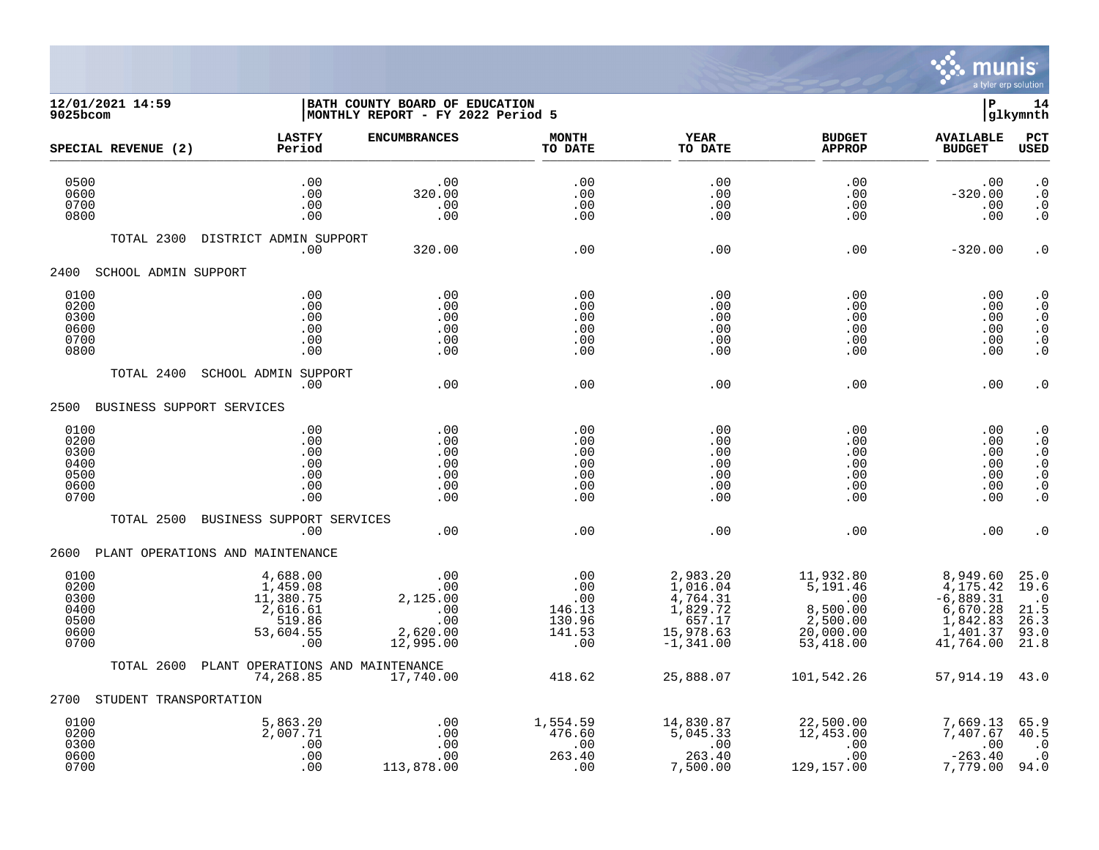

## **12/01/2021 14:59 |BATH COUNTY BOARD OF EDUCATION |P 14 9025bcom |MONTHLY REPORT - FY 2022 Period 5 |glkymnth**

| SPECIAL REVENUE (2)                                  | <b>LASTFY</b><br>Period                                                     | <b>ENCUMBRANCES</b>                                                  | <b>MONTH</b><br>TO DATE                                       | <b>YEAR</b><br>TO DATE                                                                            | <b>BUDGET</b><br><b>APPROP</b>                                                        | <b>AVAILABLE</b><br><b>BUDGET</b>                                                    | PCT<br><b>USED</b>                                                                                                |
|------------------------------------------------------|-----------------------------------------------------------------------------|----------------------------------------------------------------------|---------------------------------------------------------------|---------------------------------------------------------------------------------------------------|---------------------------------------------------------------------------------------|--------------------------------------------------------------------------------------|-------------------------------------------------------------------------------------------------------------------|
| 0500<br>0600<br>0700<br>0800                         | .00<br>.00<br>.00<br>.00                                                    | .00<br>320.00<br>.00<br>.00                                          | .00<br>.00<br>.00<br>.00                                      | .00<br>.00<br>.00<br>.00                                                                          | .00<br>.00<br>.00<br>.00                                                              | .00<br>$-320.00$<br>.00<br>.00                                                       | $\cdot$ 0<br>$\cdot$ 0<br>$\cdot$ 0<br>$\cdot$ 0                                                                  |
| TOTAL 2300                                           | DISTRICT ADMIN SUPPORT<br>.00                                               | 320.00                                                               | .00                                                           | .00                                                                                               | .00                                                                                   | $-320.00$                                                                            | $\boldsymbol{\cdot}$ 0                                                                                            |
| 2400<br>SCHOOL ADMIN SUPPORT                         |                                                                             |                                                                      |                                                               |                                                                                                   |                                                                                       |                                                                                      |                                                                                                                   |
| 0100<br>0200<br>0300<br>0600<br>0700<br>0800         | .00<br>.00<br>.00<br>.00<br>.00<br>.00                                      | .00<br>.00<br>.00<br>.00<br>.00<br>.00                               | .00<br>.00<br>.00<br>.00<br>.00<br>.00                        | .00<br>.00<br>.00<br>.00<br>.00<br>.00                                                            | .00<br>.00<br>.00<br>.00<br>.00<br>.00                                                | .00<br>.00<br>.00<br>.00<br>.00<br>.00                                               | $\boldsymbol{\cdot}$ 0<br>$\cdot$ 0<br>$\boldsymbol{\cdot}$ 0<br>$\cdot$ 0<br>$\boldsymbol{\cdot}$ 0<br>$\cdot$ 0 |
| TOTAL 2400                                           | <b>SCHOOL ADMIN SUPPORT</b><br>.00                                          | .00                                                                  | .00                                                           | .00                                                                                               | .00                                                                                   | .00                                                                                  | $\cdot$ 0                                                                                                         |
| 2500                                                 | BUSINESS SUPPORT SERVICES                                                   |                                                                      |                                                               |                                                                                                   |                                                                                       |                                                                                      |                                                                                                                   |
| 0100<br>0200<br>0300<br>0400<br>0500<br>0600<br>0700 | .00<br>.00<br>.00<br>.00<br>.00<br>.00<br>.00                               | .00<br>.00<br>.00<br>.00<br>.00<br>.00<br>.00                        | .00<br>.00<br>.00<br>.00<br>.00<br>.00<br>.00                 | .00<br>.00<br>.00<br>.00<br>.00<br>.00<br>.00                                                     | .00<br>.00<br>.00<br>.00<br>.00<br>.00<br>.00                                         | .00<br>.00<br>.00<br>.00<br>.00<br>.00<br>.00                                        | $\cdot$ 0<br>$\cdot$ 0<br>$\cdot$ 0<br>$\cdot$ 0<br>$\cdot$ 0<br>$\cdot$ 0<br>$\cdot$ 0                           |
| TOTAL 2500                                           | BUSINESS SUPPORT SERVICES<br>.00                                            | .00                                                                  | .00                                                           | .00                                                                                               | .00                                                                                   | .00                                                                                  | $\cdot$ 0                                                                                                         |
|                                                      | 2600 PLANT OPERATIONS AND MAINTENANCE                                       |                                                                      |                                                               |                                                                                                   |                                                                                       |                                                                                      |                                                                                                                   |
| 0100<br>0200<br>0300<br>0400<br>0500<br>0600<br>0700 | 4,688.00<br>1,459.08<br>11,380.75<br>2,616.61<br>519.86<br>53,604.55<br>.00 | .00<br>.00<br>2,125.00<br>$\sim$ .00<br>.00<br>2,620.00<br>12,995.00 | $\cdot$ 00<br>.00<br>.00<br>146.13<br>130.96<br>141.53<br>.00 | 2,983.20<br>1,016.04<br>$\frac{4}{1}$ , 764.31<br>1, 829.72<br>657.17<br>15,978.63<br>$-1,341.00$ | 11,932.80<br>$\frac{1}{5}$ , 191.46<br>8,500.00<br>2,500.00<br>20,000.00<br>53,418.00 | 8,949.60<br>4,175.42<br>$-6,889.31$<br>6,670.28<br>1,842.83<br>1,401.37<br>41,764.00 | 25.0<br>19.6<br>$\cdot$ 0<br>21.5<br>26.3<br>93.0<br>21.8                                                         |
| TOTAL 2600                                           | PLANT OPERATIONS AND MAINTENANCE<br>74,268.85                               | 17,740.00                                                            | 418.62                                                        | 25,888.07                                                                                         | 101,542.26                                                                            | 57,914.19 43.0                                                                       |                                                                                                                   |
| STUDENT TRANSPORTATION<br>2700                       |                                                                             |                                                                      |                                                               |                                                                                                   |                                                                                       |                                                                                      |                                                                                                                   |
| 0100<br>0200<br>0300<br>0600<br>0700                 | 5,863.20<br>2,007.71<br>.00<br>.00<br>.00                                   | .00<br>.00<br>.00<br>.00<br>113,878.00                               | 1,554.59<br>476.60<br>.00<br>263.40<br>.00                    | 14,830.87<br>5,045.33<br>.00<br>263.40<br>7,500.00                                                | 22,500.00<br>12,453.00<br>.00<br>.00<br>129,157.00                                    | 7,669.13<br>7,407.67<br>.00<br>$-263.40$<br>7,779.00                                 | 65.9<br>40.5<br>$\cdot$ 0<br>$\cdot$ 0<br>94.0                                                                    |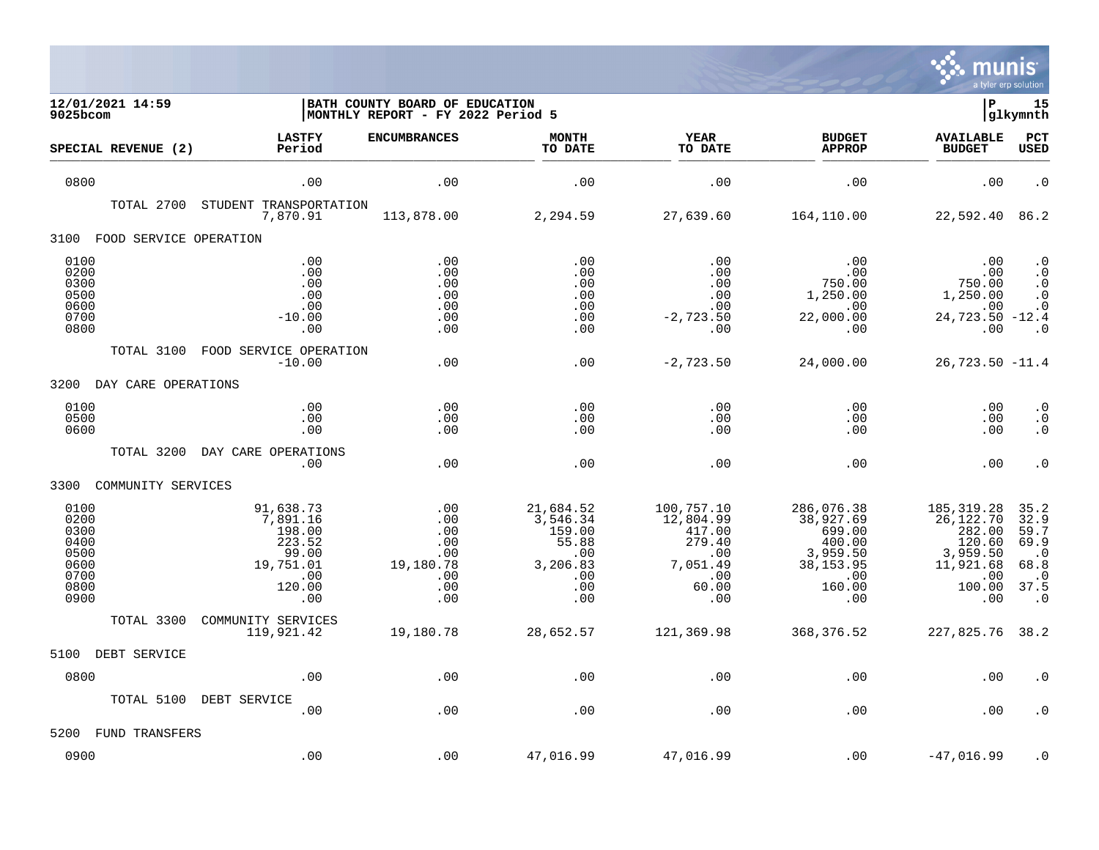

| 12/01/2021 14:59<br>9025bcom                                         |                                                                                         | BATH COUNTY BOARD OF EDUCATION<br>MONTHLY REPORT - FY 2022 Period 5 |                                                                                  |                                                                                       |                                                                                               | ΙP                                                                                            | 15<br> glkymnth                                                                              |
|----------------------------------------------------------------------|-----------------------------------------------------------------------------------------|---------------------------------------------------------------------|----------------------------------------------------------------------------------|---------------------------------------------------------------------------------------|-----------------------------------------------------------------------------------------------|-----------------------------------------------------------------------------------------------|----------------------------------------------------------------------------------------------|
| SPECIAL REVENUE (2)                                                  | <b>LASTFY</b><br>Period                                                                 | <b>ENCUMBRANCES</b>                                                 | <b>MONTH</b><br>TO DATE                                                          | <b>YEAR</b><br>TO DATE                                                                | <b>BUDGET</b><br><b>APPROP</b>                                                                | <b>AVAILABLE</b><br><b>BUDGET</b>                                                             | <b>PCT</b><br><b>USED</b>                                                                    |
| 0800                                                                 | .00                                                                                     | .00                                                                 | .00                                                                              | .00                                                                                   | .00                                                                                           | .00                                                                                           | $\cdot$ 0                                                                                    |
| TOTAL 2700                                                           | STUDENT TRANSPORTATION<br>7,870.91                                                      | 113,878.00                                                          | 2,294.59                                                                         | 27,639.60                                                                             | 164,110.00                                                                                    | 22,592.40                                                                                     | 86.2                                                                                         |
| 3100<br>FOOD SERVICE OPERATION                                       |                                                                                         |                                                                     |                                                                                  |                                                                                       |                                                                                               |                                                                                               |                                                                                              |
| 0100<br>0200<br>0300<br>0500<br>0600<br>0700<br>0800                 | .00<br>.00<br>.00<br>.00<br>.00<br>$-10.00$<br>.00                                      | .00<br>.00<br>.00<br>.00<br>.00<br>.00<br>.00                       | .00<br>.00<br>.00<br>.00<br>.00<br>.00<br>.00                                    | .00<br>$.00 \,$<br>.00<br>.00<br>.00<br>$-2,723.50$<br>.00                            | .00<br>.00<br>750.00<br>1,250.00<br>.00<br>22,000.00<br>.00                                   | .00<br>750.00<br>1,250.00<br>.00<br>24,723.50 -12.4<br>.00                                    | . $\boldsymbol{0}$<br>$\cdot$ 0<br>. $\boldsymbol{0}$<br>$\cdot$ 0<br>$\cdot$ 0<br>$\cdot$ 0 |
| TOTAL 3100                                                           | FOOD SERVICE OPERATION<br>$-10.00$                                                      | .00                                                                 | .00                                                                              | $-2,723.50$                                                                           | 24,000.00                                                                                     | $26,723.50 -11.4$                                                                             |                                                                                              |
| 3200<br>DAY CARE OPERATIONS                                          |                                                                                         |                                                                     |                                                                                  |                                                                                       |                                                                                               |                                                                                               |                                                                                              |
| 0100<br>0500<br>0600                                                 | .00<br>.00<br>.00                                                                       | .00<br>.00<br>.00                                                   | .00<br>.00<br>.00                                                                | .00<br>.00<br>.00                                                                     | .00<br>.00<br>.00                                                                             | .00<br>.00<br>.00                                                                             | $\cdot$ 0<br>. 0<br>$\cdot$ 0                                                                |
| TOTAL 3200                                                           | DAY CARE OPERATIONS<br>.00                                                              | .00                                                                 | .00                                                                              | .00                                                                                   | .00                                                                                           | .00                                                                                           | $\cdot$ 0                                                                                    |
| COMMUNITY SERVICES<br>3300                                           |                                                                                         |                                                                     |                                                                                  |                                                                                       |                                                                                               |                                                                                               |                                                                                              |
| 0100<br>0200<br>0300<br>0400<br>0500<br>0600<br>0700<br>0800<br>0900 | 91,638.73<br>7,891.16<br>198.00<br>223.52<br>99.00<br>19,751.01<br>.00<br>120.00<br>.00 | .00<br>.00<br>.00<br>.00<br>.00<br>19,180.78<br>.00<br>.00<br>.00   | 21,684.52<br>3,546.34<br>159.00<br>55.88<br>.00<br>3,206.83<br>.00<br>.00<br>.00 | 100,757.10<br>12,804.99<br>417.00<br>279.40<br>.00<br>7,051.49<br>.00<br>60.00<br>.00 | 286,076.38<br>38,927.69<br>699.00<br>400.00<br>3,959.50<br>38, 153.95<br>.00<br>160.00<br>.00 | 185, 319.28<br>26,122.70<br>282.00<br>120.60<br>3,959.50<br>11,921.68<br>.00<br>100.00<br>.00 | 35.2<br>32.9<br>59.7<br>69.9<br>$\cdot$ 0<br>68.8<br>$\cdot$ 0<br>37.5<br>$\cdot$ 0          |
| TOTAL 3300                                                           | COMMUNITY SERVICES                                                                      |                                                                     |                                                                                  |                                                                                       |                                                                                               |                                                                                               |                                                                                              |
| 5100<br>DEBT SERVICE                                                 | 119,921.42                                                                              | 19,180.78                                                           | 28,652.57                                                                        | 121,369.98                                                                            | 368,376.52                                                                                    | 227,825.76 38.2                                                                               |                                                                                              |
| 0800                                                                 | .00                                                                                     | .00                                                                 | .00                                                                              | .00                                                                                   | .00                                                                                           | .00                                                                                           | . 0                                                                                          |
| TOTAL 5100                                                           | DEBT SERVICE<br>.00                                                                     | .00                                                                 | .00                                                                              | .00                                                                                   | .00                                                                                           | .00                                                                                           | . 0                                                                                          |
| 5200<br>FUND TRANSFERS                                               |                                                                                         |                                                                     |                                                                                  |                                                                                       |                                                                                               |                                                                                               |                                                                                              |
| 0900                                                                 | .00                                                                                     | .00                                                                 | 47,016.99                                                                        | 47,016.99                                                                             | .00                                                                                           | $-47,016.99$                                                                                  | $\cdot$ 0                                                                                    |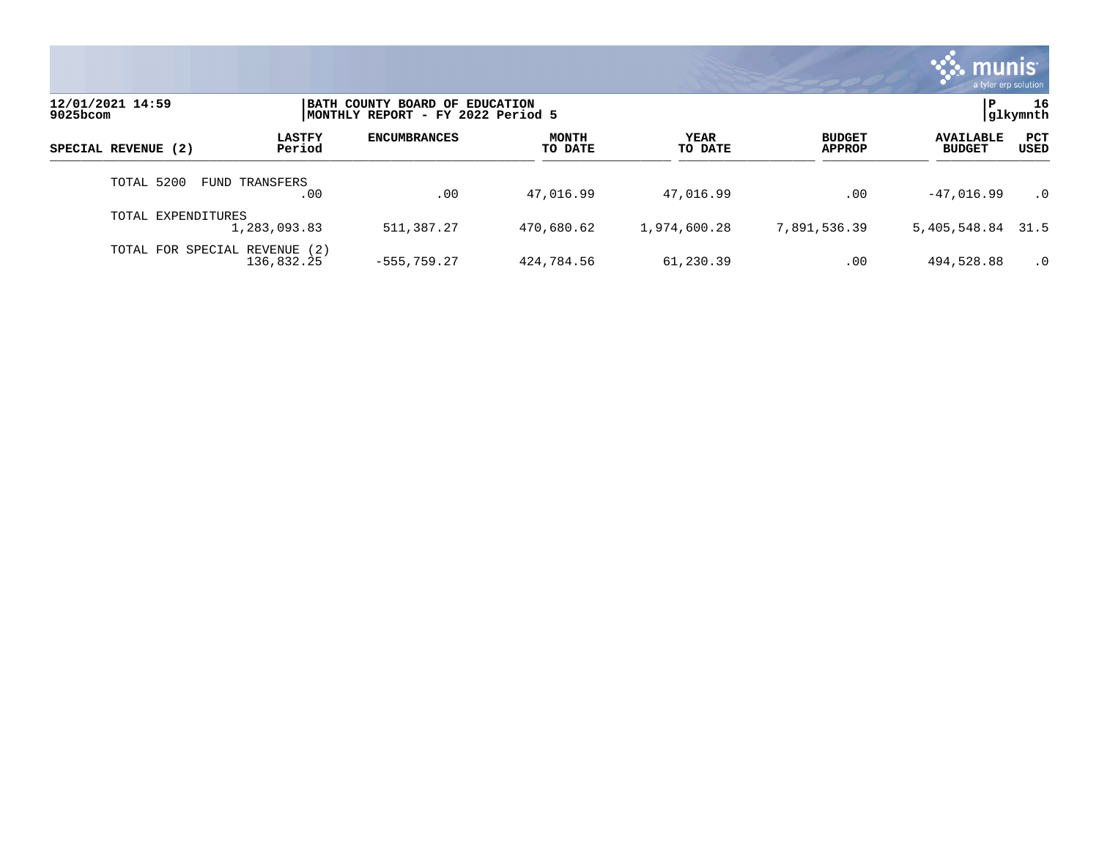

| 12/01/2021 14:59<br>9025bcom | BATH COUNTY BOARD OF EDUCATION<br>MONTHLY REPORT - FY 2022 Period 5 |                     |                  |                        |                                |                                   | 16<br> glkymnth      |
|------------------------------|---------------------------------------------------------------------|---------------------|------------------|------------------------|--------------------------------|-----------------------------------|----------------------|
| SPECIAL REVENUE (2)          | <b>LASTFY</b><br>Period                                             | <b>ENCUMBRANCES</b> | MONTH<br>TO DATE | <b>YEAR</b><br>TO DATE | <b>BUDGET</b><br><b>APPROP</b> | <b>AVAILABLE</b><br><b>BUDGET</b> | <b>PCT</b><br>USED   |
| TOTAL 5200                   | <b>FUND TRANSFERS</b><br>.00                                        | .00                 | 47,016.99        | 47,016.99              | .00                            | $-47,016.99$                      | $\cdot$ <sup>0</sup> |
| TOTAL EXPENDITURES           | 1,283,093.83                                                        | 511,387.27          | 470,680.62       | 1,974,600.28           | 7,891,536.39                   | 5,405,548.84 31.5                 |                      |
| TOTAL FOR SPECIAL REVENUE    | (2)<br>136,832.25                                                   | $-555.759.27$       | 424,784.56       | 61,230.39              | .00                            | 494,528.88                        | $\cdot$ 0            |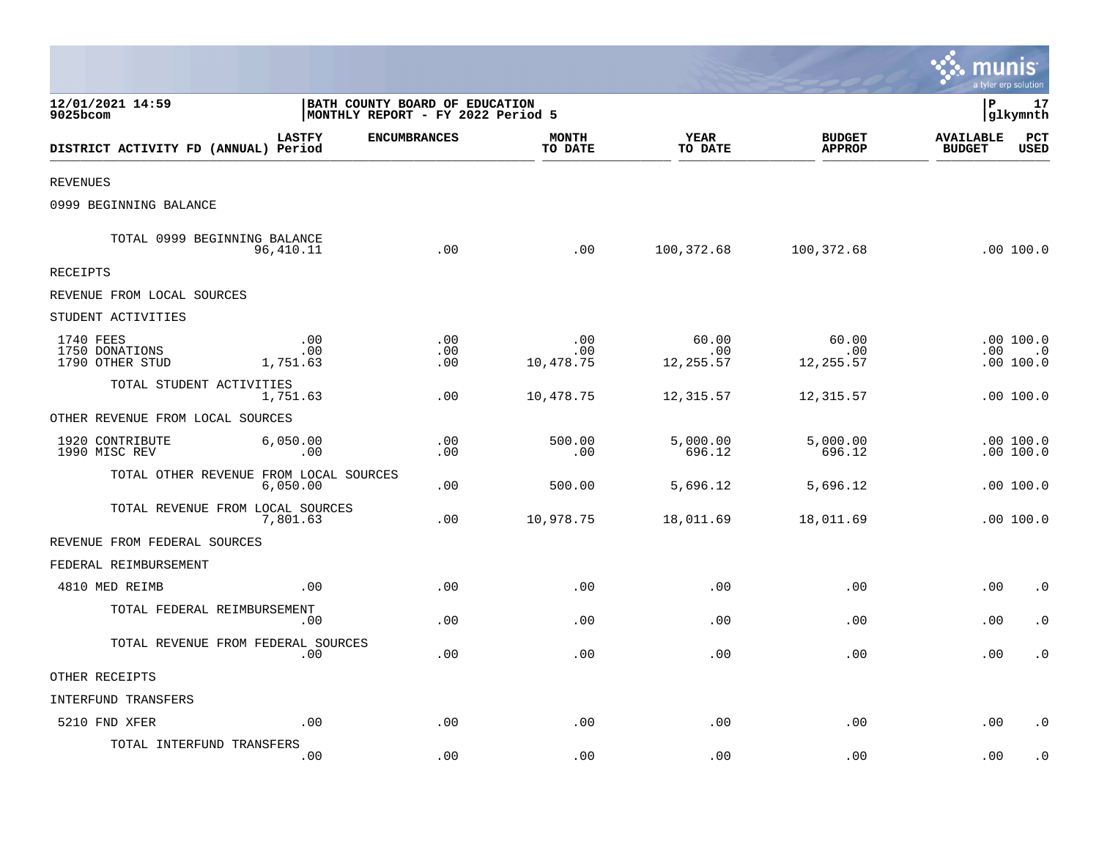|                                                |                        |                                                                     |                         |                            |                                |                                   | a tyler erp solution                |
|------------------------------------------------|------------------------|---------------------------------------------------------------------|-------------------------|----------------------------|--------------------------------|-----------------------------------|-------------------------------------|
| 12/01/2021 14:59<br>9025bcom                   |                        | BATH COUNTY BOARD OF EDUCATION<br>MONTHLY REPORT - FY 2022 Period 5 |                         |                            |                                | l P                               | 17<br>glkymnth                      |
| DISTRICT ACTIVITY FD (ANNUAL) Period           | <b>LASTFY</b>          | <b>ENCUMBRANCES</b>                                                 | <b>MONTH</b><br>TO DATE | <b>YEAR</b><br>TO DATE     | <b>BUDGET</b><br><b>APPROP</b> | <b>AVAILABLE</b><br><b>BUDGET</b> | PCT<br><b>USED</b>                  |
| <b>REVENUES</b>                                |                        |                                                                     |                         |                            |                                |                                   |                                     |
| 0999 BEGINNING BALANCE                         |                        |                                                                     |                         |                            |                                |                                   |                                     |
| TOTAL 0999 BEGINNING BALANCE                   | 96,410.11              | .00                                                                 | .00                     | 100,372.68                 | 100,372.68                     |                                   | .00 100.0                           |
| RECEIPTS                                       |                        |                                                                     |                         |                            |                                |                                   |                                     |
| REVENUE FROM LOCAL SOURCES                     |                        |                                                                     |                         |                            |                                |                                   |                                     |
| STUDENT ACTIVITIES                             |                        |                                                                     |                         |                            |                                |                                   |                                     |
| 1740 FEES<br>1750 DONATIONS<br>1790 OTHER STUD | .00<br>.00<br>1,751.63 | .00<br>.00<br>.00                                                   | .00<br>.00<br>10,478.75 | 60.00<br>.00<br>12, 255.57 | 60.00<br>.00<br>12,255.57      |                                   | .00100.0<br>$.00 \t .0$<br>.00100.0 |
| TOTAL STUDENT ACTIVITIES                       | 1,751.63               | .00                                                                 | 10,478.75               | 12,315.57                  | 12,315.57                      |                                   | .00 100.0                           |
| OTHER REVENUE FROM LOCAL SOURCES               |                        |                                                                     |                         |                            |                                |                                   |                                     |
| 1920 CONTRIBUTE<br>1990 MISC REV               | 6,050.00<br>.00        | .00<br>.00                                                          | 500.00<br>.00           | 5,000.00<br>696.12         | 5,000.00<br>696.12             |                                   | .00100.0<br>.00 100.0               |
| TOTAL OTHER REVENUE FROM LOCAL SOURCES         | 6,050.00               | .00                                                                 | 500.00                  | 5,696.12                   | 5,696.12                       |                                   | .00100.0                            |
| TOTAL REVENUE FROM LOCAL SOURCES               | 7,801.63               | .00                                                                 | 10,978.75               | 18,011.69                  | 18,011.69                      |                                   | .00 100.0                           |
| REVENUE FROM FEDERAL SOURCES                   |                        |                                                                     |                         |                            |                                |                                   |                                     |
| FEDERAL REIMBURSEMENT                          |                        |                                                                     |                         |                            |                                |                                   |                                     |
| 4810 MED REIMB                                 | .00                    | .00                                                                 | .00                     | .00                        | .00                            | .00                               | $\cdot$ 0                           |
| TOTAL FEDERAL REIMBURSEMENT                    | .00                    | .00                                                                 | .00                     | .00                        | .00                            | .00                               | $\cdot$ 0                           |
| TOTAL REVENUE FROM FEDERAL SOURCES             | .00                    | .00                                                                 | .00                     | .00                        | .00                            | .00                               | $\cdot$ 0                           |
| OTHER RECEIPTS                                 |                        |                                                                     |                         |                            |                                |                                   |                                     |
| INTERFUND TRANSFERS                            |                        |                                                                     |                         |                            |                                |                                   |                                     |
| 5210 FND XFER                                  | .00                    | .00                                                                 | .00                     | .00                        | .00                            | .00                               | $\cdot$ 0                           |
| TOTAL INTERFUND TRANSFERS                      | .00                    | .00                                                                 | .00                     | .00                        | .00                            | .00                               | . 0                                 |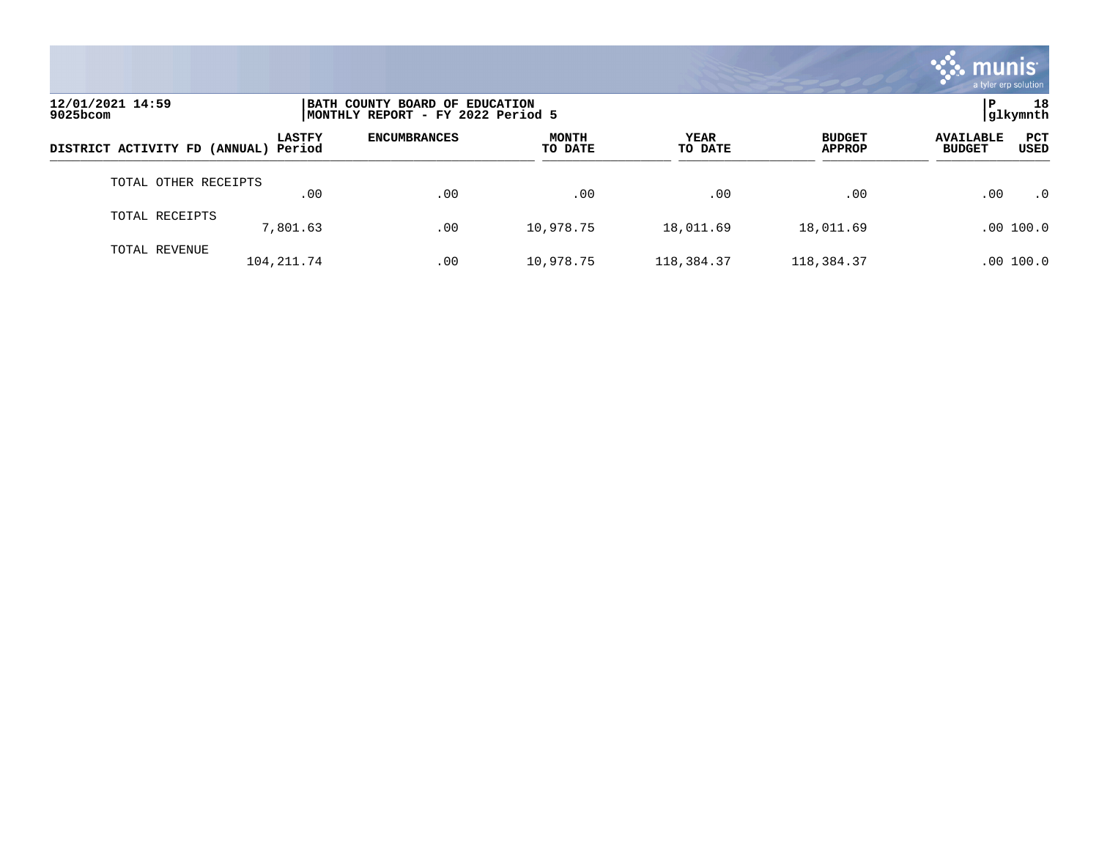

| 12/01/2021 14:59<br>9025bcom         |               | BATH COUNTY BOARD OF EDUCATION<br>MONTHLY REPORT - FY 2022 Period 5 |                         |                        |                                |                                                         |  |  |
|--------------------------------------|---------------|---------------------------------------------------------------------|-------------------------|------------------------|--------------------------------|---------------------------------------------------------|--|--|
| DISTRICT ACTIVITY FD (ANNUAL) Period | <b>LASTFY</b> | <b>ENCUMBRANCES</b>                                                 | <b>MONTH</b><br>TO DATE | <b>YEAR</b><br>TO DATE | <b>BUDGET</b><br><b>APPROP</b> | <b>PCT</b><br><b>AVAILABLE</b><br>USED<br><b>BUDGET</b> |  |  |
| TOTAL OTHER RECEIPTS                 | .00           | .00                                                                 | .00                     | .00                    | .00                            | .00<br>$\cdot$ 0                                        |  |  |
| TOTAL RECEIPTS                       | 7,801.63      | .00                                                                 | 10,978.75               | 18,011.69              | 18,011.69                      | .00 100.0                                               |  |  |
| TOTAL REVENUE                        | 104, 211.74   | .00                                                                 | 10,978.75               | 118,384.37             | 118,384.37                     | .00 100.0                                               |  |  |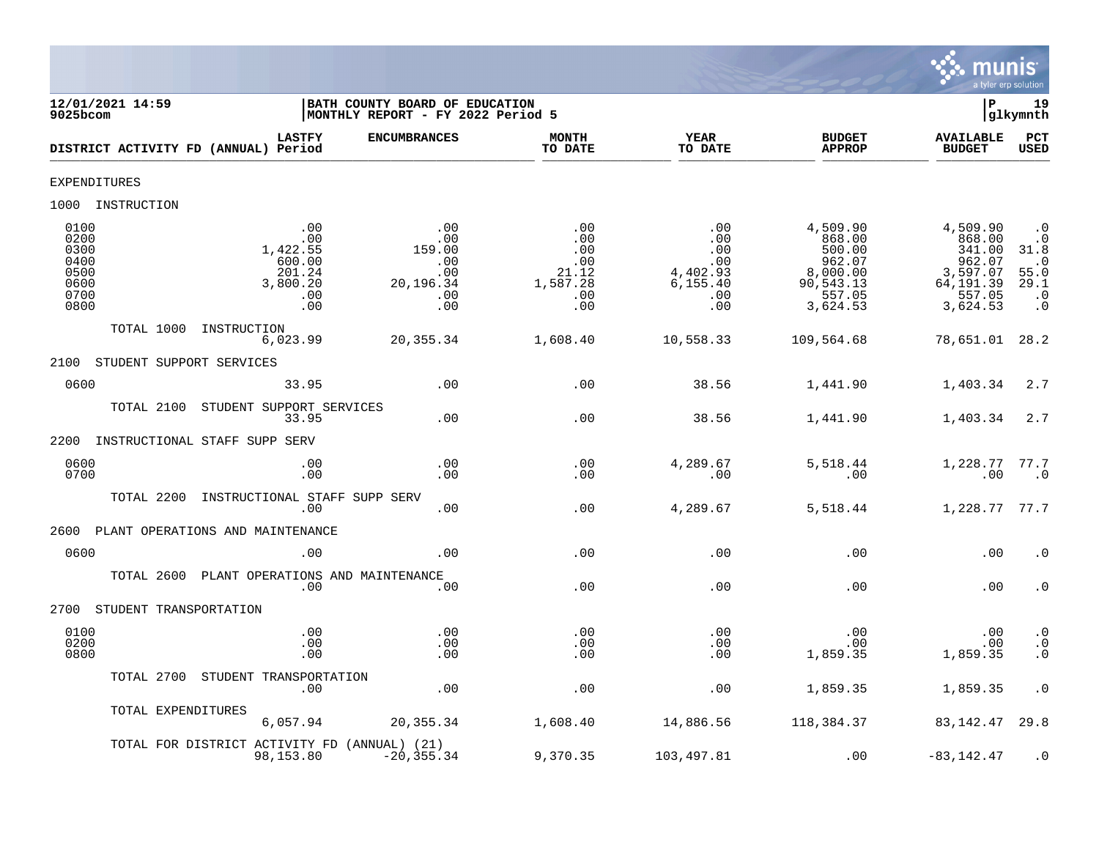

| 9025bcom                                                     | 12/01/2021 14:59         |                                                                      | BATH COUNTY BOARD OF EDUCATION<br> MONTHLY REPORT - FY 2022 Period 5 |                                                             |                                                                 |                                                                                       | l P                                                                                   | 19<br> glkymnth                                                                       |
|--------------------------------------------------------------|--------------------------|----------------------------------------------------------------------|----------------------------------------------------------------------|-------------------------------------------------------------|-----------------------------------------------------------------|---------------------------------------------------------------------------------------|---------------------------------------------------------------------------------------|---------------------------------------------------------------------------------------|
|                                                              |                          | <b>LASTFY</b><br>DISTRICT ACTIVITY FD (ANNUAL) Period                | <b>ENCUMBRANCES</b>                                                  | <b>MONTH</b><br>TO DATE                                     | <b>YEAR</b><br>TO DATE                                          | <b>BUDGET</b><br><b>APPROP</b>                                                        | <b>AVAILABLE</b><br><b>BUDGET</b>                                                     | PCT<br><b>USED</b>                                                                    |
| EXPENDITURES                                                 |                          |                                                                      |                                                                      |                                                             |                                                                 |                                                                                       |                                                                                       |                                                                                       |
|                                                              | 1000 INSTRUCTION         |                                                                      |                                                                      |                                                             |                                                                 |                                                                                       |                                                                                       |                                                                                       |
| 0100<br>0200<br>0300<br>0400<br>0500<br>0600<br>0700<br>0800 |                          | .00<br>.00<br>1,422.55<br>600.00<br>201.24<br>3,800.20<br>.00<br>.00 | .00<br>.00<br>159.00<br>.00<br>.00<br>20,196.34<br>.00<br>.00        | .00<br>.00<br>.00<br>.00<br>21.12<br>1,587.28<br>.00<br>.00 | .00<br>.00<br>.00<br>.00<br>4,402.93<br>6, 155.40<br>.00<br>.00 | 4,509.90<br>868.00<br>500.00<br>962.07<br>8,000.00<br>90,543.13<br>557.05<br>3,624.53 | 4,509.90<br>868.00<br>341.00<br>962.07<br>3,597.07<br>64,191.39<br>557.05<br>3,624.53 | $\cdot$ 0<br>$\cdot$ 0<br>31.8<br>$\cdot$ 0<br>55.0<br>29.1<br>$\cdot$ 0<br>$\cdot$ 0 |
|                                                              | TOTAL 1000               | INSTRUCTION<br>6,023.99                                              | 20,355.34                                                            | 1,608.40                                                    | 10,558.33                                                       | 109,564.68                                                                            | 78,651.01                                                                             | 28.2                                                                                  |
| 2100                                                         | STUDENT SUPPORT SERVICES |                                                                      |                                                                      |                                                             |                                                                 |                                                                                       |                                                                                       |                                                                                       |
| 0600                                                         |                          | 33.95                                                                | .00                                                                  | .00                                                         | 38.56                                                           | 1,441.90                                                                              | 1,403.34                                                                              | 2.7                                                                                   |
|                                                              | TOTAL 2100               | STUDENT SUPPORT SERVICES<br>33.95                                    | .00                                                                  | .00                                                         | 38.56                                                           | 1,441.90                                                                              | 1,403.34                                                                              | 2.7                                                                                   |
| 2200                                                         |                          | INSTRUCTIONAL STAFF SUPP SERV                                        |                                                                      |                                                             |                                                                 |                                                                                       |                                                                                       |                                                                                       |
| 0600<br>0700                                                 |                          | .00<br>.00                                                           | .00<br>.00                                                           | .00<br>.00                                                  | 4,289.67<br>.00                                                 | 5,518.44<br>.00                                                                       | 1,228.77<br>.00                                                                       | 77.7<br>$\cdot$ 0                                                                     |
|                                                              | TOTAL 2200               | INSTRUCTIONAL STAFF SUPP SERV<br>.00                                 | .00                                                                  | .00                                                         | 4,289.67                                                        | 5,518.44                                                                              | 1,228.77                                                                              | 77.7                                                                                  |
| 2600                                                         |                          | PLANT OPERATIONS AND MAINTENANCE                                     |                                                                      |                                                             |                                                                 |                                                                                       |                                                                                       |                                                                                       |
| 0600                                                         |                          | .00                                                                  | .00                                                                  | .00                                                         | .00                                                             | .00                                                                                   | .00                                                                                   | $\cdot$ 0                                                                             |
|                                                              | TOTAL 2600               | PLANT OPERATIONS AND MAINTENANCE<br>.00                              | .00                                                                  | .00                                                         | .00                                                             | .00                                                                                   | .00                                                                                   | $\cdot$ 0                                                                             |
| 2700                                                         | STUDENT TRANSPORTATION   |                                                                      |                                                                      |                                                             |                                                                 |                                                                                       |                                                                                       |                                                                                       |
| 0100<br>0200<br>0800                                         |                          | .00<br>.00<br>.00                                                    | .00<br>.00<br>.00                                                    | .00<br>.00<br>.00                                           | .00<br>.00<br>.00                                               | .00<br>.00<br>1,859.35                                                                | .00<br>.00<br>1,859.35                                                                | $\cdot$ 0<br>$\cdot$ 0<br>$\cdot$ 0                                                   |
|                                                              | TOTAL 2700               | STUDENT TRANSPORTATION<br>.00                                        | .00                                                                  | .00                                                         | .00                                                             | 1,859.35                                                                              | 1,859.35                                                                              | $\cdot$ 0                                                                             |
|                                                              | TOTAL EXPENDITURES       | 6,057.94                                                             | 20, 355.34                                                           | 1,608.40                                                    | 14,886.56                                                       | 118,384.37                                                                            | 83,142.47                                                                             | 29.8                                                                                  |
|                                                              |                          | TOTAL FOR DISTRICT ACTIVITY FD (ANNUAL) (21)<br>98,153.80            | $-20, 355.34$                                                        | 9,370.35                                                    | 103,497.81                                                      | .00                                                                                   | $-83, 142.47$                                                                         | $\cdot$ 0                                                                             |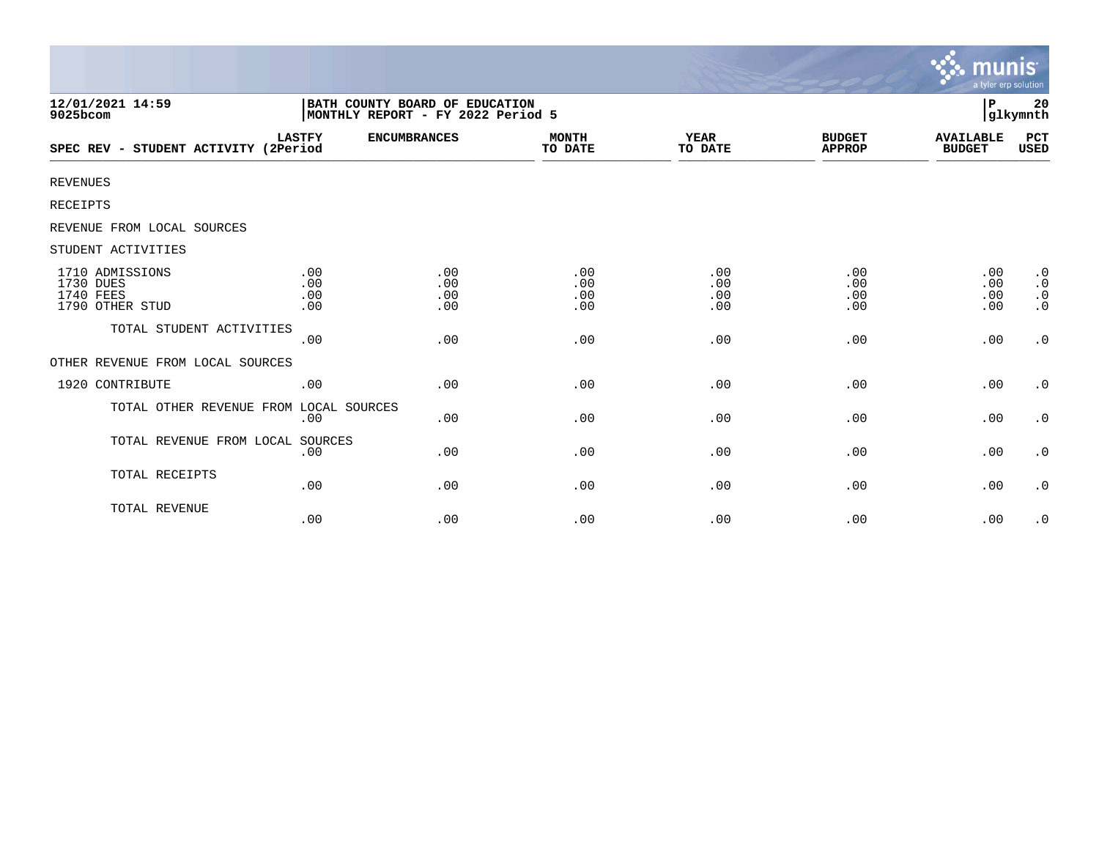|                                                                     |                          |                                                                     |                          |                          |                                | munıs<br>a tyler erp solution     |                                                               |
|---------------------------------------------------------------------|--------------------------|---------------------------------------------------------------------|--------------------------|--------------------------|--------------------------------|-----------------------------------|---------------------------------------------------------------|
| 12/01/2021 14:59<br>9025bcom                                        |                          | BATH COUNTY BOARD OF EDUCATION<br>MONTHLY REPORT - FY 2022 Period 5 |                          |                          |                                | P                                 | 20<br>glkymnth                                                |
| SPEC REV - STUDENT ACTIVITY (2Period                                | <b>LASTFY</b>            | <b>ENCUMBRANCES</b>                                                 | <b>MONTH</b><br>TO DATE  | <b>YEAR</b><br>TO DATE   | <b>BUDGET</b><br><b>APPROP</b> | <b>AVAILABLE</b><br><b>BUDGET</b> | PCT<br>USED                                                   |
| <b>REVENUES</b>                                                     |                          |                                                                     |                          |                          |                                |                                   |                                                               |
| <b>RECEIPTS</b>                                                     |                          |                                                                     |                          |                          |                                |                                   |                                                               |
| REVENUE FROM LOCAL SOURCES                                          |                          |                                                                     |                          |                          |                                |                                   |                                                               |
| STUDENT ACTIVITIES                                                  |                          |                                                                     |                          |                          |                                |                                   |                                                               |
| 1710 ADMISSIONS<br>1730 DUES<br><b>1740 FEES</b><br>1790 OTHER STUD | .00<br>.00<br>.00<br>.00 | .00<br>.00<br>.00<br>.00                                            | .00<br>.00<br>.00<br>.00 | .00<br>.00<br>.00<br>.00 | .00<br>.00<br>.00<br>.00       | .00<br>.00<br>.00<br>.00          | $\cdot$ 0<br>$\boldsymbol{\cdot}$ 0<br>$\cdot$ 0<br>$\cdot$ 0 |
| TOTAL STUDENT ACTIVITIES                                            | .00                      | .00                                                                 | .00                      | .00                      | .00                            | .00                               | $\cdot$ 0                                                     |
| OTHER REVENUE FROM LOCAL SOURCES                                    |                          |                                                                     |                          |                          |                                |                                   |                                                               |
| 1920 CONTRIBUTE                                                     | .00                      | .00                                                                 | .00                      | .00                      | .00                            | .00                               | $\cdot$ 0                                                     |
| TOTAL OTHER REVENUE FROM LOCAL SOURCES                              | .00                      | .00                                                                 | .00                      | .00                      | .00                            | .00                               | $\cdot$ 0                                                     |
| TOTAL REVENUE FROM LOCAL SOURCES                                    | .00                      | .00                                                                 | .00                      | .00                      | .00                            | .00                               | $\cdot$ 0                                                     |
| TOTAL RECEIPTS                                                      | .00                      | .00                                                                 | .00                      | .00                      | .00                            | .00                               | $\cdot$ 0                                                     |
| TOTAL REVENUE                                                       | .00                      | .00                                                                 | .00                      | .00                      | .00                            | .00                               | $\cdot$ 0                                                     |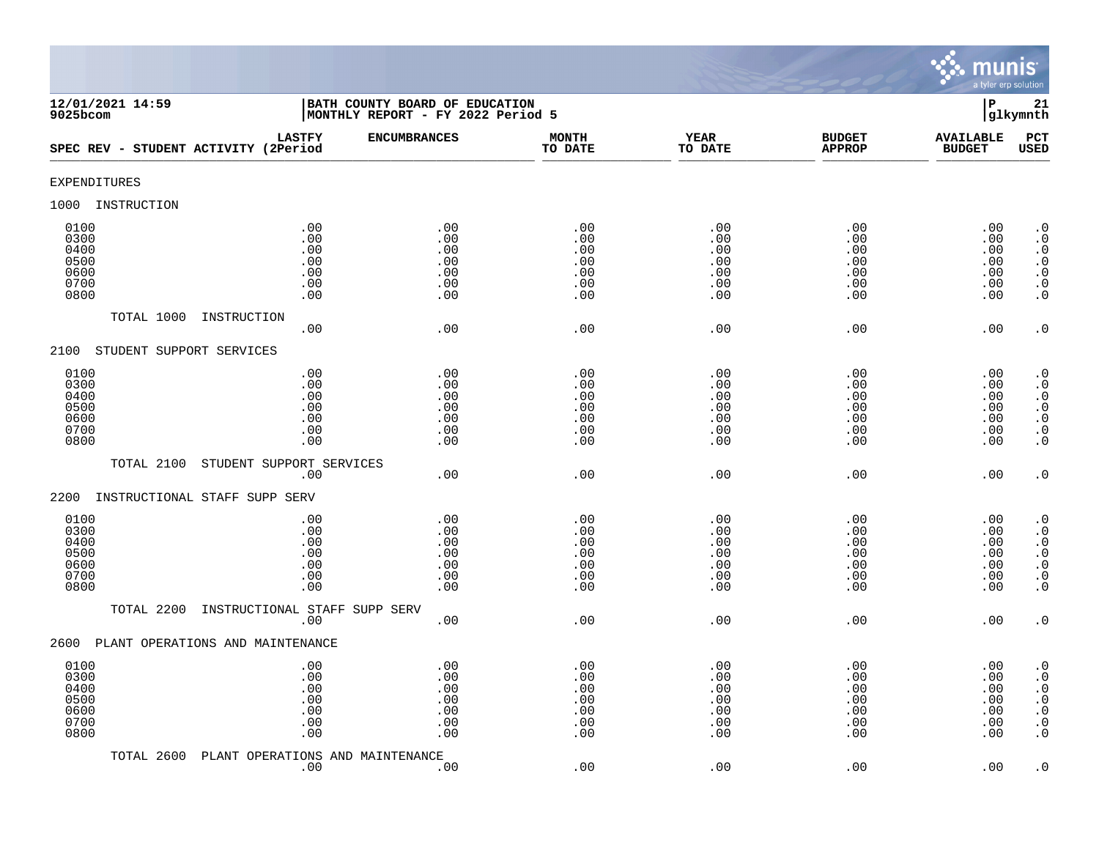

| 12/01/2021 14:59<br>$9025$ bcom                      |                                                 | BATH COUNTY BOARD OF EDUCATION<br>MONTHLY REPORT - FY 2022 Period 5 |                                               |                                               |                                               | $\mathbf P$                                   | 21<br>glkymnth                                                                                                                                    |
|------------------------------------------------------|-------------------------------------------------|---------------------------------------------------------------------|-----------------------------------------------|-----------------------------------------------|-----------------------------------------------|-----------------------------------------------|---------------------------------------------------------------------------------------------------------------------------------------------------|
| SPEC REV - STUDENT ACTIVITY (2Period                 | <b>LASTFY</b>                                   | <b>ENCUMBRANCES</b>                                                 | <b>MONTH</b><br>TO DATE                       | <b>YEAR</b><br>TO DATE                        | <b>BUDGET</b><br><b>APPROP</b>                | <b>AVAILABLE</b><br><b>BUDGET</b>             | PCT<br><b>USED</b>                                                                                                                                |
| <b>EXPENDITURES</b>                                  |                                                 |                                                                     |                                               |                                               |                                               |                                               |                                                                                                                                                   |
| 1000<br>INSTRUCTION                                  |                                                 |                                                                     |                                               |                                               |                                               |                                               |                                                                                                                                                   |
| 0100<br>0300<br>0400<br>0500<br>0600<br>0700<br>0800 | .00<br>.00<br>.00<br>$.00$<br>.00<br>.00<br>.00 | .00<br>.00<br>.00<br>.00<br>.00<br>.00<br>.00                       | .00<br>.00<br>.00<br>.00<br>.00<br>.00<br>.00 | .00<br>.00<br>.00<br>.00<br>.00<br>.00<br>.00 | .00<br>.00<br>.00<br>.00<br>.00<br>.00<br>.00 | .00<br>.00<br>.00<br>.00<br>.00<br>.00<br>.00 | $\cdot$ 0<br>$\boldsymbol{\cdot}$ 0<br>$\cdot$ 0<br>$\begin{smallmatrix} . & 0 \\ . & 0 \end{smallmatrix}$<br>$\boldsymbol{\cdot}$ 0<br>$\cdot$ 0 |
| TOTAL 1000                                           | INSTRUCTION<br>.00                              | .00                                                                 | .00                                           | .00                                           | .00                                           | .00                                           | $\cdot$ 0                                                                                                                                         |
| STUDENT SUPPORT SERVICES<br>2100                     |                                                 |                                                                     |                                               |                                               |                                               |                                               |                                                                                                                                                   |
| 0100<br>0300<br>0400<br>0500<br>0600<br>0700<br>0800 | .00<br>.00<br>.00<br>.00<br>.00<br>.00<br>.00   | .00<br>.00<br>.00<br>.00<br>.00<br>.00<br>.00                       | .00<br>.00<br>.00<br>.00<br>.00<br>.00<br>.00 | .00<br>.00<br>.00<br>.00<br>.00<br>.00<br>.00 | .00<br>.00<br>.00<br>.00<br>.00<br>.00<br>.00 | .00<br>.00<br>.00<br>.00<br>.00<br>.00<br>.00 | $\cdot$ 0<br>$\cdot$ 0<br>$\cdot$ 0<br>$\begin{array}{c} 0 \\ 0 \\ 0 \\ 0 \end{array}$<br>$\cdot$ 0                                               |
| TOTAL 2100                                           | STUDENT SUPPORT SERVICES                        |                                                                     |                                               |                                               |                                               |                                               |                                                                                                                                                   |
| 2200<br>INSTRUCTIONAL STAFF SUPP SERV                | .00                                             | .00                                                                 | .00                                           | .00                                           | .00                                           | .00                                           | $\cdot$ 0                                                                                                                                         |
| 0100<br>0300<br>0400<br>0500<br>0600<br>0700<br>0800 | .00<br>.00<br>.00<br>.00<br>.00<br>.00<br>.00   | .00<br>.00<br>.00<br>.00<br>.00<br>.00<br>.00                       | .00<br>.00<br>.00<br>.00<br>.00<br>.00<br>.00 | .00<br>.00<br>.00<br>.00<br>.00<br>.00<br>.00 | .00<br>.00<br>.00<br>.00<br>.00<br>.00<br>.00 | .00<br>.00<br>.00<br>.00<br>.00<br>.00<br>.00 | $\cdot$ 0<br>$\cdot$ 0<br>$\begin{smallmatrix} 0.1 \\ 0.1 \end{smallmatrix}$<br>$\ddot{0}$<br>$\boldsymbol{\cdot}$ 0<br>$\overline{0}$            |
| TOTAL 2200                                           | INSTRUCTIONAL STAFF SUPP SERV<br>.00            | .00                                                                 | .00                                           | .00                                           | .00                                           | .00                                           | $\cdot$ 0                                                                                                                                         |
| PLANT OPERATIONS AND MAINTENANCE<br>2600             |                                                 |                                                                     |                                               |                                               |                                               |                                               |                                                                                                                                                   |
| 0100<br>0300<br>0400<br>0500<br>0600<br>0700<br>0800 | .00<br>.00<br>.00<br>.00<br>$.00$<br>.00<br>.00 | .00<br>.00<br>.00<br>.00<br>.00<br>.00<br>.00                       | .00<br>.00<br>.00<br>.00<br>.00<br>.00<br>.00 | .00<br>.00<br>.00<br>.00<br>.00<br>.00<br>.00 | .00<br>.00<br>.00<br>.00<br>.00<br>.00<br>.00 | .00<br>.00<br>.00<br>.00<br>.00<br>.00<br>.00 | $\cdot$ 0<br>$\cdot$ 0<br>$\boldsymbol{\cdot}$ 0<br>$\ddot{0}$<br>$\boldsymbol{\cdot}$ 0<br>$\boldsymbol{\cdot}$ 0<br>$\cdot$ 0                   |
| TOTAL 2600                                           | PLANT OPERATIONS AND MAINTENANCE<br>.00         | .00                                                                 | .00                                           | .00                                           | .00                                           | .00                                           | $\cdot$ 0                                                                                                                                         |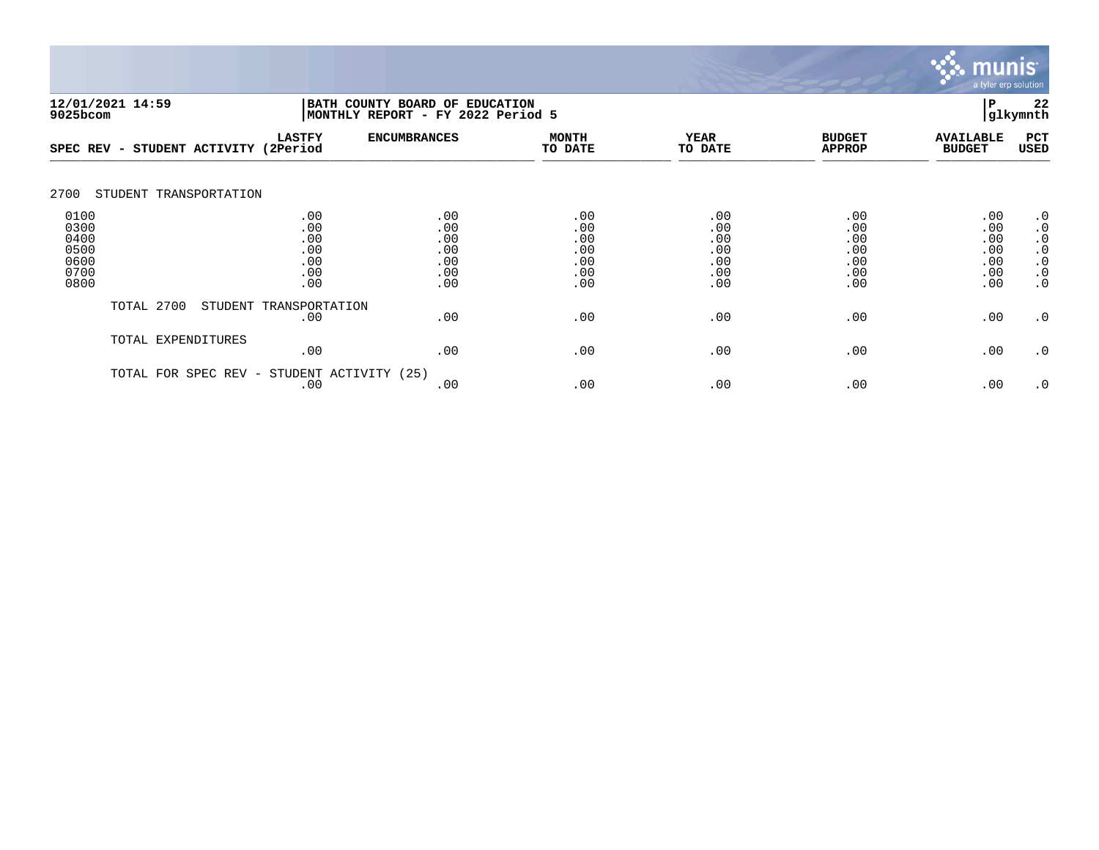

| 9025bcom                                             | 12/01/2021 14:59                             |                                               | 22<br>BATH COUNTY BOARD OF EDUCATION<br>P<br>glkymnth<br> MONTHLY REPORT - FY 2022 Period 5 |                                               |                                               |                                               |                                               |                                                                                         |  |
|------------------------------------------------------|----------------------------------------------|-----------------------------------------------|---------------------------------------------------------------------------------------------|-----------------------------------------------|-----------------------------------------------|-----------------------------------------------|-----------------------------------------------|-----------------------------------------------------------------------------------------|--|
| SPEC REV                                             | STUDENT ACTIVITY<br>$\overline{\phantom{0}}$ | <b>LASTFY</b><br>(2Period                     | <b>ENCUMBRANCES</b>                                                                         | <b>MONTH</b><br>TO DATE                       | <b>YEAR</b><br>TO DATE                        | <b>BUDGET</b><br><b>APPROP</b>                | <b>AVAILABLE</b><br><b>BUDGET</b>             | PCT<br><b>USED</b>                                                                      |  |
| 2700                                                 | STUDENT TRANSPORTATION                       |                                               |                                                                                             |                                               |                                               |                                               |                                               |                                                                                         |  |
| 0100<br>0300<br>0400<br>0500<br>0600<br>0700<br>0800 |                                              | .00<br>.00<br>.00<br>.00<br>.00<br>.00<br>.00 | .00<br>.00<br>.00<br>.00<br>.00<br>.00<br>.00                                               | .00<br>.00<br>.00<br>.00<br>.00<br>.00<br>.00 | .00<br>.00<br>.00<br>.00<br>.00<br>.00<br>.00 | .00<br>.00<br>.00<br>.00<br>.00<br>.00<br>.00 | .00<br>.00<br>.00<br>.00<br>.00<br>.00<br>.00 | $\cdot$ 0<br>$\cdot$ 0<br>$\cdot$ 0<br>$\cdot$ 0<br>$\cdot$ 0<br>$\cdot$ 0<br>$\cdot$ 0 |  |
|                                                      | TOTAL 2700                                   | STUDENT TRANSPORTATION<br>.00                 | .00                                                                                         | .00                                           | .00                                           | .00                                           | .00                                           | $\cdot$ 0                                                                               |  |
|                                                      | TOTAL EXPENDITURES                           | .00                                           | .00                                                                                         | .00                                           | .00                                           | .00                                           | .00                                           | $\cdot$ 0                                                                               |  |
|                                                      | TOTAL FOR SPEC REV -                         | STUDENT ACTIVITY (25)<br>.00                  | .00                                                                                         | .00                                           | .00                                           | .00                                           | .00                                           | $\cdot$ 0                                                                               |  |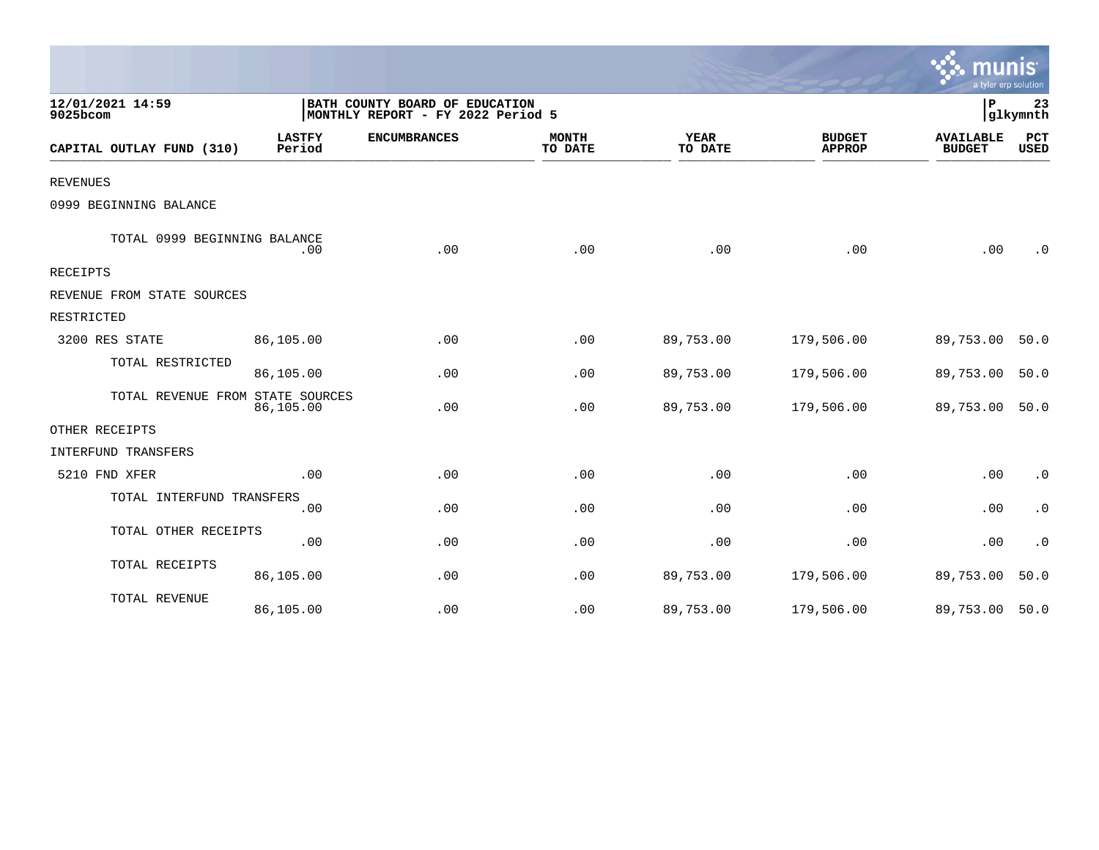|                                  |                                                                     |                     |                         |                        |                                | a tyler erp solution              |             |
|----------------------------------|---------------------------------------------------------------------|---------------------|-------------------------|------------------------|--------------------------------|-----------------------------------|-------------|
| 12/01/2021 14:59<br>9025bcom     | BATH COUNTY BOARD OF EDUCATION<br>MONTHLY REPORT - FY 2022 Period 5 |                     |                         |                        | ΙP                             | 23<br>glkymnth                    |             |
| CAPITAL OUTLAY FUND (310)        | <b>LASTFY</b><br>Period                                             | <b>ENCUMBRANCES</b> | <b>MONTH</b><br>TO DATE | <b>YEAR</b><br>TO DATE | <b>BUDGET</b><br><b>APPROP</b> | <b>AVAILABLE</b><br><b>BUDGET</b> | PCT<br>USED |
| <b>REVENUES</b>                  |                                                                     |                     |                         |                        |                                |                                   |             |
| 0999 BEGINNING BALANCE           |                                                                     |                     |                         |                        |                                |                                   |             |
| TOTAL 0999 BEGINNING BALANCE     | .00                                                                 | .00                 | .00                     | .00                    | .00                            | .00                               | $\cdot$ 0   |
| <b>RECEIPTS</b>                  |                                                                     |                     |                         |                        |                                |                                   |             |
| REVENUE FROM STATE SOURCES       |                                                                     |                     |                         |                        |                                |                                   |             |
| RESTRICTED                       |                                                                     |                     |                         |                        |                                |                                   |             |
| 3200 RES STATE                   | 86,105.00                                                           | .00                 | .00                     | 89,753.00              | 179,506.00                     | 89,753.00                         | 50.0        |
| TOTAL RESTRICTED                 | 86,105.00                                                           | .00                 | .00                     | 89,753.00              | 179,506.00                     | 89,753.00                         | 50.0        |
| TOTAL REVENUE FROM STATE SOURCES | 86,105.00                                                           | .00                 | .00                     | 89,753.00              | 179,506.00                     | 89,753.00                         | 50.0        |
| OTHER RECEIPTS                   |                                                                     |                     |                         |                        |                                |                                   |             |
| INTERFUND TRANSFERS              |                                                                     |                     |                         |                        |                                |                                   |             |
| 5210 FND XFER                    | .00                                                                 | .00                 | .00                     | .00                    | .00                            | .00                               | $\cdot$ 0   |
| TOTAL INTERFUND TRANSFERS        | .00                                                                 | .00                 | .00                     | .00                    | .00                            | .00                               | $\cdot$ 0   |
| TOTAL OTHER RECEIPTS             | .00                                                                 | .00                 | .00                     | .00                    | .00                            | .00                               | $\cdot$ 0   |
| TOTAL RECEIPTS                   | 86,105.00                                                           | .00                 | .00                     | 89,753.00              | 179,506.00                     | 89,753.00                         | 50.0        |
| TOTAL REVENUE                    | 86,105.00                                                           | .00                 | .00                     | 89,753.00              | 179,506.00                     | 89,753.00                         | 50.0        |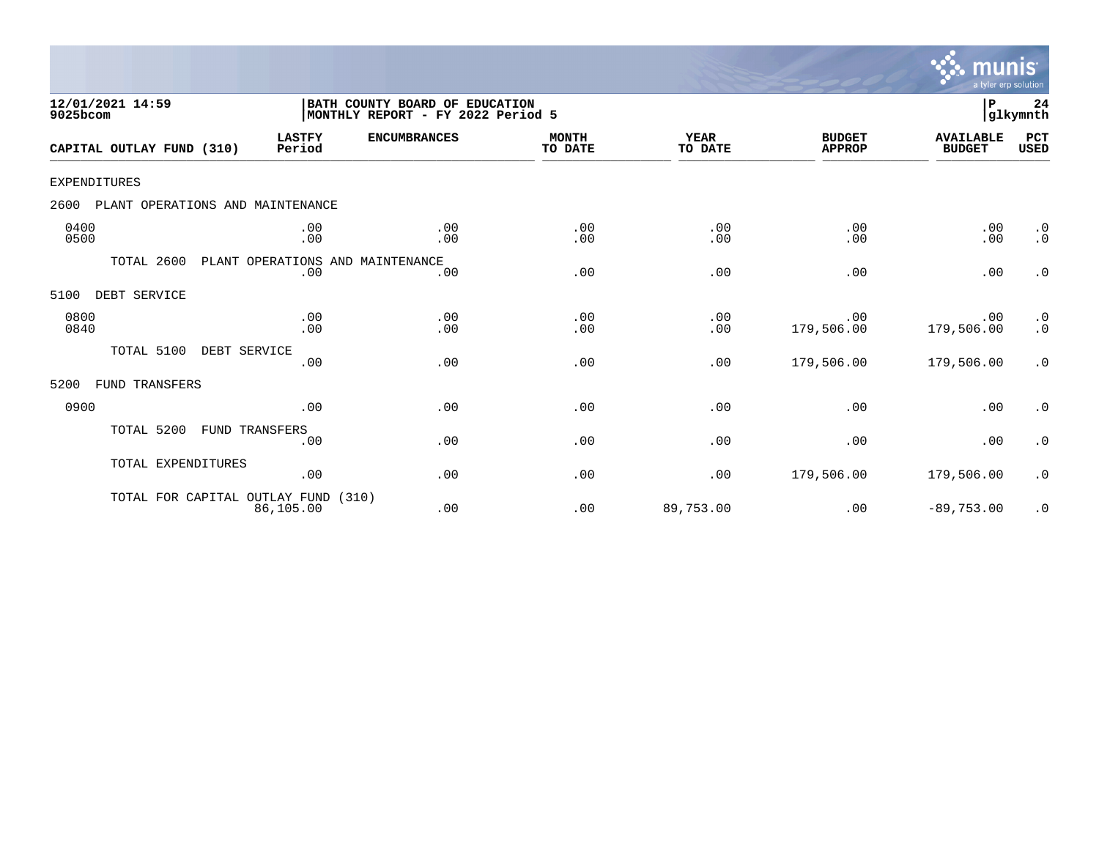

| 12/01/2021 14:59<br>9025bcom             |                                         | BATH COUNTY BOARD OF EDUCATION<br>MONTHLY REPORT - FY 2022 Period 5 |                         |                        |                                | ${\bf P}$                         | 24<br> glkymnth        |
|------------------------------------------|-----------------------------------------|---------------------------------------------------------------------|-------------------------|------------------------|--------------------------------|-----------------------------------|------------------------|
| CAPITAL OUTLAY FUND (310)                | <b>LASTFY</b><br>Period                 | <b>ENCUMBRANCES</b>                                                 | <b>MONTH</b><br>TO DATE | <b>YEAR</b><br>TO DATE | <b>BUDGET</b><br><b>APPROP</b> | <b>AVAILABLE</b><br><b>BUDGET</b> | PCT<br><b>USED</b>     |
| <b>EXPENDITURES</b>                      |                                         |                                                                     |                         |                        |                                |                                   |                        |
| PLANT OPERATIONS AND MAINTENANCE<br>2600 |                                         |                                                                     |                         |                        |                                |                                   |                        |
| 0400<br>0500                             | .00<br>.00                              | .00<br>.00                                                          | .00<br>.00              | .00<br>.00             | .00<br>.00                     | .00<br>.00                        | $\cdot$ 0<br>$\cdot$ 0 |
| TOTAL 2600                               | PLANT OPERATIONS AND MAINTENANCE<br>.00 | .00                                                                 | .00                     | .00                    | .00                            | .00                               | $\cdot$ 0              |
| DEBT SERVICE<br>5100                     |                                         |                                                                     |                         |                        |                                |                                   |                        |
| 0800<br>0840                             | .00<br>.00                              | .00<br>.00                                                          | .00<br>.00              | .00<br>.00             | .00<br>179,506.00              | .00<br>179,506.00                 | $\cdot$ 0<br>$\cdot$ 0 |
| TOTAL 5100<br>DEBT SERVICE               | .00                                     | .00                                                                 | .00                     | .00                    | 179,506.00                     | 179,506.00                        | $\cdot$ 0              |
| FUND TRANSFERS<br>5200                   |                                         |                                                                     |                         |                        |                                |                                   |                        |
| 0900                                     | .00                                     | .00                                                                 | .00                     | .00                    | .00                            | .00                               | $\cdot$ 0              |
| TOTAL 5200                               | FUND TRANSFERS<br>.00                   | .00                                                                 | .00                     | .00                    | .00                            | .00                               | $\cdot$ 0              |
| TOTAL EXPENDITURES                       | .00                                     | .00                                                                 | .00                     | .00                    | 179,506.00                     | 179,506.00                        | $\cdot$ 0              |
| TOTAL FOR CAPITAL OUTLAY FUND            | 86,105.00                               | (310)<br>.00                                                        | .00                     | 89,753.00              | .00                            | $-89,753.00$                      | $\cdot$ 0              |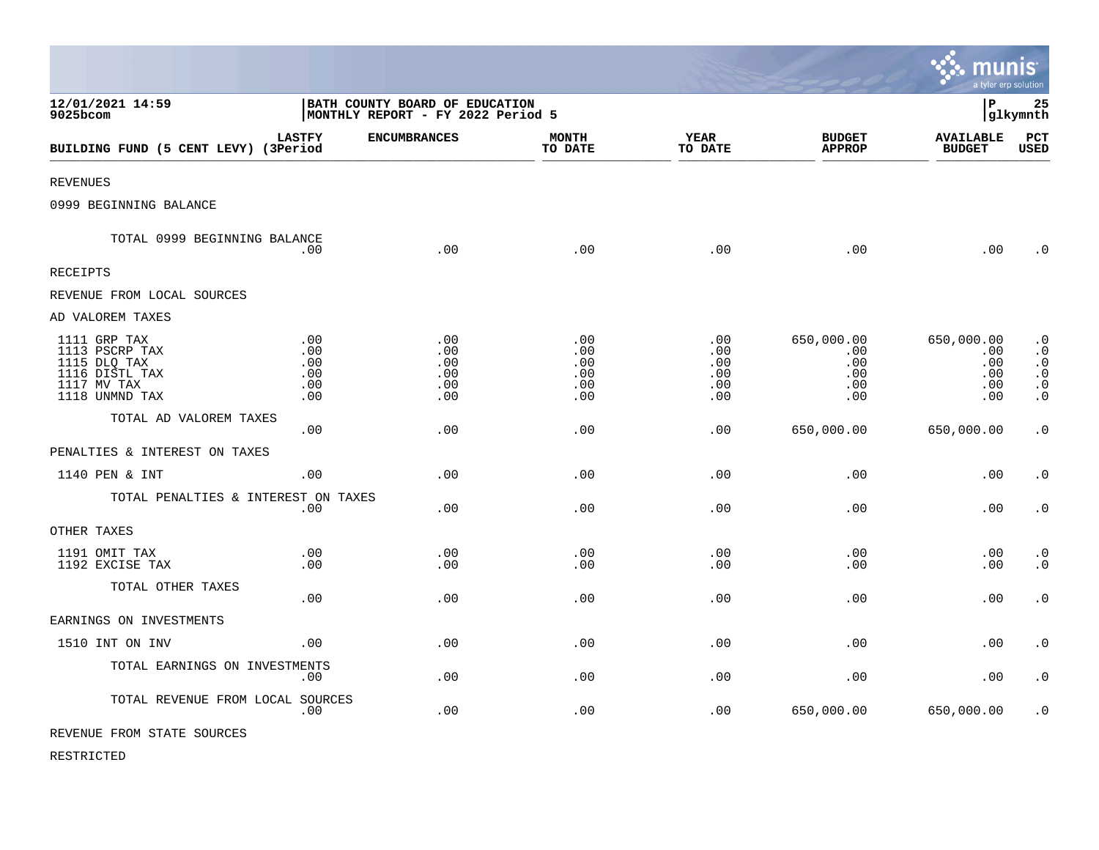|                                                                                                   |                                         |                                                                     |                                        |                                        |                                               | Imu<br>a tyler erp solution                   | INIS                                                                                    |
|---------------------------------------------------------------------------------------------------|-----------------------------------------|---------------------------------------------------------------------|----------------------------------------|----------------------------------------|-----------------------------------------------|-----------------------------------------------|-----------------------------------------------------------------------------------------|
| 12/01/2021 14:59<br>9025bcom                                                                      |                                         | BATH COUNTY BOARD OF EDUCATION<br>MONTHLY REPORT - FY 2022 Period 5 |                                        |                                        |                                               | l P                                           | 25<br> glkymnth                                                                         |
| BUILDING FUND (5 CENT LEVY) (3Period                                                              | <b>LASTFY</b>                           | <b>ENCUMBRANCES</b>                                                 | <b>MONTH</b><br>TO DATE                | <b>YEAR</b><br>TO DATE                 | <b>BUDGET</b><br><b>APPROP</b>                | <b>AVAILABLE</b><br><b>BUDGET</b>             | PCT<br><b>USED</b>                                                                      |
| <b>REVENUES</b>                                                                                   |                                         |                                                                     |                                        |                                        |                                               |                                               |                                                                                         |
| 0999 BEGINNING BALANCE                                                                            |                                         |                                                                     |                                        |                                        |                                               |                                               |                                                                                         |
| TOTAL 0999 BEGINNING BALANCE                                                                      | .00                                     | .00                                                                 | .00                                    | .00                                    | .00                                           | .00                                           | $\overline{0}$                                                                          |
| <b>RECEIPTS</b>                                                                                   |                                         |                                                                     |                                        |                                        |                                               |                                               |                                                                                         |
| REVENUE FROM LOCAL SOURCES                                                                        |                                         |                                                                     |                                        |                                        |                                               |                                               |                                                                                         |
| AD VALOREM TAXES                                                                                  |                                         |                                                                     |                                        |                                        |                                               |                                               |                                                                                         |
| 1111 GRP TAX<br>1113 PSCRP TAX<br>1115 DLQ TAX<br>1116 DISTL TAX<br>1117 MV TAX<br>1118 UNMND TAX | .00<br>.00.<br>.00<br>.00<br>.00<br>.00 | $.00$<br>.00<br>.00<br>.00<br>.00<br>.00                            | .00<br>.00<br>.00<br>.00<br>.00<br>.00 | .00<br>.00<br>.00<br>.00<br>.00<br>.00 | 650,000.00<br>.00<br>.00<br>.00<br>.00<br>.00 | 650,000.00<br>.00<br>.00<br>.00<br>.00<br>.00 | $\cdot$ 0<br>$\boldsymbol{\cdot}$ 0<br>$\cdot$ 0<br>$\cdot$ 0<br>$\cdot$ 0<br>$\cdot$ 0 |
| TOTAL AD VALOREM TAXES                                                                            | .00.                                    | .00                                                                 | .00                                    | .00                                    | 650,000.00                                    | 650,000.00                                    | $\cdot$ 0                                                                               |
| PENALTIES & INTEREST ON TAXES                                                                     |                                         |                                                                     |                                        |                                        |                                               |                                               |                                                                                         |
| 1140 PEN & INT                                                                                    | .00                                     | .00                                                                 | .00                                    | .00                                    | .00                                           | .00                                           | $\cdot$ 0                                                                               |
| TOTAL PENALTIES & INTEREST ON TAXES                                                               | .00                                     | .00                                                                 | .00                                    | .00                                    | .00                                           | .00                                           | $\boldsymbol{\cdot}$ 0                                                                  |
| OTHER TAXES                                                                                       |                                         |                                                                     |                                        |                                        |                                               |                                               |                                                                                         |
| 1191 OMIT TAX<br>1192 EXCISE TAX                                                                  | .00<br>.00.                             | .00<br>.00                                                          | .00<br>.00                             | .00<br>.00                             | .00<br>.00                                    | .00<br>.00                                    | $\cdot$ 0<br>$\cdot$ 0                                                                  |
| TOTAL OTHER TAXES                                                                                 | .00                                     | .00                                                                 | .00                                    | .00                                    | .00                                           | .00                                           | $\cdot$ 0                                                                               |
| EARNINGS ON INVESTMENTS                                                                           |                                         |                                                                     |                                        |                                        |                                               |                                               |                                                                                         |
| 1510 INT ON INV                                                                                   | .00                                     | .00                                                                 | .00                                    | .00                                    | .00                                           | .00                                           | $\cdot$ 0                                                                               |
| TOTAL EARNINGS ON INVESTMENTS                                                                     | .00                                     | .00                                                                 | .00                                    | .00                                    | .00                                           | .00                                           | $\cdot$ 0                                                                               |
| TOTAL REVENUE FROM LOCAL SOURCES                                                                  | .00                                     | .00                                                                 | .00                                    | .00                                    | 650,000.00                                    | 650,000.00                                    | $\cdot$ 0                                                                               |
| REVENUE FROM STATE SOURCES                                                                        |                                         |                                                                     |                                        |                                        |                                               |                                               |                                                                                         |

 $\mathcal{L}$ 

RESTRICTED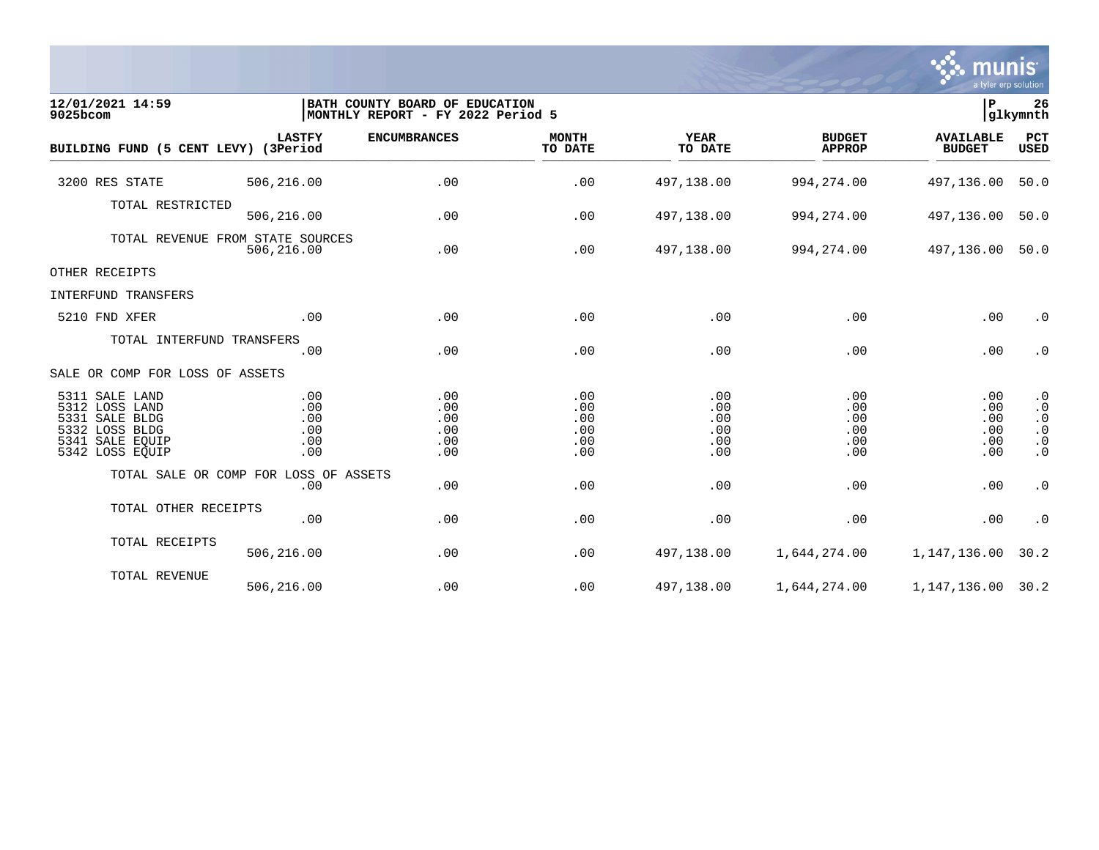

| 12/01/2021 14:59<br>9025bcom                                                                                  |                                        | BATH COUNTY BOARD OF EDUCATION<br>MONTHLY REPORT - FY 2022 Period 5 |                                        |                                        |                                        | P.                                     | 26<br>glkymnth                                                             |
|---------------------------------------------------------------------------------------------------------------|----------------------------------------|---------------------------------------------------------------------|----------------------------------------|----------------------------------------|----------------------------------------|----------------------------------------|----------------------------------------------------------------------------|
| BUILDING FUND (5 CENT LEVY) (3Period                                                                          | <b>LASTFY</b>                          | <b>ENCUMBRANCES</b>                                                 | <b>MONTH</b><br>TO DATE                | <b>YEAR</b><br>TO DATE                 | <b>BUDGET</b><br><b>APPROP</b>         | <b>AVAILABLE</b><br><b>BUDGET</b>      | PCT<br>USED                                                                |
| 3200 RES STATE                                                                                                | 506,216.00                             | .00                                                                 | .00                                    | 497,138.00                             | 994, 274.00                            | 497,136.00                             | 50.0                                                                       |
| TOTAL RESTRICTED                                                                                              | 506,216.00                             | .00                                                                 | .00                                    | 497,138.00                             | 994, 274.00                            | 497,136.00                             | 50.0                                                                       |
| TOTAL REVENUE FROM STATE SOURCES                                                                              | 506,216.00                             | .00                                                                 | .00                                    | 497,138.00                             | 994,274.00                             | 497,136.00                             | 50.0                                                                       |
| OTHER RECEIPTS                                                                                                |                                        |                                                                     |                                        |                                        |                                        |                                        |                                                                            |
| INTERFUND TRANSFERS                                                                                           |                                        |                                                                     |                                        |                                        |                                        |                                        |                                                                            |
| 5210 FND XFER                                                                                                 | .00                                    | .00                                                                 | .00                                    | .00                                    | .00                                    | .00                                    | $\cdot$ 0                                                                  |
| TOTAL INTERFUND TRANSFERS                                                                                     | .00                                    | .00                                                                 | .00                                    | .00                                    | .00                                    | .00                                    | $\cdot$ 0                                                                  |
| SALE OR COMP FOR LOSS OF ASSETS                                                                               |                                        |                                                                     |                                        |                                        |                                        |                                        |                                                                            |
| 5311 SALE LAND<br>5312 LOSS LAND<br>5331 SALE BLDG<br>5332 LOSS BLDG<br>5341<br>SALE EQUIP<br>5342 LOSS EQUIP | .00<br>.00<br>.00<br>.00<br>.00<br>.00 | .00<br>.00<br>.00<br>.00<br>.00<br>.00                              | .00<br>.00<br>.00<br>.00<br>.00<br>.00 | .00<br>.00<br>.00<br>.00<br>.00<br>.00 | .00<br>.00<br>.00<br>.00<br>.00<br>.00 | .00<br>.00<br>.00<br>.00<br>.00<br>.00 | $\cdot$ 0<br>$\cdot$ 0<br>$\cdot$ 0<br>$\cdot$ 0<br>$\cdot$ 0<br>$\cdot$ 0 |
| TOTAL SALE OR COMP FOR LOSS OF ASSETS                                                                         | .00                                    | .00                                                                 | .00                                    | .00                                    | .00                                    | .00                                    | $\cdot$ 0                                                                  |
| TOTAL OTHER RECEIPTS                                                                                          | .00                                    | .00                                                                 | .00                                    | .00                                    | .00                                    | .00                                    | $\cdot$ 0                                                                  |
| TOTAL RECEIPTS                                                                                                | 506,216.00                             | .00                                                                 | .00                                    | 497,138.00                             | 1,644,274.00                           | 1,147,136.00                           | 30.2                                                                       |
| TOTAL REVENUE                                                                                                 | 506,216.00                             | .00                                                                 | .00                                    | 497,138.00                             | 1,644,274.00                           | 1, 147, 136.00 30.2                    |                                                                            |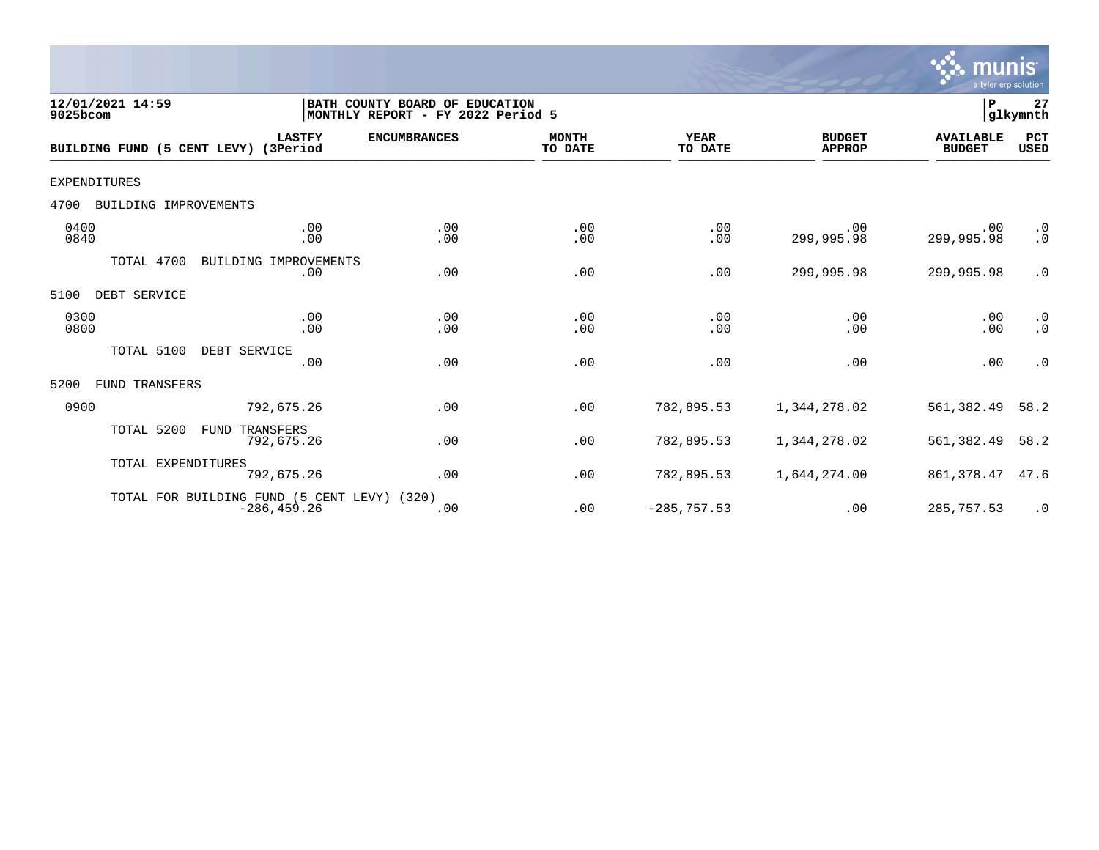

| 12/01/2021 14:59<br>9025bcom         |                                                               | BATH COUNTY BOARD OF EDUCATION<br> MONTHLY REPORT - FY 2022 Period 5 |                         |                        |                                | lР                                | 27<br>glkymnth         |
|--------------------------------------|---------------------------------------------------------------|----------------------------------------------------------------------|-------------------------|------------------------|--------------------------------|-----------------------------------|------------------------|
| BUILDING FUND (5 CENT LEVY) (3Period | <b>LASTFY</b>                                                 | <b>ENCUMBRANCES</b>                                                  | <b>MONTH</b><br>TO DATE | <b>YEAR</b><br>TO DATE | <b>BUDGET</b><br><b>APPROP</b> | <b>AVAILABLE</b><br><b>BUDGET</b> | PCT<br><b>USED</b>     |
| <b>EXPENDITURES</b>                  |                                                               |                                                                      |                         |                        |                                |                                   |                        |
| 4700<br>BUILDING IMPROVEMENTS        |                                                               |                                                                      |                         |                        |                                |                                   |                        |
| 0400<br>0840                         | .00<br>.00                                                    | .00<br>.00                                                           | .00<br>.00              | .00<br>.00             | .00<br>299,995.98              | .00<br>299,995.98                 | $\cdot$ 0<br>$\cdot$ 0 |
| TOTAL 4700                           | BUILDING IMPROVEMENTS<br>.00                                  | .00                                                                  | .00                     | .00                    | 299,995.98                     | 299,995.98                        | $\cdot$ 0              |
| 5100<br>DEBT SERVICE                 |                                                               |                                                                      |                         |                        |                                |                                   |                        |
| 0300<br>0800                         | .00<br>.00                                                    | .00<br>.00                                                           | .00<br>.00              | .00<br>.00             | .00<br>.00                     | .00<br>.00                        | $\cdot$ 0<br>$\cdot$ 0 |
| TOTAL 5100                           | DEBT SERVICE<br>.00                                           | .00                                                                  | .00                     | .00                    | .00                            | .00                               | $\cdot$ 0              |
| FUND TRANSFERS<br>5200               |                                                               |                                                                      |                         |                        |                                |                                   |                        |
| 0900                                 | 792,675.26                                                    | .00                                                                  | .00                     | 782,895.53             | 1,344,278.02                   | 561,382.49                        | 58.2                   |
| TOTAL 5200                           | TRANSFERS<br>FUND<br>792,675.26                               | .00                                                                  | .00                     | 782,895.53             | 1,344,278.02                   | 561,382.49                        | 58.2                   |
| TOTAL EXPENDITURES                   | 792,675.26                                                    | .00                                                                  | .00                     | 782,895.53             | 1,644,274.00                   | 861,378.47                        | 47.6                   |
|                                      | TOTAL FOR BUILDING FUND (5 CENT LEVY) (320)<br>$-286, 459.26$ | .00                                                                  | .00                     | $-285, 757.53$         | .00                            | 285,757.53                        | $\cdot$ 0              |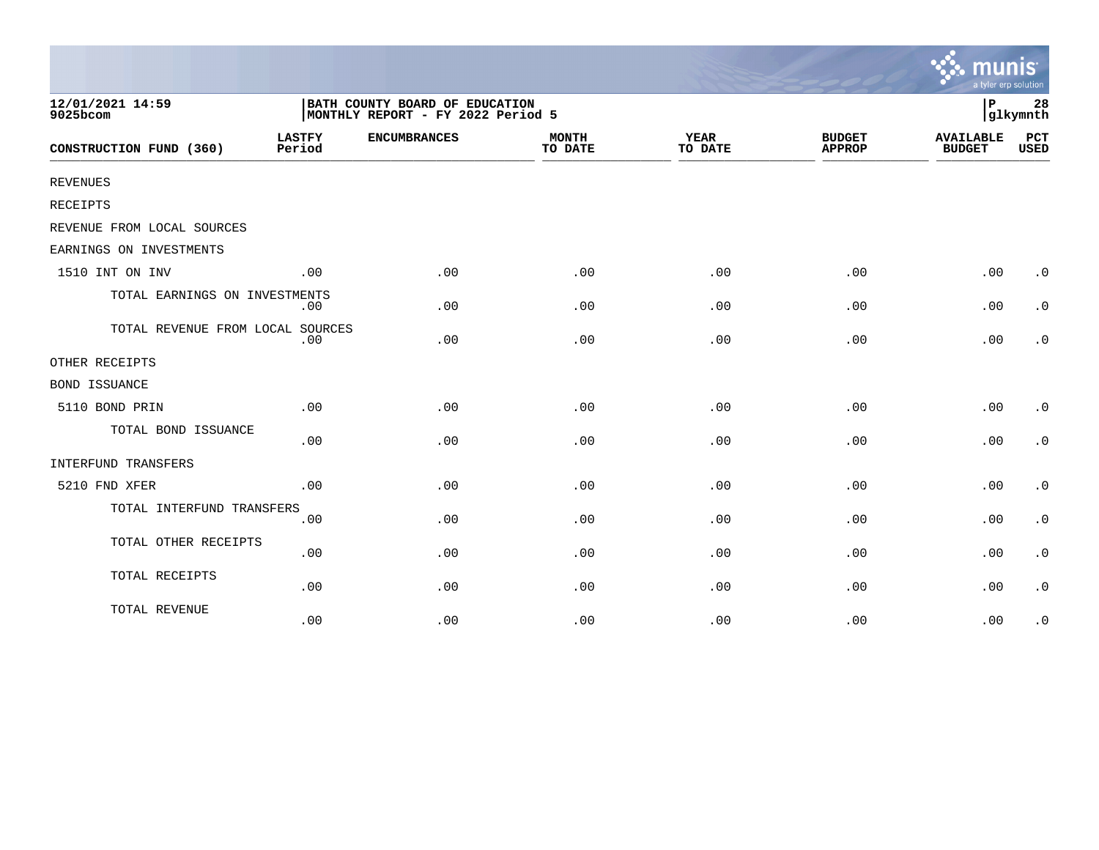|                                  |                         |                                                                     |                         |                        |                                | mu<br>a tyler erp solution        |                    |
|----------------------------------|-------------------------|---------------------------------------------------------------------|-------------------------|------------------------|--------------------------------|-----------------------------------|--------------------|
| 12/01/2021 14:59<br>9025bcom     |                         | BATH COUNTY BOARD OF EDUCATION<br>MONTHLY REPORT - FY 2022 Period 5 |                         |                        |                                | $\, {\bf P}$                      | 28<br>glkymnth     |
| CONSTRUCTION FUND (360)          | <b>LASTFY</b><br>Period | <b>ENCUMBRANCES</b>                                                 | <b>MONTH</b><br>TO DATE | <b>YEAR</b><br>TO DATE | <b>BUDGET</b><br><b>APPROP</b> | <b>AVAILABLE</b><br><b>BUDGET</b> | PCT<br><b>USED</b> |
| REVENUES                         |                         |                                                                     |                         |                        |                                |                                   |                    |
| <b>RECEIPTS</b>                  |                         |                                                                     |                         |                        |                                |                                   |                    |
| REVENUE FROM LOCAL SOURCES       |                         |                                                                     |                         |                        |                                |                                   |                    |
| EARNINGS ON INVESTMENTS          |                         |                                                                     |                         |                        |                                |                                   |                    |
| 1510 INT ON INV                  | .00                     | .00                                                                 | .00                     | .00                    | .00                            | .00                               | $\cdot$ 0          |
| TOTAL EARNINGS ON INVESTMENTS    | .00                     | .00                                                                 | .00                     | .00                    | .00                            | .00                               | $\cdot$ 0          |
| TOTAL REVENUE FROM LOCAL SOURCES | .00                     | .00                                                                 | .00                     | .00                    | .00                            | .00                               | $\cdot$ 0          |
| OTHER RECEIPTS                   |                         |                                                                     |                         |                        |                                |                                   |                    |
| <b>BOND ISSUANCE</b>             |                         |                                                                     |                         |                        |                                |                                   |                    |
| 5110 BOND PRIN                   | .00                     | .00                                                                 | .00                     | .00                    | .00                            | .00                               | $\cdot$ 0          |
| TOTAL BOND ISSUANCE              | .00                     | .00                                                                 | .00                     | .00                    | .00                            | .00                               | $\cdot$ 0          |
| INTERFUND TRANSFERS              |                         |                                                                     |                         |                        |                                |                                   |                    |
| 5210 FND XFER                    | .00                     | .00                                                                 | .00                     | .00                    | .00                            | .00                               | $\cdot$ 0          |
| TOTAL INTERFUND TRANSFERS        | .00                     | .00                                                                 | .00                     | .00                    | .00                            | .00                               | $\cdot$ 0          |
| TOTAL OTHER RECEIPTS             | .00                     | .00                                                                 | .00                     | .00                    | .00                            | .00                               | $\cdot$ 0          |
| TOTAL RECEIPTS                   | .00                     | .00                                                                 | .00                     | .00                    | .00                            | .00                               | $\cdot$ 0          |
| TOTAL REVENUE                    | .00                     | .00                                                                 | .00                     | .00                    | .00                            | .00                               | $\cdot$ 0          |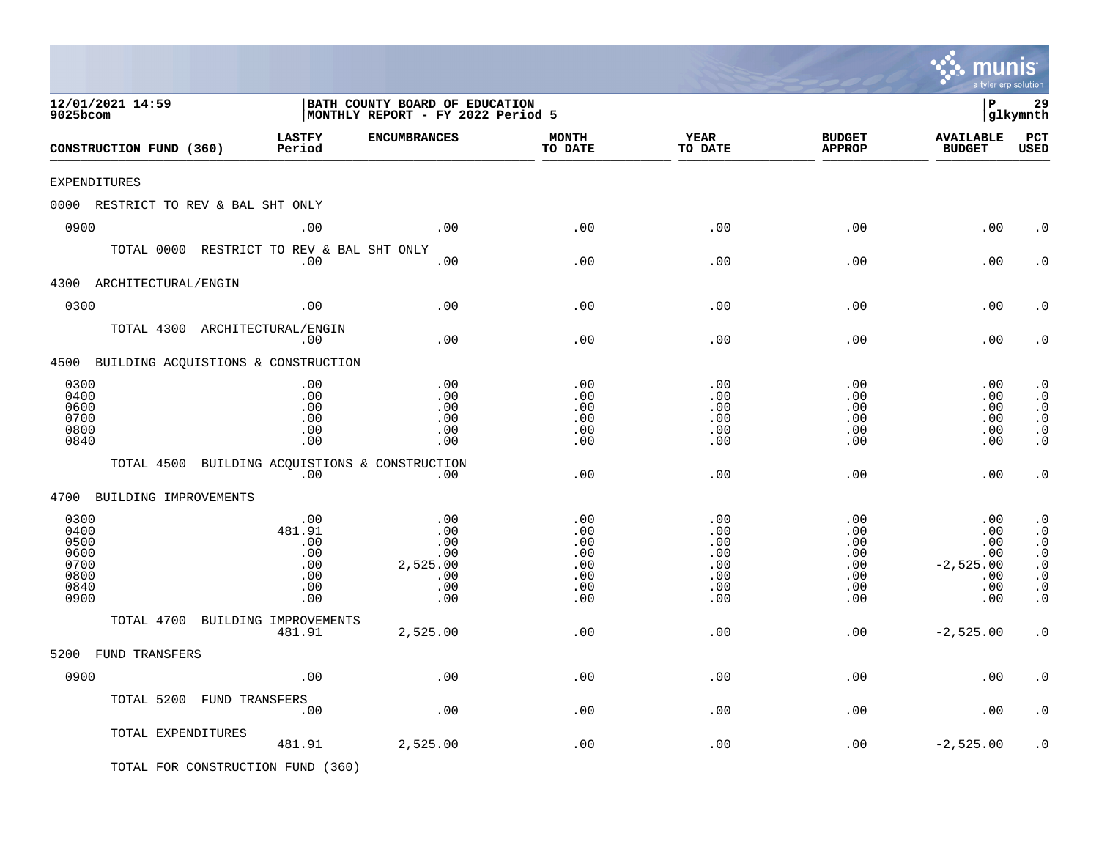|                                                              |                                                         |                                                                     |                                                      |                                                                |                                                                | mu<br>a tyler erp solution                                   |                                                                                                      |
|--------------------------------------------------------------|---------------------------------------------------------|---------------------------------------------------------------------|------------------------------------------------------|----------------------------------------------------------------|----------------------------------------------------------------|--------------------------------------------------------------|------------------------------------------------------------------------------------------------------|
| 12/01/2021 14:59<br>9025bcom                                 |                                                         | BATH COUNTY BOARD OF EDUCATION<br>MONTHLY REPORT - FY 2022 Period 5 |                                                      |                                                                |                                                                | l P                                                          | 29<br> glkymnth                                                                                      |
| CONSTRUCTION FUND (360)                                      | <b>LASTFY</b><br>Period                                 | <b>ENCUMBRANCES</b>                                                 | <b>MONTH</b><br>TO DATE                              | <b>YEAR</b><br>TO DATE                                         | <b>BUDGET</b><br><b>APPROP</b>                                 | <b>AVAILABLE</b><br><b>BUDGET</b>                            | PCT<br><b>USED</b>                                                                                   |
| EXPENDITURES                                                 |                                                         |                                                                     |                                                      |                                                                |                                                                |                                                              |                                                                                                      |
| 0000 RESTRICT TO REV & BAL SHT ONLY                          |                                                         |                                                                     |                                                      |                                                                |                                                                |                                                              |                                                                                                      |
| 0900                                                         | .00                                                     | .00                                                                 | .00                                                  | .00                                                            | .00                                                            | .00                                                          | . 0                                                                                                  |
| TOTAL 0000 RESTRICT TO REV & BAL SHT ONLY                    | .00                                                     | .00                                                                 | .00                                                  | .00                                                            | .00                                                            | .00                                                          | $\cdot$ 0                                                                                            |
| 4300 ARCHITECTURAL/ENGIN                                     |                                                         |                                                                     |                                                      |                                                                |                                                                |                                                              |                                                                                                      |
| 0300                                                         | .00                                                     | .00                                                                 | .00                                                  | .00                                                            | .00                                                            | .00                                                          | $\cdot$ 0                                                                                            |
| TOTAL 4300 ARCHITECTURAL/ENGIN                               | .00                                                     | .00                                                                 | .00                                                  | .00                                                            | .00                                                            | .00                                                          | . 0                                                                                                  |
| 4500 BUILDING ACQUISTIONS & CONSTRUCTION                     |                                                         |                                                                     |                                                      |                                                                |                                                                |                                                              |                                                                                                      |
| 0300<br>0400<br>0600<br>0700<br>0800<br>0840                 | .00<br>.00<br>.00<br>.00<br>.00<br>.00                  | .00<br>.00<br>.00<br>.00<br>.00<br>.00                              | .00<br>.00<br>.00<br>.00<br>.00<br>.00               | .00<br>.00<br>.00<br>.00<br>.00<br>.00                         | .00<br>.00<br>.00<br>.00<br>.00<br>.00                         | .00<br>.00<br>.00<br>.00<br>.00<br>.00                       | $\cdot$ 0<br>$\cdot$ 0<br>$\cdot$ 0<br>$\cdot$ 0<br>$\boldsymbol{\cdot}$ 0<br>$\cdot$ 0              |
| TOTAL 4500 BUILDING ACQUISTIONS & CONSTRUCTION               | .00                                                     | .00                                                                 | .00                                                  | .00                                                            | .00                                                            | .00                                                          | $\cdot$ 0                                                                                            |
| 4700 BUILDING IMPROVEMENTS                                   |                                                         |                                                                     |                                                      |                                                                |                                                                |                                                              |                                                                                                      |
| 0300<br>0400<br>0500<br>0600<br>0700<br>0800<br>0840<br>0900 | .00<br>481.91<br>.00<br>.00<br>.00<br>.00<br>.00<br>.00 | .00<br>.00<br>.00<br>.00<br>2,525.00<br>.00<br>.00<br>.00           | .00<br>.00<br>.00<br>.00<br>.00<br>.00<br>.00<br>.00 | .00<br>.00<br>.00<br>$.00 \,$<br>.00<br>.00<br>$.00 \,$<br>.00 | .00<br>.00<br>.00<br>$.00 \,$<br>.00<br>.00<br>$.00 \,$<br>.00 | .00<br>.00<br>.00<br>.00<br>$-2,525.00$<br>.00<br>.00<br>.00 | $\cdot$ 0<br>$\cdot$ 0<br>$\cdot$ 0<br>$\cdot$ 0<br>$\cdot$ 0<br>$\cdot$ 0<br>$\cdot$ 0<br>$\cdot$ 0 |
| TOTAL 4700 BUILDING IMPROVEMENTS                             |                                                         |                                                                     |                                                      |                                                                |                                                                |                                                              |                                                                                                      |
|                                                              | 481.91                                                  | 2,525.00                                                            | .00                                                  | .00                                                            | .00                                                            | $-2,525.00$                                                  | $\cdot$ 0                                                                                            |
| 5200 FUND TRANSFERS                                          |                                                         |                                                                     |                                                      |                                                                |                                                                |                                                              |                                                                                                      |
| 0900                                                         | .00                                                     | $.00$                                                               | .00                                                  | .00                                                            | .00                                                            | .00                                                          | . $\boldsymbol{0}$                                                                                   |
| TOTAL 5200 FUND TRANSFERS                                    | .00                                                     | $.00$                                                               | .00                                                  | .00                                                            | .00                                                            | .00                                                          | $\cdot$ 0                                                                                            |
| TOTAL EXPENDITURES                                           | 481.91                                                  | 2,525.00                                                            | .00                                                  | .00                                                            | .00                                                            | $-2,525.00$                                                  | $\cdot$ 0                                                                                            |
| TOTAL FOR CONSTRUCTION FUND (360)                            |                                                         |                                                                     |                                                      |                                                                |                                                                |                                                              |                                                                                                      |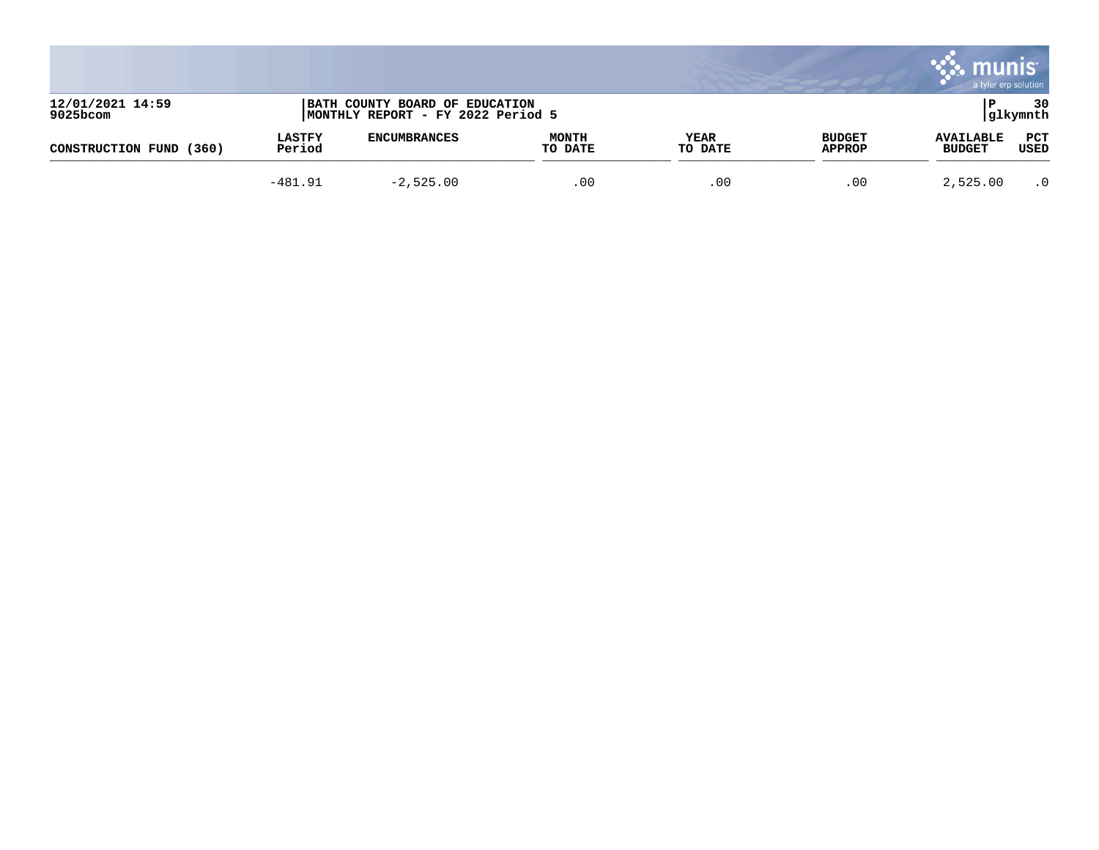|                              |                         |                                                                     |                         |                 |                                | munis<br>a tyler erp solution     |                 |
|------------------------------|-------------------------|---------------------------------------------------------------------|-------------------------|-----------------|--------------------------------|-----------------------------------|-----------------|
| 12/01/2021 14:59<br>9025bcom |                         | BATH COUNTY BOARD OF EDUCATION<br>MONTHLY REPORT - FY 2022 Period 5 |                         |                 |                                |                                   | 30<br> glkymnth |
| (360)<br>CONSTRUCTION FUND   | <b>LASTFY</b><br>Period | <b>ENCUMBRANCES</b>                                                 | <b>MONTH</b><br>TO DATE | YEAR<br>TO DATE | <b>BUDGET</b><br><b>APPROP</b> | <b>AVAILABLE</b><br><b>BUDGET</b> | PCT<br>USED     |
|                              | $-481.91$               | $-2,525.00$                                                         | .00                     | .00             | .00                            | 2,525.00                          | $\cdot$ 0       |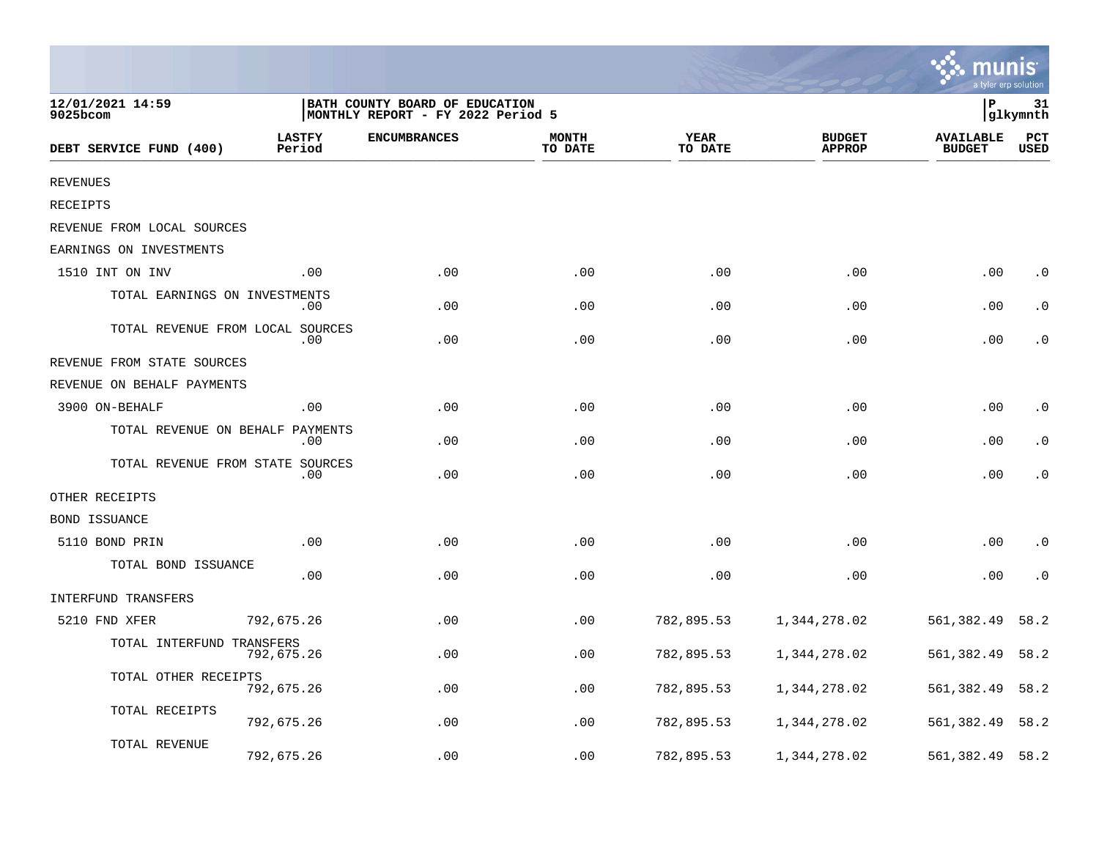|                                  |                         |                                                                     |                         |                 |                                | a tyler erp solution              |                    |
|----------------------------------|-------------------------|---------------------------------------------------------------------|-------------------------|-----------------|--------------------------------|-----------------------------------|--------------------|
| 12/01/2021 14:59<br>9025bcom     |                         | BATH COUNTY BOARD OF EDUCATION<br>MONTHLY REPORT - FY 2022 Period 5 |                         |                 |                                | P                                 | 31<br>glkymnth     |
| DEBT SERVICE FUND (400)          | <b>LASTFY</b><br>Period | <b>ENCUMBRANCES</b>                                                 | <b>MONTH</b><br>TO DATE | YEAR<br>TO DATE | <b>BUDGET</b><br><b>APPROP</b> | <b>AVAILABLE</b><br><b>BUDGET</b> | PCT<br><b>USED</b> |
| <b>REVENUES</b>                  |                         |                                                                     |                         |                 |                                |                                   |                    |
| RECEIPTS                         |                         |                                                                     |                         |                 |                                |                                   |                    |
| REVENUE FROM LOCAL SOURCES       |                         |                                                                     |                         |                 |                                |                                   |                    |
| EARNINGS ON INVESTMENTS          |                         |                                                                     |                         |                 |                                |                                   |                    |
| 1510 INT ON INV                  | .00                     | .00                                                                 | .00                     | .00             | .00                            | .00                               | $\cdot$ 0          |
| TOTAL EARNINGS ON INVESTMENTS    | .00                     | .00                                                                 | .00                     | .00             | .00                            | .00                               | . 0                |
| TOTAL REVENUE FROM LOCAL SOURCES | .00                     | .00                                                                 | .00                     | .00             | .00                            | .00                               | . 0                |
| REVENUE FROM STATE SOURCES       |                         |                                                                     |                         |                 |                                |                                   |                    |
| REVENUE ON BEHALF PAYMENTS       |                         |                                                                     |                         |                 |                                |                                   |                    |
| 3900 ON-BEHALF                   | .00.                    | .00                                                                 | .00                     | .00             | .00                            | .00                               | $\cdot$ 0          |
| TOTAL REVENUE ON BEHALF PAYMENTS | .00                     | .00                                                                 | .00                     | .00             | .00                            | .00                               | . 0                |
| TOTAL REVENUE FROM STATE SOURCES | .00                     | .00                                                                 | .00                     | .00             | .00                            | .00                               | $\cdot$ 0          |
| OTHER RECEIPTS                   |                         |                                                                     |                         |                 |                                |                                   |                    |
| <b>BOND ISSUANCE</b>             |                         |                                                                     |                         |                 |                                |                                   |                    |
| 5110 BOND PRIN                   | .00                     | .00                                                                 | .00                     | .00             | .00                            | .00                               | $\cdot$ 0          |
| TOTAL BOND ISSUANCE              | .00                     | .00                                                                 | .00                     | .00             | .00                            | .00                               | $\cdot$ 0          |
| INTERFUND TRANSFERS              |                         |                                                                     |                         |                 |                                |                                   |                    |
| 5210 FND XFER                    | 792,675.26              | .00                                                                 | .00                     | 782,895.53      | 1,344,278.02                   | 561,382.49                        | 58.2               |
| TOTAL INTERFUND TRANSFERS        | 792,675.26              | .00                                                                 | .00                     | 782,895.53      | 1,344,278.02                   | 561,382.49                        | 58.2               |
| TOTAL OTHER RECEIPTS             | 792,675.26              | .00                                                                 | .00                     | 782,895.53      | 1,344,278.02                   | 561,382.49                        | 58.2               |
| TOTAL RECEIPTS                   | 792,675.26              | .00                                                                 | .00                     | 782,895.53      | 1,344,278.02                   | 561,382.49                        | 58.2               |
| TOTAL REVENUE                    | 792,675.26              | .00                                                                 | .00                     | 782,895.53      | 1,344,278.02                   | 561,382.49                        | 58.2               |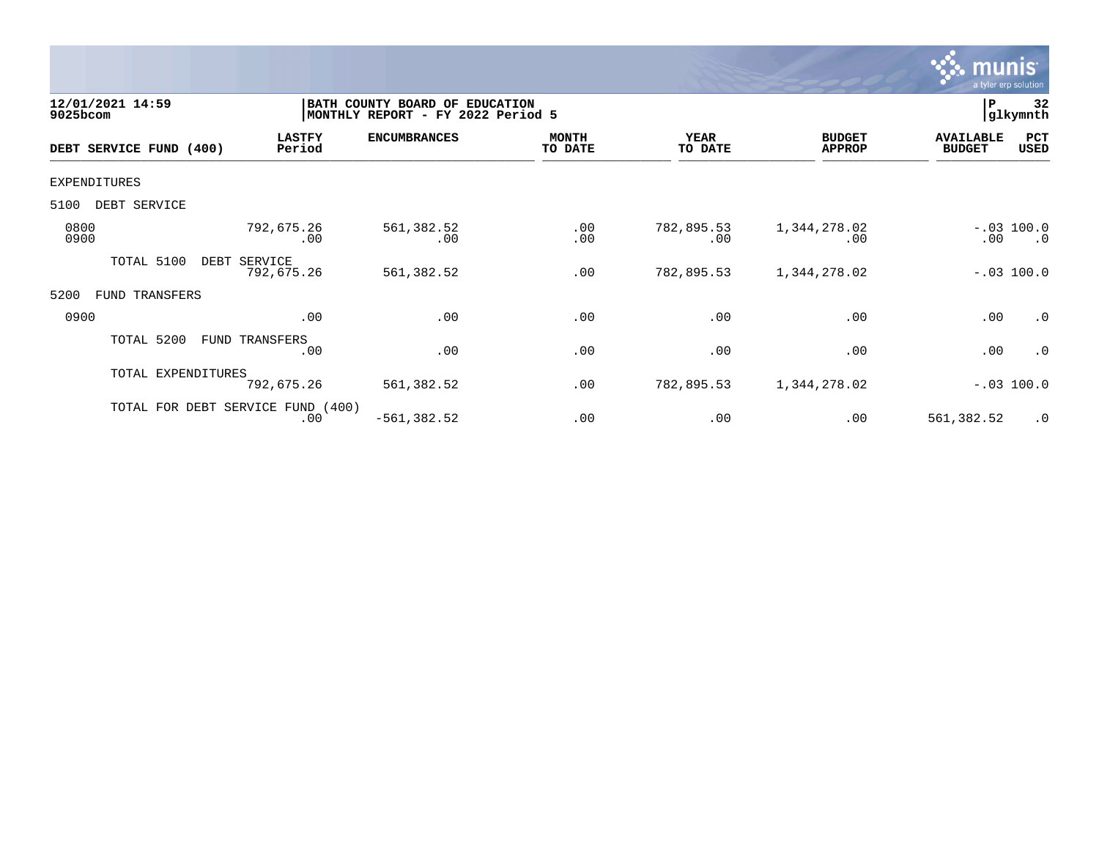

| 12/01/2021 14:59<br>9025bcom |                                          | BATH COUNTY BOARD OF EDUCATION<br>MONTHLY REPORT - FY 2022 Period 5 |                         |                        |                                |                                   |                           |  |
|------------------------------|------------------------------------------|---------------------------------------------------------------------|-------------------------|------------------------|--------------------------------|-----------------------------------|---------------------------|--|
| DEBT SERVICE FUND (400)      | <b>LASTFY</b><br>Period                  | <b>ENCUMBRANCES</b>                                                 | <b>MONTH</b><br>TO DATE | <b>YEAR</b><br>TO DATE | <b>BUDGET</b><br><b>APPROP</b> | <b>AVAILABLE</b><br><b>BUDGET</b> | PCT<br>USED               |  |
| EXPENDITURES                 |                                          |                                                                     |                         |                        |                                |                                   |                           |  |
| DEBT SERVICE<br>5100         |                                          |                                                                     |                         |                        |                                |                                   |                           |  |
| 0800<br>0900                 | 792,675.26<br>.00                        | 561,382.52<br>.00                                                   | .00<br>.00              | 782,895.53<br>.00      | 1,344,278.02<br>.00            | .00                               | $-.03$ 100.0<br>$\cdot$ 0 |  |
| TOTAL 5100                   | DEBT SERVICE<br>792,675.26               | 561,382.52                                                          | .00                     | 782,895.53             | 1,344,278.02                   |                                   | $-.03$ 100.0              |  |
| 5200<br>FUND<br>TRANSFERS    |                                          |                                                                     |                         |                        |                                |                                   |                           |  |
| 0900                         | .00                                      | .00                                                                 | .00                     | .00                    | .00                            | .00                               | .0                        |  |
| TOTAL 5200                   | FUND TRANSFERS<br>.00                    | .00                                                                 | .00                     | .00                    | .00                            | .00                               | .0                        |  |
| TOTAL EXPENDITURES           | 792,675.26                               | 561,382.52                                                          | .00                     | 782,895.53             | 1,344,278.02                   |                                   | $-.03$ 100.0              |  |
|                              | TOTAL FOR DEBT SERVICE FUND (400)<br>.00 | $-561, 382.52$                                                      | .00                     | .00                    | .00                            | 561,382.52                        | .0                        |  |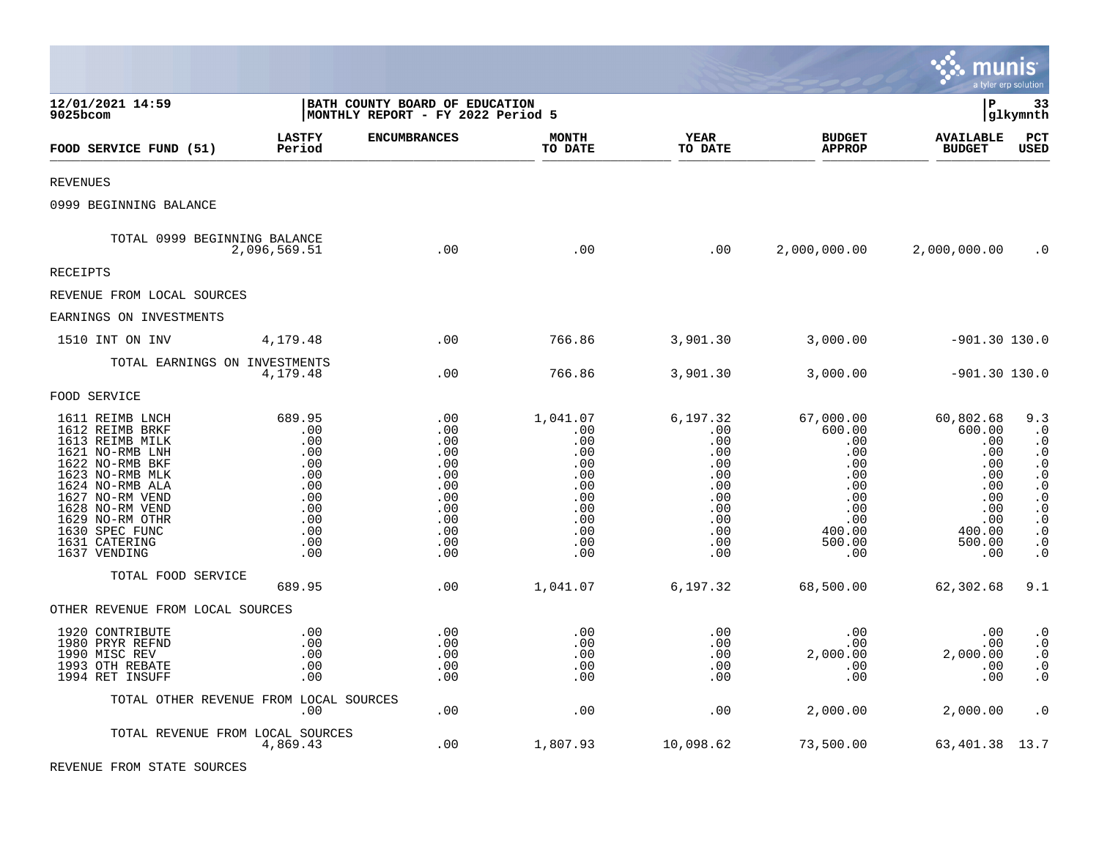|                                                                                                                                                                                                                                               |                                                                                            |                                                                                         |                                                                                              |                                                                                              |                                                                                                        | munis                                                                                                  | a tyler erp solution                                                                                                                                                   |
|-----------------------------------------------------------------------------------------------------------------------------------------------------------------------------------------------------------------------------------------------|--------------------------------------------------------------------------------------------|-----------------------------------------------------------------------------------------|----------------------------------------------------------------------------------------------|----------------------------------------------------------------------------------------------|--------------------------------------------------------------------------------------------------------|--------------------------------------------------------------------------------------------------------|------------------------------------------------------------------------------------------------------------------------------------------------------------------------|
| 12/01/2021 14:59<br>9025bcom                                                                                                                                                                                                                  |                                                                                            | BATH COUNTY BOARD OF EDUCATION<br>MONTHLY REPORT - FY 2022 Period 5                     |                                                                                              |                                                                                              |                                                                                                        | l P                                                                                                    | 33<br> glkymnth                                                                                                                                                        |
| FOOD SERVICE FUND (51)                                                                                                                                                                                                                        | <b>LASTFY</b><br>Period                                                                    | <b>ENCUMBRANCES</b>                                                                     | <b>MONTH</b><br>TO DATE                                                                      | <b>YEAR</b><br>TO DATE                                                                       | <b>BUDGET</b><br><b>APPROP</b>                                                                         | <b>AVAILABLE</b><br><b>BUDGET</b>                                                                      | PCT<br><b>USED</b>                                                                                                                                                     |
| <b>REVENUES</b>                                                                                                                                                                                                                               |                                                                                            |                                                                                         |                                                                                              |                                                                                              |                                                                                                        |                                                                                                        |                                                                                                                                                                        |
| 0999 BEGINNING BALANCE                                                                                                                                                                                                                        |                                                                                            |                                                                                         |                                                                                              |                                                                                              |                                                                                                        |                                                                                                        |                                                                                                                                                                        |
| TOTAL 0999 BEGINNING BALANCE                                                                                                                                                                                                                  | 2,096,569.51                                                                               | .00                                                                                     | .00                                                                                          | .00                                                                                          | 2,000,000.00                                                                                           | 2,000,000.00                                                                                           | $\cdot$ 0                                                                                                                                                              |
| RECEIPTS                                                                                                                                                                                                                                      |                                                                                            |                                                                                         |                                                                                              |                                                                                              |                                                                                                        |                                                                                                        |                                                                                                                                                                        |
| REVENUE FROM LOCAL SOURCES                                                                                                                                                                                                                    |                                                                                            |                                                                                         |                                                                                              |                                                                                              |                                                                                                        |                                                                                                        |                                                                                                                                                                        |
| EARNINGS ON INVESTMENTS                                                                                                                                                                                                                       |                                                                                            |                                                                                         |                                                                                              |                                                                                              |                                                                                                        |                                                                                                        |                                                                                                                                                                        |
| 1510 INT ON INV                                                                                                                                                                                                                               | 4,179.48                                                                                   | $.00 \,$                                                                                | 766.86                                                                                       | 3,901.30                                                                                     | 3,000.00                                                                                               | $-901.30$ 130.0                                                                                        |                                                                                                                                                                        |
| TOTAL EARNINGS ON INVESTMENTS                                                                                                                                                                                                                 | 4,179.48                                                                                   | .00                                                                                     | 766.86                                                                                       | 3,901.30                                                                                     | 3,000.00                                                                                               | $-901.30$ 130.0                                                                                        |                                                                                                                                                                        |
| FOOD SERVICE                                                                                                                                                                                                                                  |                                                                                            |                                                                                         |                                                                                              |                                                                                              |                                                                                                        |                                                                                                        |                                                                                                                                                                        |
| 1611 REIMB LNCH<br>1612 REIMB BRKF<br>1613 REIMB MILK<br>1621 NO-RMB LNH<br>1622 NO-RMB BKF<br>1623 NO-RMB MLK<br>1624 NO-RMB ALA<br>1627 NO-RM VEND<br>1628 NO-RM VEND<br>1629 NO-RM OTHR<br>1630 SPEC FUNC<br>1631 CATERING<br>1637 VENDING | 689.95<br>.00<br>.00<br>.00<br>.00<br>.00<br>.00<br>.00<br>.00<br>.00<br>.00<br>.00<br>.00 | .00<br>.00<br>.00<br>.00<br>.00<br>.00<br>.00<br>.00<br>.00<br>.00<br>.00<br>.00<br>.00 | 1,041.07<br>.00<br>.00<br>.00<br>.00<br>.00<br>.00<br>.00<br>.00<br>.00<br>.00<br>.00<br>.00 | 6,197.32<br>.00<br>.00<br>.00<br>.00<br>.00<br>.00<br>.00<br>.00<br>.00<br>.00<br>.00<br>.00 | 67,000.00<br>600.00<br>.00<br>.00<br>.00<br>.00<br>.00<br>.00<br>.00<br>.00<br>400.00<br>500.00<br>.00 | 60,802.68<br>600.00<br>.00<br>.00<br>.00<br>.00<br>.00<br>.00<br>.00<br>.00<br>400.00<br>500.00<br>.00 | 9.3<br>$\cdot$ 0<br>$\cdot$ 0<br>$\cdot$ 0<br>$\cdot$ 0<br>$\cdot$ 0<br>$\cdot$ 0<br>$\cdot$ 0<br>$\cdot$ 0<br>$\cdot$ 0<br>$\cdot$ 0<br>$\boldsymbol{\cdot}$ 0<br>. 0 |
| TOTAL FOOD SERVICE                                                                                                                                                                                                                            | 689.95                                                                                     | .00                                                                                     | 1,041.07                                                                                     | 6,197.32                                                                                     | 68,500.00                                                                                              | 62,302.68                                                                                              | 9.1                                                                                                                                                                    |
| OTHER REVENUE FROM LOCAL SOURCES                                                                                                                                                                                                              |                                                                                            |                                                                                         |                                                                                              |                                                                                              |                                                                                                        |                                                                                                        |                                                                                                                                                                        |
| 1920 CONTRIBUTE<br>1980 PRYR REFND<br>1990 MISC REV<br>1993 OTH REBATE<br>1994 RET INSUFF                                                                                                                                                     | .00<br>.00<br>.00<br>.00<br>.00                                                            | .00<br>.00<br>.00<br>.00<br>.00                                                         | .00<br>.00<br>.00<br>.00<br>.00                                                              | .00<br>.00<br>.00<br>.00<br>.00                                                              | .00<br>$.00 \,$<br>2,000.00<br>.00<br>.00                                                              | .00<br>.00<br>2,000.00<br>.00<br>.00                                                                   | $\cdot$ 0<br>$\boldsymbol{\cdot}$ 0<br>$\cdot$ 0<br>$\cdot$ 0<br>$\cdot$ 0                                                                                             |
|                                                                                                                                                                                                                                               | TOTAL OTHER REVENUE FROM LOCAL SOURCES<br>.00                                              | .00                                                                                     | .00                                                                                          | .00                                                                                          | 2,000.00                                                                                               | 2,000.00                                                                                               | $\cdot$ 0                                                                                                                                                              |
|                                                                                                                                                                                                                                               | TOTAL REVENUE FROM LOCAL SOURCES<br>4,869.43                                               | .00                                                                                     | 1,807.93                                                                                     | 10,098.62                                                                                    | 73,500.00                                                                                              | 63, 401.38 13.7                                                                                        |                                                                                                                                                                        |

 $\mathcal{L}$ 

REVENUE FROM STATE SOURCES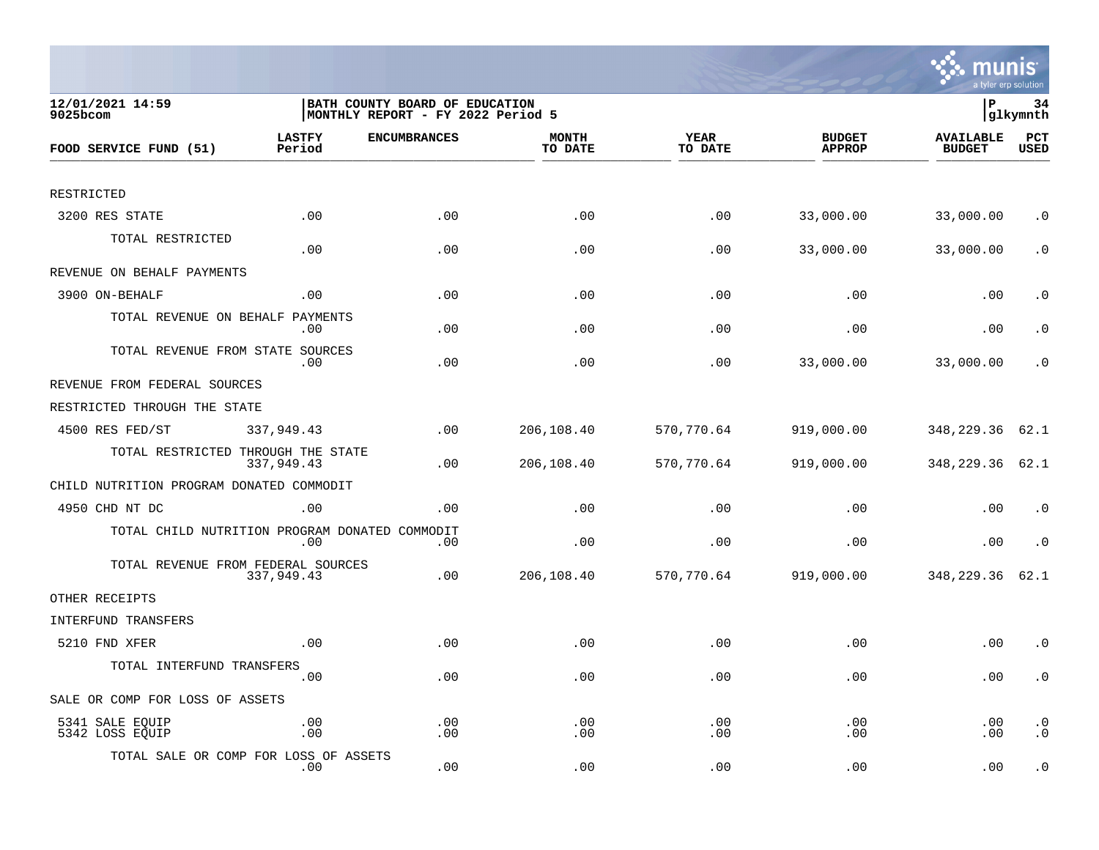

| 12/01/2021 14:59<br>$9025$ bcom                |                         | BATH COUNTY BOARD OF EDUCATION<br>MONTHLY REPORT - FY 2022 Period 5 |                         |                 |                                | lР                                | 34<br> glkymnth        |
|------------------------------------------------|-------------------------|---------------------------------------------------------------------|-------------------------|-----------------|--------------------------------|-----------------------------------|------------------------|
| FOOD SERVICE FUND (51)                         | <b>LASTFY</b><br>Period | <b>ENCUMBRANCES</b>                                                 | <b>MONTH</b><br>TO DATE | YEAR<br>TO DATE | <b>BUDGET</b><br><b>APPROP</b> | <b>AVAILABLE</b><br><b>BUDGET</b> | PCT<br><b>USED</b>     |
|                                                |                         |                                                                     |                         |                 |                                |                                   |                        |
| RESTRICTED                                     |                         |                                                                     |                         |                 |                                |                                   |                        |
| 3200 RES STATE                                 | .00                     | .00                                                                 | .00                     | .00             | 33,000.00                      | 33,000.00                         | $\cdot$ 0              |
| TOTAL RESTRICTED                               | .00                     | .00                                                                 | .00                     | .00             | 33,000.00                      | 33,000.00                         | $\cdot$ 0              |
| REVENUE ON BEHALF PAYMENTS                     |                         |                                                                     |                         |                 |                                |                                   |                        |
| 3900 ON-BEHALF                                 | .00                     | .00                                                                 | .00                     | .00             | .00                            | .00                               | $\cdot$ 0              |
| TOTAL REVENUE ON BEHALF                        | PAYMENTS<br>.00         | .00                                                                 | .00                     | .00             | .00                            | .00                               | $\cdot$ 0              |
| TOTAL REVENUE FROM STATE SOURCES               | .00                     | .00                                                                 | .00                     | .00             | 33,000.00                      | 33,000.00                         | . 0                    |
| REVENUE FROM FEDERAL SOURCES                   |                         |                                                                     |                         |                 |                                |                                   |                        |
| RESTRICTED THROUGH THE STATE                   |                         |                                                                     |                         |                 |                                |                                   |                        |
| 4500 RES FED/ST                                | 337,949.43              | .00                                                                 | 206,108.40              | 570,770.64      | 919,000.00                     | 348,229.36                        | 62.1                   |
| TOTAL RESTRICTED THROUGH THE STATE             | 337,949.43              | .00                                                                 | 206,108.40              | 570,770.64      | 919,000.00                     | 348, 229. 36 62. 1                |                        |
| CHILD NUTRITION PROGRAM DONATED COMMODIT       |                         |                                                                     |                         |                 |                                |                                   |                        |
| 4950 CHD NT DC                                 | .00                     | .00                                                                 | .00                     | .00             | .00                            | .00                               | $\cdot$ 0              |
| TOTAL CHILD NUTRITION PROGRAM DONATED COMMODIT | .00                     | .00                                                                 | .00                     | .00             | .00                            | .00                               | $\cdot$ 0              |
| TOTAL REVENUE FROM FEDERAL SOURCES             | 337,949.43              | .00                                                                 | 206,108.40              | 570,770.64      | 919,000.00                     | 348,229.36                        | 62.1                   |
| OTHER RECEIPTS                                 |                         |                                                                     |                         |                 |                                |                                   |                        |
| INTERFUND TRANSFERS                            |                         |                                                                     |                         |                 |                                |                                   |                        |
| 5210 FND XFER                                  | .00                     | .00                                                                 | .00                     | .00             | .00                            | .00                               | $\cdot$ 0              |
| TOTAL INTERFUND TRANSFERS                      | .00                     | .00                                                                 | .00                     | .00             | .00                            | .00                               | $\cdot$ 0              |
| SALE OR COMP FOR LOSS OF ASSETS                |                         |                                                                     |                         |                 |                                |                                   |                        |
| 5341 SALE EQUIP<br>5342 LOSS EQUIP             | .00<br>.00              | .00<br>.00                                                          | .00<br>.00              | .00<br>.00      | .00<br>.00                     | .00<br>.00                        | $\cdot$ 0<br>$\cdot$ 0 |
| TOTAL SALE OR COMP FOR LOSS OF ASSETS          | $.00 \,$                | .00                                                                 | .00                     | .00             | .00                            | .00                               | $\cdot$ 0              |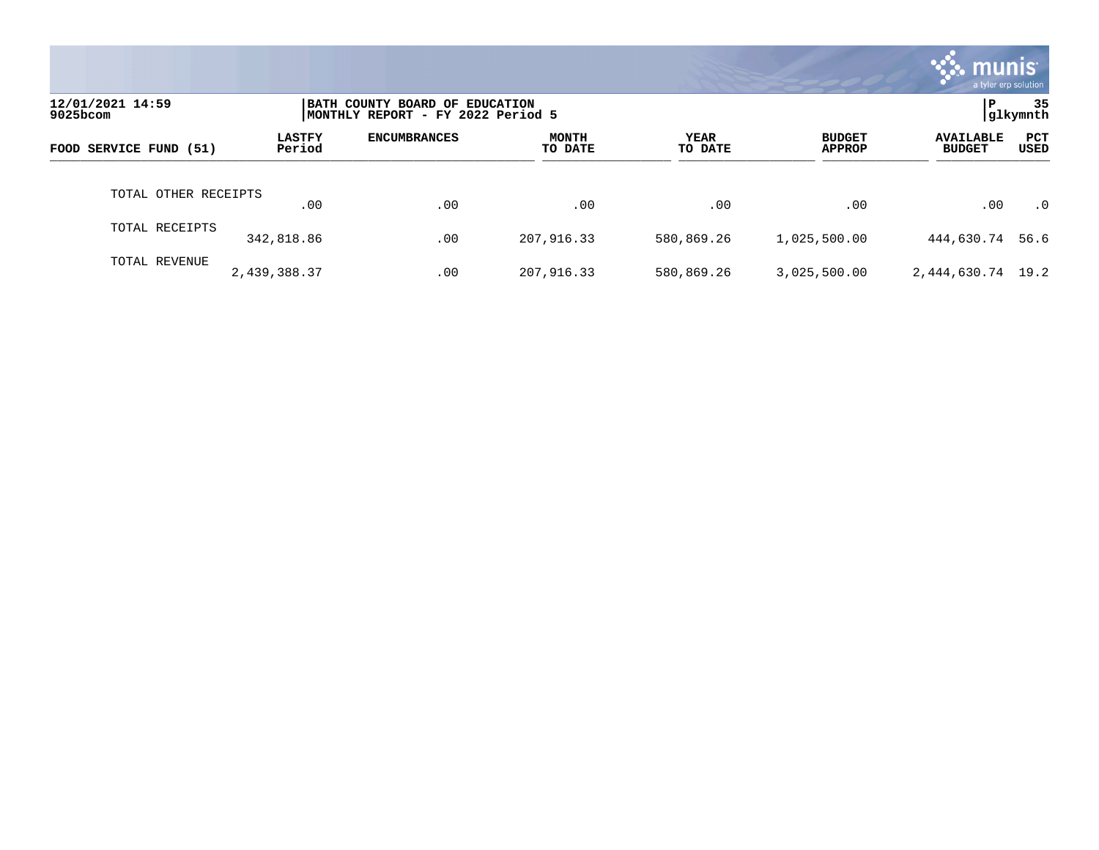|                              |                         |                                                                     |                         |                 |                                | munis<br>a tyler erp solution     |                    |
|------------------------------|-------------------------|---------------------------------------------------------------------|-------------------------|-----------------|--------------------------------|-----------------------------------|--------------------|
| 12/01/2021 14:59<br>9025bcom |                         | BATH COUNTY BOARD OF EDUCATION<br>MONTHLY REPORT - FY 2022 Period 5 |                         |                 |                                | P                                 | 35<br>glkymnth     |
| FOOD SERVICE FUND (51)       | <b>LASTFY</b><br>Period | <b>ENCUMBRANCES</b>                                                 | <b>MONTH</b><br>TO DATE | YEAR<br>TO DATE | <b>BUDGET</b><br><b>APPROP</b> | <b>AVAILABLE</b><br><b>BUDGET</b> | <b>PCT</b><br>USED |
| TOTAL OTHER RECEIPTS         | .00                     | .00                                                                 | .00                     | .00             | .00                            | .00                               | $\cdot$ 0          |
| TOTAL RECEIPTS               | 342,818.86              | .00                                                                 | 207,916.33              | 580,869.26      | 1,025,500.00                   | 444,630.74                        | 56.6               |
| TOTAL REVENUE                | 2,439,388.37            | .00                                                                 | 207,916.33              | 580,869.26      | 3,025,500.00                   | 2,444,630.74 19.2                 |                    |

the contract of the contract of

a sa mga magaalang na mga magaalang ng mga magaalang ng mga magaalang ng magaalang ng magaalang ng magaalang n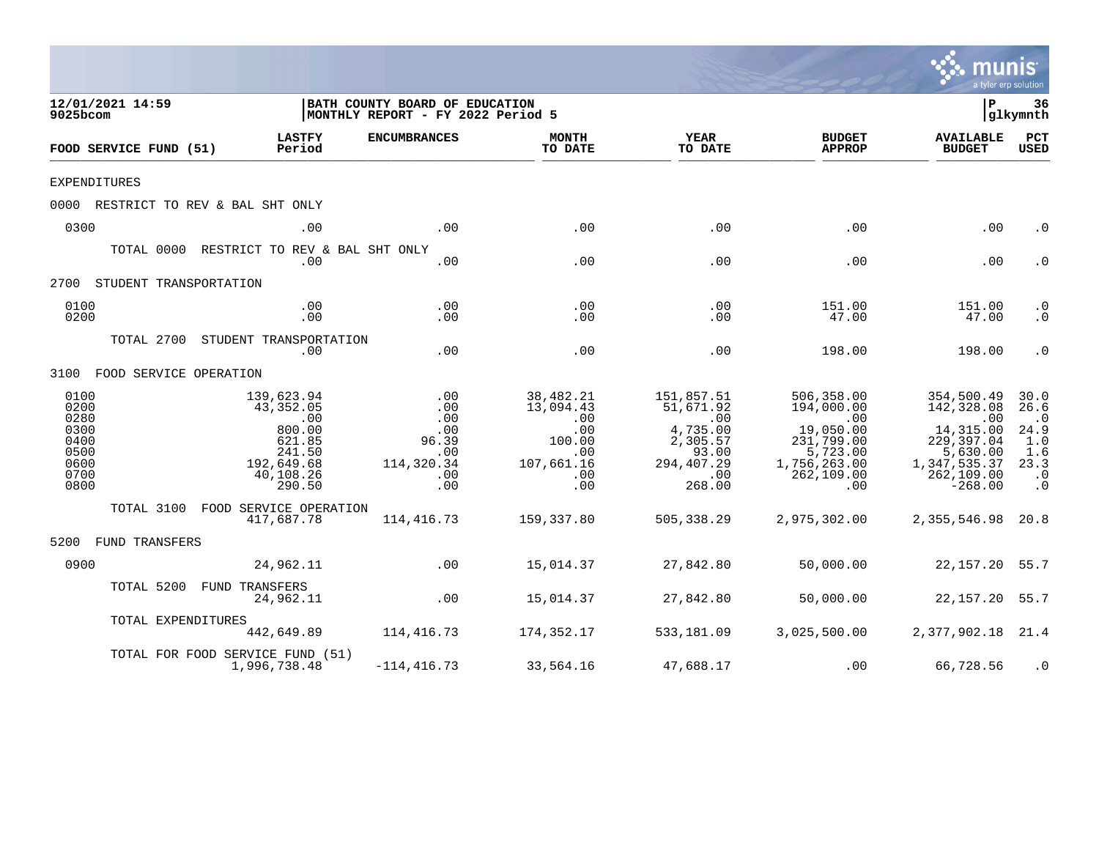|                                                                      |                                                                                                                            |                                                                                                        |                                                                                   |                                                                                                            |                                                                                                                         | mu                                                                                                                      | <b>nıs</b><br>a tyler erp solution                                                |
|----------------------------------------------------------------------|----------------------------------------------------------------------------------------------------------------------------|--------------------------------------------------------------------------------------------------------|-----------------------------------------------------------------------------------|------------------------------------------------------------------------------------------------------------|-------------------------------------------------------------------------------------------------------------------------|-------------------------------------------------------------------------------------------------------------------------|-----------------------------------------------------------------------------------|
| 12/01/2021 14:59<br>9025bcom                                         |                                                                                                                            | BATH COUNTY BOARD OF EDUCATION<br>MONTHLY REPORT - FY 2022 Period 5                                    |                                                                                   |                                                                                                            |                                                                                                                         | l P                                                                                                                     | 36<br> glkymnth                                                                   |
| FOOD SERVICE FUND (51)                                               | <b>LASTFY</b><br>Period                                                                                                    | <b>ENCUMBRANCES</b>                                                                                    | <b>MONTH</b><br>TO DATE                                                           | YEAR<br>TO DATE                                                                                            | <b>BUDGET</b><br><b>APPROP</b>                                                                                          | <b>AVAILABLE</b><br><b>BUDGET</b>                                                                                       | PCT<br><b>USED</b>                                                                |
| <b>EXPENDITURES</b>                                                  |                                                                                                                            |                                                                                                        |                                                                                   |                                                                                                            |                                                                                                                         |                                                                                                                         |                                                                                   |
|                                                                      | 0000 RESTRICT TO REV & BAL SHT ONLY                                                                                        |                                                                                                        |                                                                                   |                                                                                                            |                                                                                                                         |                                                                                                                         |                                                                                   |
| 0300                                                                 | .00                                                                                                                        | .00                                                                                                    | .00                                                                               | .00                                                                                                        | .00                                                                                                                     | .00                                                                                                                     | $\cdot$ 0                                                                         |
|                                                                      | TOTAL 0000 RESTRICT TO REV & BAL SHT ONLY<br>.00                                                                           | .00                                                                                                    | .00                                                                               | .00                                                                                                        | .00                                                                                                                     | .00                                                                                                                     | $\cdot$ 0                                                                         |
| 2700 STUDENT TRANSPORTATION                                          |                                                                                                                            |                                                                                                        |                                                                                   |                                                                                                            |                                                                                                                         |                                                                                                                         |                                                                                   |
| 0100<br>0200                                                         | .00<br>.00                                                                                                                 | .00<br>.00                                                                                             | .00<br>.00                                                                        | .00<br>.00                                                                                                 | 151.00<br>47.00                                                                                                         | 151.00<br>47.00                                                                                                         | $\cdot$ 0<br>$\cdot$ 0                                                            |
|                                                                      | TOTAL 2700 STUDENT TRANSPORTATION<br>.00                                                                                   | .00                                                                                                    | .00                                                                               | .00                                                                                                        | 198.00                                                                                                                  | 198.00                                                                                                                  | $\cdot$ 0                                                                         |
| 3100 FOOD SERVICE OPERATION                                          |                                                                                                                            |                                                                                                        |                                                                                   |                                                                                                            |                                                                                                                         |                                                                                                                         |                                                                                   |
| 0100<br>0200<br>0280<br>0300<br>0400<br>0500<br>0600<br>0700<br>0800 | 139,623.94<br>43,352.05<br>$\overline{\phantom{0}}$ .00<br>800.00<br>621.85<br>241.50<br>192,649.68<br>40,108.26<br>290.50 | $\begin{array}{c} 0.00 \\ -0.00 \end{array}$<br>.00<br>.00<br>96.39<br>.00<br>114,320.34<br>.00<br>.00 | 38,482.21<br>13,094.43<br>.00<br>.00<br>100.00<br>.00<br>107,661.16<br>.00<br>.00 | 151,857.51<br>51,671.92<br>$\sim 00$<br>4,735.00<br>2,305.57<br>93.00<br>294,407.29<br>$\sim 00$<br>268.00 | 506,358.00<br>194,000.00<br>$\overline{00}$<br>19,050.00<br>231,799.00<br>5,723.00<br>1,756,263.00<br>262,109.00<br>.00 | 354,500.49<br>142,328.08<br>$\sim 00$<br>14,315.00<br>229,397.04<br>5,630.00<br>1,347,535.37<br>262,109.00<br>$-268.00$ | 30.0<br>26.6<br>$\cdot$ 0<br>24.9<br>1.0<br>1.6<br>23.3<br>$\cdot$ 0<br>$\cdot$ 0 |
|                                                                      | TOTAL 3100 FOOD SERVICE OPERATION<br>417,687.78                                                                            | 114,416.73                                                                                             | 159,337.80                                                                        | 505,338.29                                                                                                 | 2,975,302.00                                                                                                            | 2,355,546.98 20.8                                                                                                       |                                                                                   |
| 5200 FUND TRANSFERS                                                  |                                                                                                                            |                                                                                                        |                                                                                   |                                                                                                            |                                                                                                                         |                                                                                                                         |                                                                                   |
| 0900                                                                 | 24,962.11                                                                                                                  | $\sim 00$                                                                                              | 15,014.37                                                                         | 27,842.80                                                                                                  | 50,000.00                                                                                                               | 22, 157. 20 55. 7                                                                                                       |                                                                                   |
|                                                                      | TOTAL 5200 FUND TRANSFERS<br>24,962.11                                                                                     | $\sim$ 00                                                                                              | 15,014.37                                                                         | 27,842.80                                                                                                  | 50,000.00                                                                                                               | 22, 157. 20 55. 7                                                                                                       |                                                                                   |
|                                                                      | TOTAL EXPENDITURES<br>442,649.89                                                                                           | 114,416.73                                                                                             | 174,352.17                                                                        | 533,181.09                                                                                                 | 3,025,500.00                                                                                                            | 2,377,902.18 21.4                                                                                                       |                                                                                   |
|                                                                      | TOTAL FOR FOOD SERVICE FUND (51)<br>1,996,738.48                                                                           | $-114, 416.73$                                                                                         | 33,564.16                                                                         | 47,688.17                                                                                                  | .00                                                                                                                     | 66,728.56                                                                                                               | $\cdot$ 0                                                                         |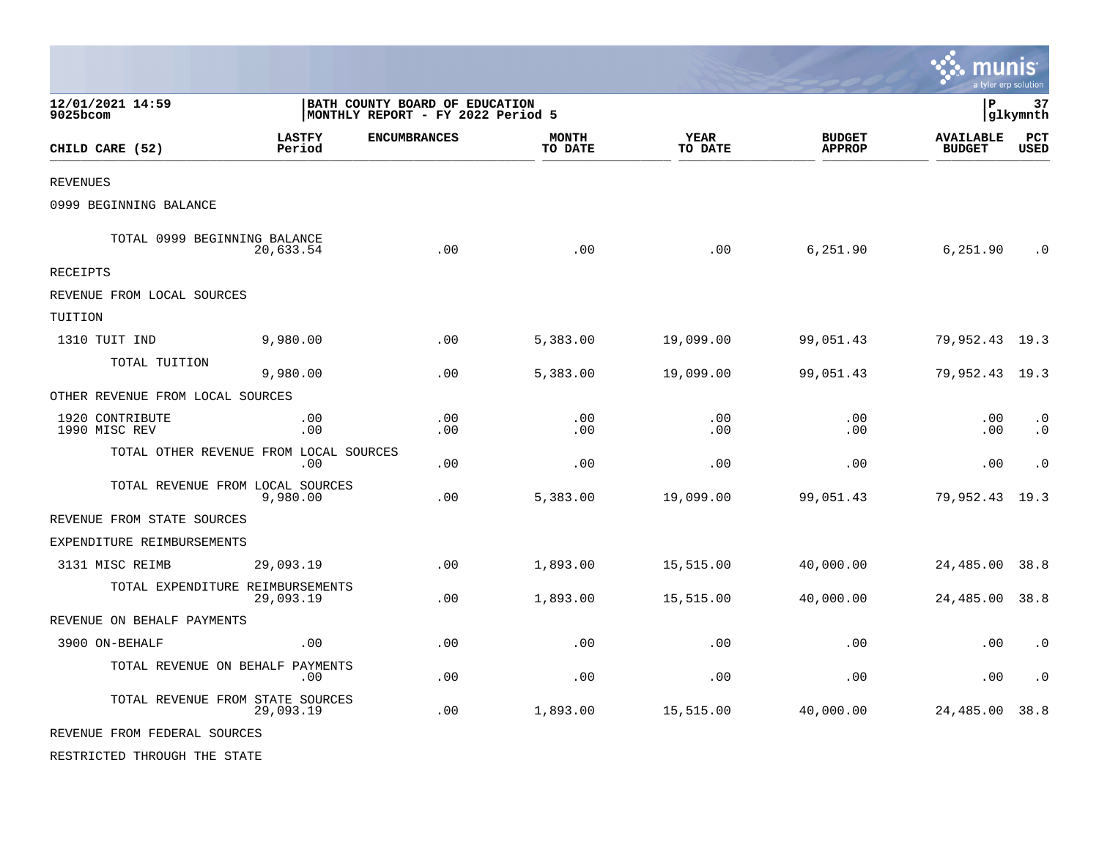|                                  |                                                |                                                                     |                         |                        |                                | <b>::: munis</b><br>a tyler erp solution |                        |
|----------------------------------|------------------------------------------------|---------------------------------------------------------------------|-------------------------|------------------------|--------------------------------|------------------------------------------|------------------------|
| 12/01/2021 14:59<br>9025bcom     |                                                | BATH COUNTY BOARD OF EDUCATION<br>MONTHLY REPORT - FY 2022 Period 5 |                         |                        |                                | l P                                      | 37<br> glkymnth        |
| CHILD CARE (52)                  | <b>LASTFY</b><br>Period                        | <b>ENCUMBRANCES</b>                                                 | <b>MONTH</b><br>TO DATE | <b>YEAR</b><br>TO DATE | <b>BUDGET</b><br><b>APPROP</b> | <b>AVAILABLE</b><br><b>BUDGET</b>        | $_{\rm PCT}$<br>USED   |
| <b>REVENUES</b>                  |                                                |                                                                     |                         |                        |                                |                                          |                        |
| 0999 BEGINNING BALANCE           |                                                |                                                                     |                         |                        |                                |                                          |                        |
| TOTAL 0999 BEGINNING BALANCE     | 20,633.54                                      | .00                                                                 | .00                     | .00                    | 6,251.90                       | 6,251.90                                 | $\cdot$ 0              |
| RECEIPTS                         |                                                |                                                                     |                         |                        |                                |                                          |                        |
| REVENUE FROM LOCAL SOURCES       |                                                |                                                                     |                         |                        |                                |                                          |                        |
| TUITION                          |                                                |                                                                     |                         |                        |                                |                                          |                        |
| 1310 TUIT IND                    | 9,980.00                                       | .00                                                                 | 5,383.00                | 19,099.00              | 99,051.43                      | 79,952.43 19.3                           |                        |
| TOTAL TUITION                    | 9,980.00                                       | .00                                                                 | 5,383.00                | 19,099.00              | 99,051.43                      | 79,952.43 19.3                           |                        |
| OTHER REVENUE FROM LOCAL SOURCES |                                                |                                                                     |                         |                        |                                |                                          |                        |
| 1920 CONTRIBUTE<br>1990 MISC REV | .00<br>.00                                     | .00<br>.00                                                          | .00<br>.00              | .00<br>.00             | .00<br>.00                     | .00<br>.00                               | $\cdot$ 0<br>$\cdot$ 0 |
|                                  | TOTAL OTHER REVENUE FROM LOCAL SOURCES<br>.00. | .00                                                                 | .00                     | .00                    | .00                            | .00                                      | $\cdot$ 0              |
| TOTAL REVENUE FROM LOCAL SOURCES | 9,980.00                                       | .00                                                                 | 5,383.00                | 19,099.00              | 99,051.43                      | 79,952.43                                | 19.3                   |
| REVENUE FROM STATE SOURCES       |                                                |                                                                     |                         |                        |                                |                                          |                        |
| EXPENDITURE REIMBURSEMENTS       |                                                |                                                                     |                         |                        |                                |                                          |                        |
| 3131 MISC REIMB                  | 29,093.19                                      | .00                                                                 | 1,893.00                | 15,515.00              | 40,000.00                      | 24,485.00                                | 38.8                   |
| TOTAL EXPENDITURE REIMBURSEMENTS | 29,093.19                                      | .00                                                                 | 1,893.00                | 15,515.00              | 40,000.00                      | 24,485.00                                | 38.8                   |
| REVENUE ON BEHALF PAYMENTS       |                                                |                                                                     |                         |                        |                                |                                          |                        |
| 3900 ON-BEHALF                   | .00                                            | .00                                                                 | .00                     | .00                    | .00                            | .00                                      | $\cdot$ 0              |
| TOTAL REVENUE ON BEHALF PAYMENTS | .00                                            | .00                                                                 | .00                     | .00                    | .00                            | .00                                      | $\cdot$ 0              |
| TOTAL REVENUE FROM STATE SOURCES | 29,093.19                                      | .00                                                                 | 1,893.00                | 15,515.00              | 40,000.00                      | 24,485.00                                | 38.8                   |
| REVENUE FROM FEDERAL SOURCES     |                                                |                                                                     |                         |                        |                                |                                          |                        |
| RESTRICTED THROUGH THE STATE     |                                                |                                                                     |                         |                        |                                |                                          |                        |

 $\mathcal{L}$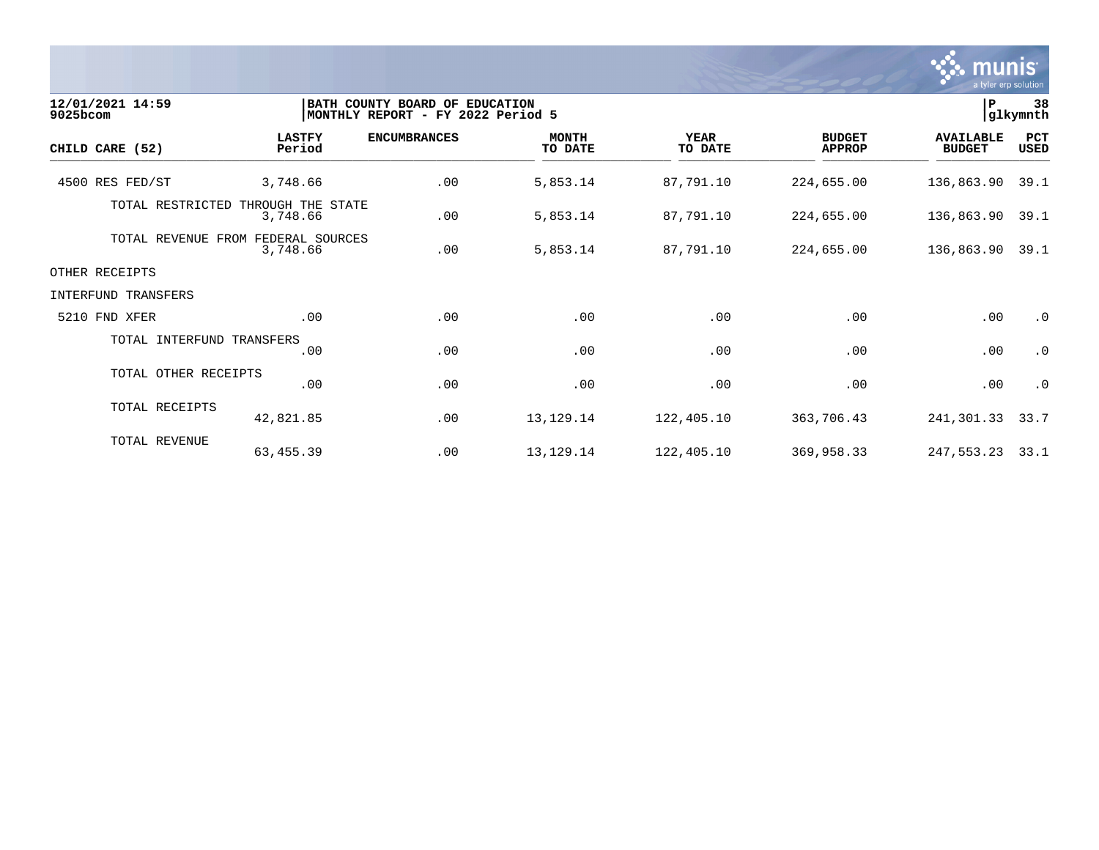

| 12/01/2021 14:59<br>9025bcom |                                                | BATH COUNTY BOARD OF EDUCATION<br>MONTHLY REPORT - FY 2022 Period 5 |                         |                        |                                |                                   |                    |
|------------------------------|------------------------------------------------|---------------------------------------------------------------------|-------------------------|------------------------|--------------------------------|-----------------------------------|--------------------|
| CHILD CARE (52)              | <b>LASTFY</b><br>Period                        | <b>ENCUMBRANCES</b>                                                 | <b>MONTH</b><br>TO DATE | <b>YEAR</b><br>TO DATE | <b>BUDGET</b><br><b>APPROP</b> | <b>AVAILABLE</b><br><b>BUDGET</b> | PCT<br><b>USED</b> |
| 4500 RES FED/ST              | 3,748.66                                       | .00                                                                 | 5,853.14                | 87,791.10              | 224,655.00                     | 136,863.90                        | 39.1               |
|                              | TOTAL RESTRICTED THROUGH THE STATE<br>3,748.66 | .00                                                                 | 5,853.14                | 87,791.10              | 224,655.00                     | 136,863.90                        | 39.1               |
| TOTAL REVENUE                | FEDERAL SOURCES<br>FROM<br>3,748.66            | .00                                                                 | 5,853.14                | 87,791.10              | 224,655.00                     | 136,863.90                        | 39.1               |
| OTHER RECEIPTS               |                                                |                                                                     |                         |                        |                                |                                   |                    |
| INTERFUND TRANSFERS          |                                                |                                                                     |                         |                        |                                |                                   |                    |
| 5210 FND XFER                | .00                                            | .00                                                                 | .00                     | .00                    | .00                            | .00                               | $\cdot$ 0          |
| TOTAL INTERFUND TRANSFERS    | .00                                            | .00                                                                 | .00                     | .00                    | .00                            | .00                               | $\cdot$ 0          |
| TOTAL OTHER RECEIPTS         | .00                                            | .00                                                                 | .00                     | .00                    | .00                            | .00                               | $\cdot$ 0          |
| TOTAL RECEIPTS               | 42,821.85                                      | .00                                                                 | 13, 129. 14             | 122,405.10             | 363,706.43                     | 241,301.33                        | 33.7               |
| TOTAL REVENUE                | 63,455.39                                      | .00                                                                 | 13, 129. 14             | 122,405.10             | 369,958.33                     | 247,553.23                        | 33.1               |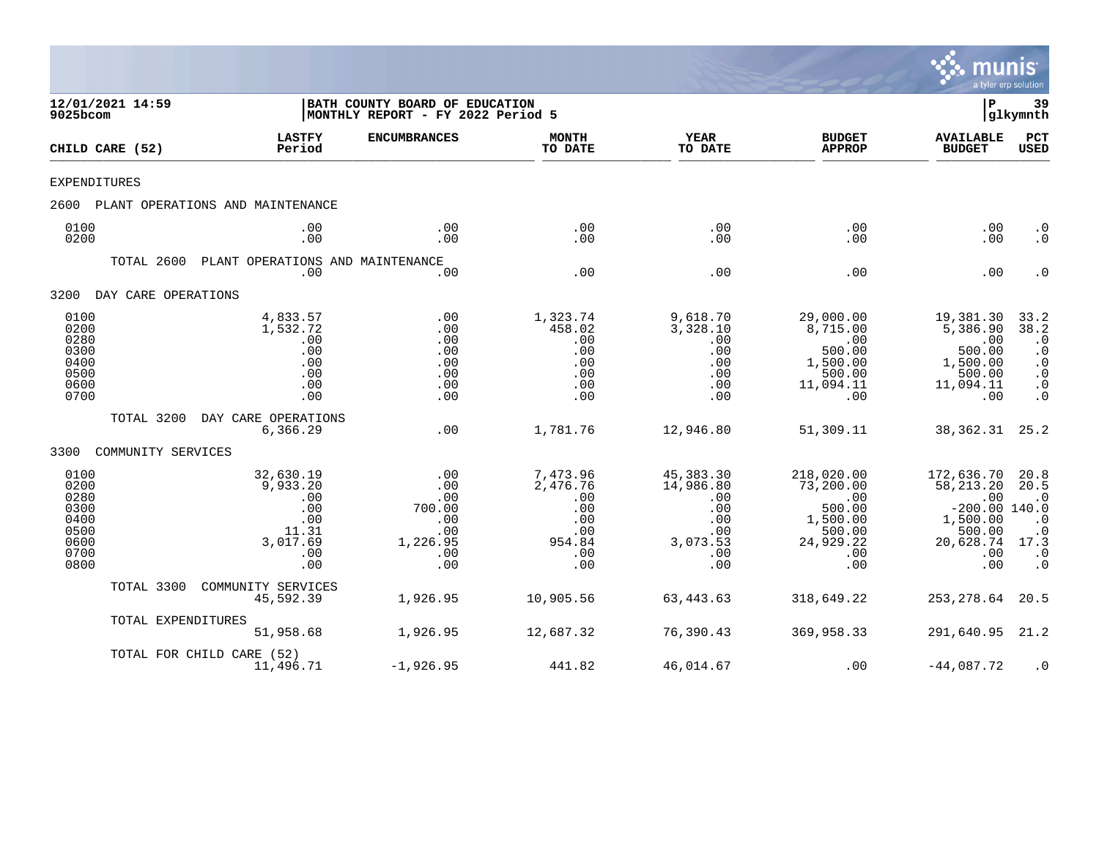

| 12/01/2021 14:59<br>9025bcom<br>CHILD CARE (52)<br>EXPENDITURES<br>2600<br>0100<br>0200<br>TOTAL 2600<br>DAY CARE OPERATIONS<br>3200<br>0100<br>0200<br>0280<br>0300<br>0400<br>0500<br>0600<br>0700<br>TOTAL 3200<br>3300<br>COMMUNITY SERVICES<br>0100<br>0200<br>0280<br>0300<br>0400<br>0500<br>0600<br>0700<br>0800<br>TOTAL 3300 |                    | BATH COUNTY BOARD OF EDUCATION<br> MONTHLY REPORT - FY 2022 Period 5          |                                                                     |                                                                          |                                                                                | P                                                                                              | 39<br> glkymnth                                                                                      |                                                                                                    |
|----------------------------------------------------------------------------------------------------------------------------------------------------------------------------------------------------------------------------------------------------------------------------------------------------------------------------------------|--------------------|-------------------------------------------------------------------------------|---------------------------------------------------------------------|--------------------------------------------------------------------------|--------------------------------------------------------------------------------|------------------------------------------------------------------------------------------------|------------------------------------------------------------------------------------------------------|----------------------------------------------------------------------------------------------------|
|                                                                                                                                                                                                                                                                                                                                        |                    | <b>LASTFY</b><br>Period                                                       | <b>ENCUMBRANCES</b>                                                 | <b>MONTH</b><br>TO DATE                                                  | <b>YEAR</b><br>TO DATE                                                         | <b>BUDGET</b><br><b>APPROP</b>                                                                 | <b>AVAILABLE</b><br><b>BUDGET</b>                                                                    | <b>PCT</b><br><b>USED</b>                                                                          |
|                                                                                                                                                                                                                                                                                                                                        |                    |                                                                               |                                                                     |                                                                          |                                                                                |                                                                                                |                                                                                                      |                                                                                                    |
|                                                                                                                                                                                                                                                                                                                                        |                    | PLANT OPERATIONS AND MAINTENANCE                                              |                                                                     |                                                                          |                                                                                |                                                                                                |                                                                                                      |                                                                                                    |
|                                                                                                                                                                                                                                                                                                                                        |                    | .00<br>.00                                                                    | .00<br>.00                                                          | .00<br>.00                                                               | .00<br>.00                                                                     | .00<br>.00.                                                                                    | .00<br>.00                                                                                           | $\cdot$ 0<br>$\cdot$ 0                                                                             |
|                                                                                                                                                                                                                                                                                                                                        |                    | PLANT OPERATIONS AND MAINTENANCE<br>.00                                       | .00                                                                 | .00                                                                      | .00                                                                            | .00                                                                                            | .00                                                                                                  | $\cdot$ 0                                                                                          |
|                                                                                                                                                                                                                                                                                                                                        |                    |                                                                               |                                                                     |                                                                          |                                                                                |                                                                                                |                                                                                                      |                                                                                                    |
|                                                                                                                                                                                                                                                                                                                                        |                    | 4,833.57<br>1,532.72<br>.00<br>.00<br>.00<br>.00<br>.00<br>.00                | .00<br>.00<br>.00<br>.00<br>.00<br>.00<br>.00<br>.00                | 1,323.74<br>458.02<br>.00<br>.00<br>.00<br>.00<br>.00<br>.00             | 9,618.70<br>3,328.10<br>.00<br>.00<br>.00<br>.00<br>.00<br>.00                 | 29,000.00<br>8,715.00<br>.00<br>500.00<br>1,500.00<br>500.00<br>11,094.11<br>.00               | 19,381.30<br>5,386.90<br>.00<br>500.00<br>1,500.00<br>500.00<br>11,094.11<br>.00                     | $33.2$<br>$38.2$<br>$\cdot$ 0<br>$\cdot$ 0<br>$\cdot$ 0<br>$\cdot$ 0<br>$\cdot$ 0<br>$\cdot$ 0     |
|                                                                                                                                                                                                                                                                                                                                        |                    | DAY CARE OPERATIONS<br>6,366.29                                               | .00                                                                 | 1,781.76                                                                 | 12,946.80                                                                      | 51,309.11                                                                                      | 38,362.31                                                                                            | 25.2                                                                                               |
|                                                                                                                                                                                                                                                                                                                                        |                    |                                                                               |                                                                     |                                                                          |                                                                                |                                                                                                |                                                                                                      |                                                                                                    |
|                                                                                                                                                                                                                                                                                                                                        |                    | 32,630.19<br>9,933.20<br>.00<br>.00<br>.00<br>11.31<br>3,017.69<br>.00<br>.00 | .00<br>.00<br>.00<br>700.00<br>.00<br>.00<br>1,226.95<br>.00<br>.00 | 7,473.96<br>2,476.76<br>.00<br>.00<br>.00<br>.00<br>954.84<br>.00<br>.00 | 45, 383. 30<br>14,986.80<br>.00<br>.00<br>.00<br>.00<br>3,073.53<br>.00<br>.00 | 218,020.00<br>73,200.00<br>.00<br>500.00<br>1,500.00<br>500.00<br>24,929.22<br>$.00 \,$<br>.00 | 172,636.70<br>58, 213. 20<br>.00<br>$-200.00$ 140.0<br>1,500.00<br>500.00<br>20,628.74<br>.00<br>.00 | 20.8<br>20.5<br>$\cdot$ 0<br>$\cdot$ 0<br>$\cdot$ 0<br>17.3<br>$\boldsymbol{\cdot}$ 0<br>$\cdot$ 0 |
|                                                                                                                                                                                                                                                                                                                                        |                    | COMMUNITY SERVICES<br>45,592.39                                               | 1,926.95                                                            | 10,905.56                                                                | 63,443.63                                                                      | 318,649.22                                                                                     | 253, 278.64                                                                                          | 20.5                                                                                               |
|                                                                                                                                                                                                                                                                                                                                        | TOTAL EXPENDITURES | 51,958.68                                                                     | 1,926.95                                                            | 12,687.32                                                                | 76,390.43                                                                      | 369,958.33                                                                                     | 291,640.95                                                                                           | 21.2                                                                                               |
|                                                                                                                                                                                                                                                                                                                                        |                    | TOTAL FOR CHILD CARE (52)<br>11,496.71                                        | $-1,926.95$                                                         | 441.82                                                                   | 46,014.67                                                                      | .00                                                                                            | $-44,087.72$                                                                                         | $\cdot$ 0                                                                                          |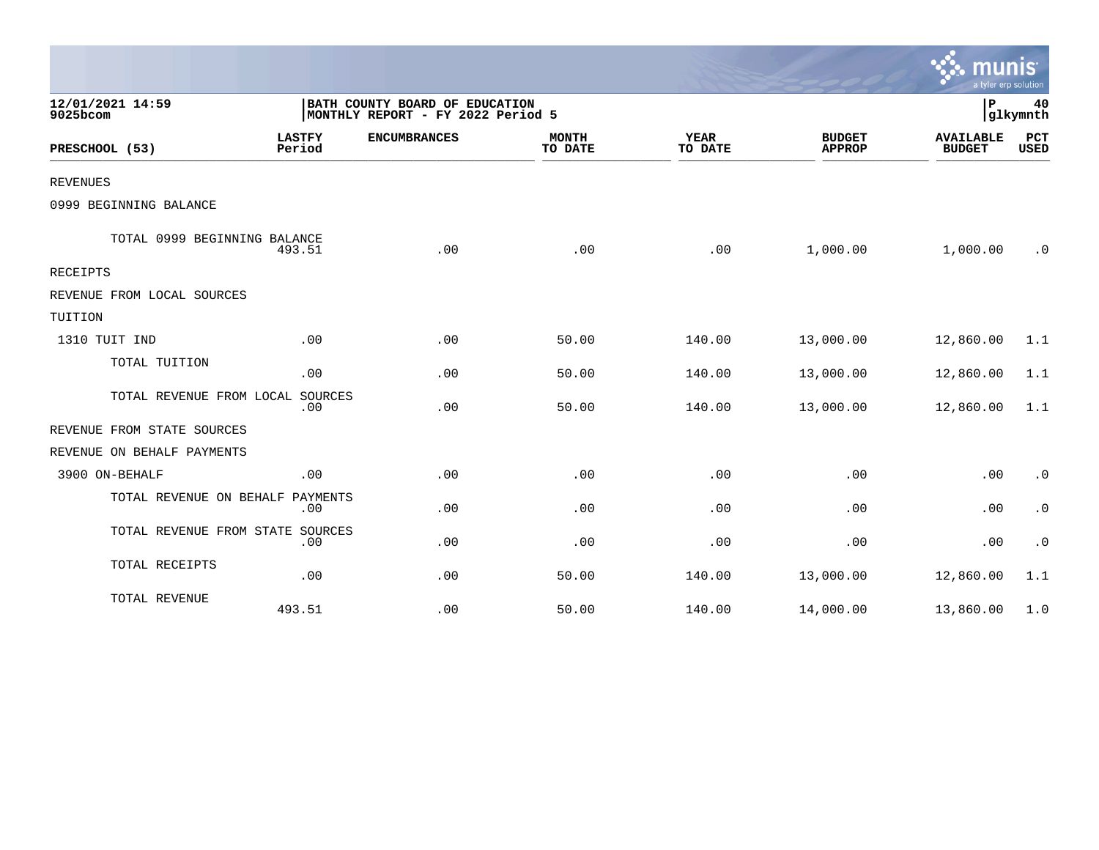|                                  |                         |                                                                     |                         |                        |                                | munis<br>a tyler erp solution     |                    |
|----------------------------------|-------------------------|---------------------------------------------------------------------|-------------------------|------------------------|--------------------------------|-----------------------------------|--------------------|
| 12/01/2021 14:59<br>9025bcom     |                         | BATH COUNTY BOARD OF EDUCATION<br>MONTHLY REPORT - FY 2022 Period 5 |                         |                        | l P<br>40<br>glkymnth          |                                   |                    |
| PRESCHOOL (53)                   | <b>LASTFY</b><br>Period | <b>ENCUMBRANCES</b>                                                 | <b>MONTH</b><br>TO DATE | <b>YEAR</b><br>TO DATE | <b>BUDGET</b><br><b>APPROP</b> | <b>AVAILABLE</b><br><b>BUDGET</b> | PCT<br><b>USED</b> |
| <b>REVENUES</b>                  |                         |                                                                     |                         |                        |                                |                                   |                    |
| 0999 BEGINNING BALANCE           |                         |                                                                     |                         |                        |                                |                                   |                    |
| TOTAL 0999 BEGINNING BALANCE     | 493.51                  | .00                                                                 | .00                     | .00                    | 1,000.00                       | 1,000.00                          | $\cdot$ 0          |
| RECEIPTS                         |                         |                                                                     |                         |                        |                                |                                   |                    |
| REVENUE FROM LOCAL SOURCES       |                         |                                                                     |                         |                        |                                |                                   |                    |
| TUITION                          |                         |                                                                     |                         |                        |                                |                                   |                    |
| 1310 TUIT IND                    | .00                     | .00                                                                 | 50.00                   | 140.00                 | 13,000.00                      | 12,860.00                         | 1.1                |
| TOTAL TUITION                    | .00                     | .00                                                                 | 50.00                   | 140.00                 | 13,000.00                      | 12,860.00                         | 1.1                |
| TOTAL REVENUE FROM LOCAL SOURCES | .00                     | .00                                                                 | 50.00                   | 140.00                 | 13,000.00                      | 12,860.00                         | 1.1                |
| REVENUE FROM STATE SOURCES       |                         |                                                                     |                         |                        |                                |                                   |                    |
| REVENUE ON BEHALF PAYMENTS       |                         |                                                                     |                         |                        |                                |                                   |                    |
| 3900 ON-BEHALF                   | .00                     | .00                                                                 | .00                     | .00                    | .00                            | .00                               | $\cdot$ 0          |
| TOTAL REVENUE ON BEHALF          | PAYMENTS<br>.00         | .00                                                                 | .00                     | .00                    | .00                            | .00                               | $\cdot$ 0          |
| TOTAL REVENUE FROM STATE SOURCES | .00                     | .00                                                                 | .00                     | .00                    | .00                            | .00                               | $\cdot$ 0          |
| TOTAL RECEIPTS                   | .00                     | .00                                                                 | 50.00                   | 140.00                 | 13,000.00                      | 12,860.00                         | 1.1                |
| TOTAL REVENUE                    | 493.51                  | .00                                                                 | 50.00                   | 140.00                 | 14,000.00                      | 13,860.00                         | 1.0                |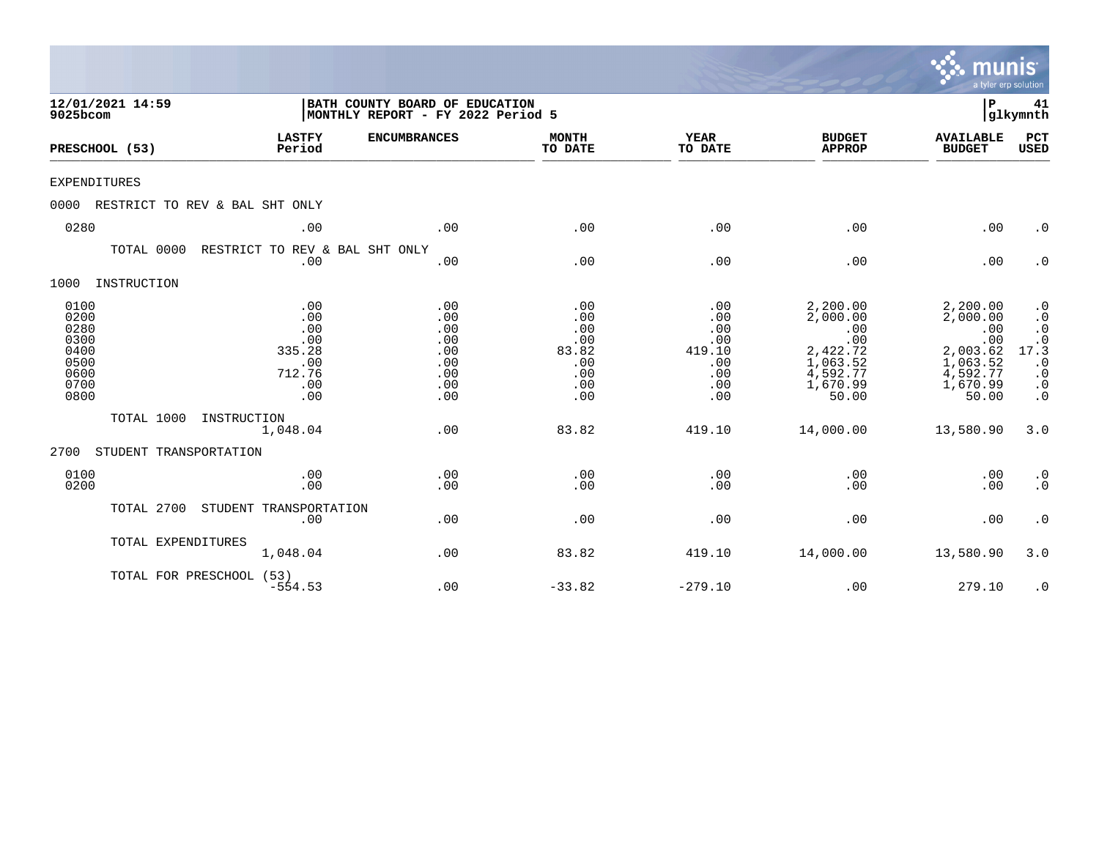|          |                                                                                                                                                                                                                                                                                |                                                                   |                                                                     |                                                               |                                                                |                                                                                             | munis                                                                                       | a tyler erp solution                                                                                         |
|----------|--------------------------------------------------------------------------------------------------------------------------------------------------------------------------------------------------------------------------------------------------------------------------------|-------------------------------------------------------------------|---------------------------------------------------------------------|---------------------------------------------------------------|----------------------------------------------------------------|---------------------------------------------------------------------------------------------|---------------------------------------------------------------------------------------------|--------------------------------------------------------------------------------------------------------------|
| 9025bcom | 12/01/2021 14:59<br>PRESCHOOL (53)<br><b>EXPENDITURES</b><br>RESTRICT TO REV & BAL SHT ONLY<br>0280<br>TOTAL 0000<br>INSTRUCTION<br>0100<br>0200<br>0280<br>0300<br>0400<br>0500<br>0600<br>0700<br>0800<br>TOTAL 1000<br>STUDENT TRANSPORTATION<br>0100<br>0200<br>TOTAL 2700 |                                                                   | BATH COUNTY BOARD OF EDUCATION<br>MONTHLY REPORT - FY 2022 Period 5 |                                                               |                                                                |                                                                                             | P                                                                                           | 41<br> glkymnth                                                                                              |
|          |                                                                                                                                                                                                                                                                                | <b>LASTFY</b><br>Period                                           | <b>ENCUMBRANCES</b>                                                 | <b>MONTH</b><br>TO DATE                                       | <b>YEAR</b><br>TO DATE                                         | <b>BUDGET</b><br><b>APPROP</b>                                                              | <b>AVAILABLE</b><br><b>BUDGET</b>                                                           | PCT<br><b>USED</b>                                                                                           |
|          |                                                                                                                                                                                                                                                                                |                                                                   |                                                                     |                                                               |                                                                |                                                                                             |                                                                                             |                                                                                                              |
| 0000     |                                                                                                                                                                                                                                                                                |                                                                   |                                                                     |                                                               |                                                                |                                                                                             |                                                                                             |                                                                                                              |
|          |                                                                                                                                                                                                                                                                                | .00                                                               | .00                                                                 | .00                                                           | .00                                                            | .00                                                                                         | .00                                                                                         | $\cdot$ 0                                                                                                    |
|          |                                                                                                                                                                                                                                                                                | RESTRICT TO REV & BAL SHT ONLY<br>.00                             | .00                                                                 | .00                                                           | .00                                                            | .00                                                                                         | .00                                                                                         | $\cdot$ 0                                                                                                    |
| 1000     |                                                                                                                                                                                                                                                                                |                                                                   |                                                                     |                                                               |                                                                |                                                                                             |                                                                                             |                                                                                                              |
|          |                                                                                                                                                                                                                                                                                | .00<br>.00<br>.00<br>.00<br>335.28<br>.00<br>712.76<br>.00<br>.00 | .00<br>.00<br>.00<br>.00<br>.00<br>.00<br>.00<br>.00<br>.00         | .00<br>.00<br>.00<br>.00<br>83.82<br>.00<br>.00<br>.00<br>.00 | .00<br>.00<br>.00<br>.00<br>419.10<br>.00<br>.00<br>.00<br>.00 | 2,200.00<br>2,000.00<br>.00<br>.00<br>2,422.72<br>1,063.52<br>4,592.77<br>1,670.99<br>50.00 | 2,200.00<br>2,000.00<br>.00<br>.00<br>2,003.62<br>1,063.52<br>4,592.77<br>1,670.99<br>50.00 | $\cdot$ 0<br>$\cdot$ 0<br>$\cdot$ 0<br>$17.\overline{3}$<br>$\cdot$ 0<br>$\cdot$ 0<br>$\cdot$ 0<br>$\cdot$ 0 |
|          |                                                                                                                                                                                                                                                                                | INSTRUCTION<br>1,048.04                                           | .00                                                                 | 83.82                                                         | 419.10                                                         | 14,000.00                                                                                   | 13,580.90                                                                                   | 3.0                                                                                                          |
| 2700     |                                                                                                                                                                                                                                                                                |                                                                   |                                                                     |                                                               |                                                                |                                                                                             |                                                                                             |                                                                                                              |
|          |                                                                                                                                                                                                                                                                                | .00<br>.00                                                        | .00<br>.00                                                          | .00<br>.00                                                    | .00<br>.00                                                     | .00<br>.00                                                                                  | .00<br>.00                                                                                  | $\cdot$ 0<br>$\cdot$ 0                                                                                       |
|          |                                                                                                                                                                                                                                                                                | STUDENT TRANSPORTATION<br>.00                                     | .00                                                                 | .00                                                           | .00                                                            | .00                                                                                         | .00                                                                                         | $\cdot$ 0                                                                                                    |
|          | TOTAL EXPENDITURES                                                                                                                                                                                                                                                             | 1,048.04                                                          | .00                                                                 | 83.82                                                         | 419.10                                                         | 14,000.00                                                                                   | 13,580.90                                                                                   | 3.0                                                                                                          |
|          | TOTAL FOR PRESCHOOL (53)                                                                                                                                                                                                                                                       | $-554.53$                                                         | .00                                                                 | $-33.82$                                                      | $-279.10$                                                      | .00                                                                                         | 279.10                                                                                      | $\cdot$ 0                                                                                                    |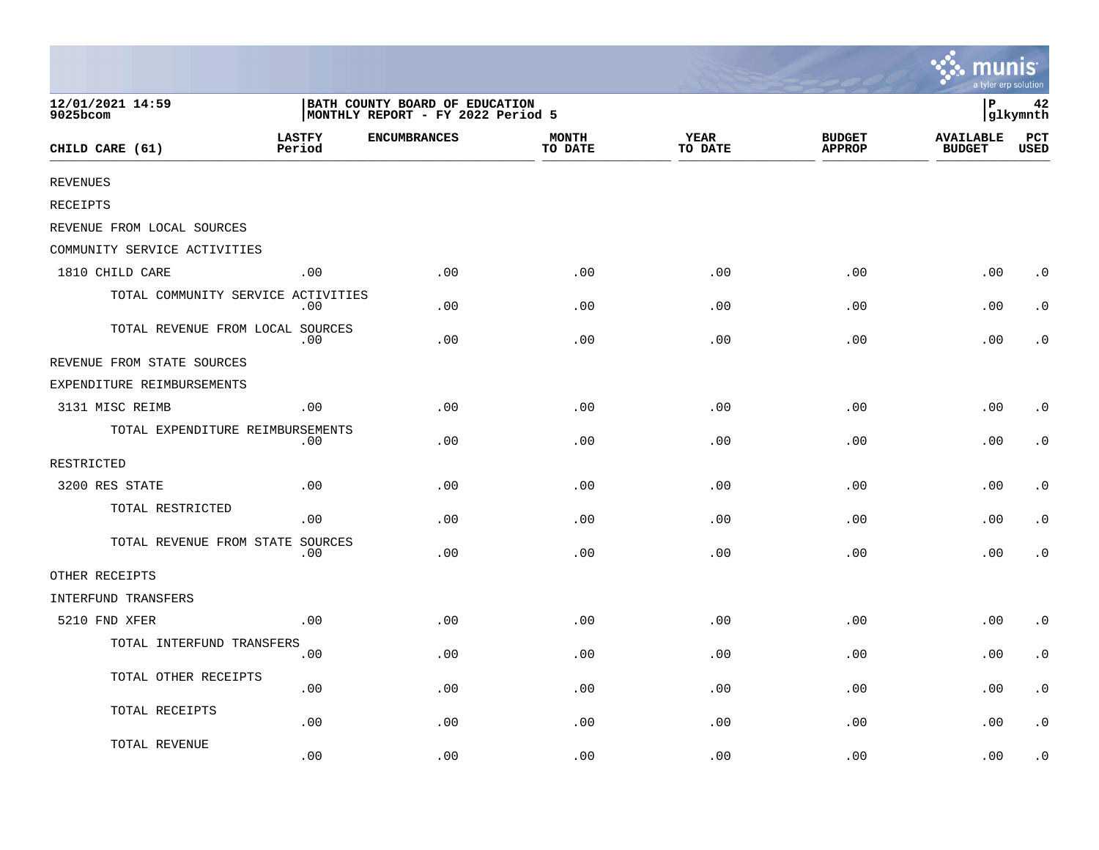|                                    |                                                                     |                     |                         |                        |                                | <b>A.</b> munis<br>a tyler erp solution |             |
|------------------------------------|---------------------------------------------------------------------|---------------------|-------------------------|------------------------|--------------------------------|-----------------------------------------|-------------|
| 12/01/2021 14:59<br>9025bcom       | BATH COUNTY BOARD OF EDUCATION<br>MONTHLY REPORT - FY 2022 Period 5 |                     |                         |                        |                                | İР<br>42<br>glkymnth                    |             |
| CHILD CARE (61)                    | <b>LASTFY</b><br>Period                                             | <b>ENCUMBRANCES</b> | <b>MONTH</b><br>TO DATE | <b>YEAR</b><br>TO DATE | <b>BUDGET</b><br><b>APPROP</b> | <b>AVAILABLE</b><br><b>BUDGET</b>       | PCT<br>USED |
| <b>REVENUES</b>                    |                                                                     |                     |                         |                        |                                |                                         |             |
| RECEIPTS                           |                                                                     |                     |                         |                        |                                |                                         |             |
| REVENUE FROM LOCAL SOURCES         |                                                                     |                     |                         |                        |                                |                                         |             |
| COMMUNITY SERVICE ACTIVITIES       |                                                                     |                     |                         |                        |                                |                                         |             |
| 1810 CHILD CARE                    | .00                                                                 | .00                 | .00                     | .00                    | .00                            | .00                                     | $\cdot$ 0   |
| TOTAL COMMUNITY SERVICE ACTIVITIES | $.00 \,$                                                            | .00.                | .00                     | .00                    | .00                            | .00                                     | $\cdot$ 0   |
| TOTAL REVENUE FROM LOCAL SOURCES   | .00                                                                 | .00                 | .00                     | .00                    | .00                            | .00                                     | . 0         |
| REVENUE FROM STATE SOURCES         |                                                                     |                     |                         |                        |                                |                                         |             |
| EXPENDITURE REIMBURSEMENTS         |                                                                     |                     |                         |                        |                                |                                         |             |
| 3131 MISC REIMB                    | .00                                                                 | .00                 | .00                     | .00                    | .00                            | .00                                     | $\cdot$ 0   |
| TOTAL EXPENDITURE REIMBURSEMENTS   | .00                                                                 | .00                 | .00                     | .00                    | .00                            | .00                                     | $\cdot$ 0   |
| RESTRICTED                         |                                                                     |                     |                         |                        |                                |                                         |             |
| 3200 RES STATE                     | .00                                                                 | .00                 | .00                     | .00                    | .00                            | .00                                     | $\cdot$ 0   |
| TOTAL RESTRICTED                   | .00                                                                 | .00                 | .00                     | .00                    | .00                            | .00                                     | $\cdot$ 0   |
| TOTAL REVENUE FROM STATE SOURCES   | $.00 \,$                                                            | .00                 | .00                     | .00                    | .00                            | .00                                     | $\cdot$ 0   |
| OTHER RECEIPTS                     |                                                                     |                     |                         |                        |                                |                                         |             |
| INTERFUND TRANSFERS                |                                                                     |                     |                         |                        |                                |                                         |             |
| 5210 FND XFER                      | .00                                                                 | .00                 | .00                     | .00                    | .00                            | .00                                     | $\cdot$ 0   |
| TOTAL INTERFUND TRANSFERS          | .00                                                                 | .00                 | .00                     | .00                    | .00                            | .00                                     | $\cdot$ 0   |
| TOTAL OTHER RECEIPTS               | .00                                                                 | .00                 | .00                     | .00                    | .00                            | .00                                     | $\cdot$ 0   |
| TOTAL RECEIPTS                     | .00                                                                 | .00                 | .00                     | .00                    | .00                            | .00                                     | $\cdot$ 0   |
| TOTAL REVENUE                      | .00                                                                 | .00                 | .00                     | .00                    | .00                            | .00                                     | $\cdot$ 0   |

the contract of the contract of the contract of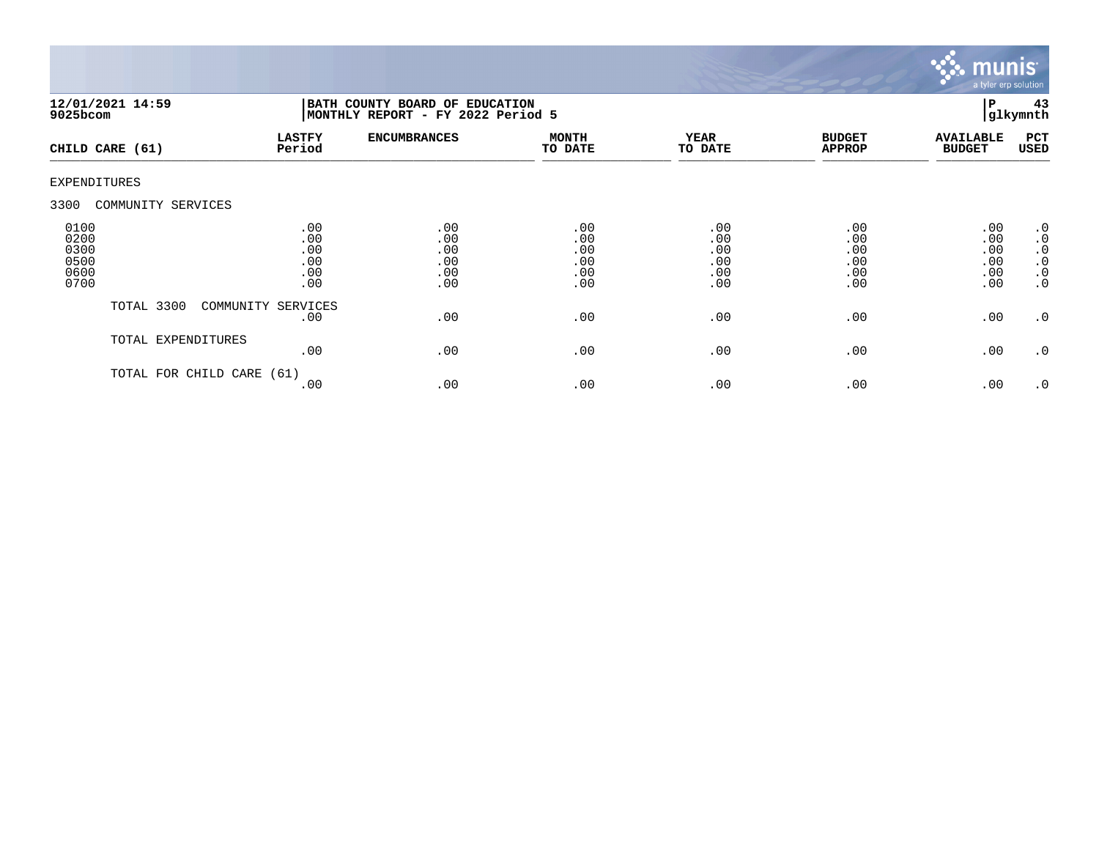

| 12/01/2021 14:59<br>$9025$ bcom              |                                        | BATH COUNTY BOARD OF EDUCATION<br>MONTHLY REPORT - FY 2022 Period 5 |                                        |                                        |                                        |                                        |                                                                                  |
|----------------------------------------------|----------------------------------------|---------------------------------------------------------------------|----------------------------------------|----------------------------------------|----------------------------------------|----------------------------------------|----------------------------------------------------------------------------------|
| CHILD CARE (61)                              | <b>LASTFY</b><br>Period                | <b>ENCUMBRANCES</b>                                                 | <b>MONTH</b><br>TO DATE                | <b>YEAR</b><br>TO DATE                 | <b>BUDGET</b><br><b>APPROP</b>         | <b>AVAILABLE</b><br><b>BUDGET</b>      | PCT<br>USED                                                                      |
| EXPENDITURES                                 |                                        |                                                                     |                                        |                                        |                                        |                                        |                                                                                  |
| 3300<br>COMMUNITY SERVICES                   |                                        |                                                                     |                                        |                                        |                                        |                                        |                                                                                  |
| 0100<br>0200<br>0300<br>0500<br>0600<br>0700 | .00<br>.00<br>.00<br>.00<br>.00<br>.00 | .00<br>.00<br>.00<br>.00<br>.00<br>.00                              | .00<br>.00<br>.00<br>.00<br>.00<br>.00 | .00<br>.00<br>.00<br>.00<br>.00<br>.00 | .00<br>.00<br>.00<br>.00<br>.00<br>.00 | .00<br>.00<br>.00<br>.00<br>.00<br>.00 | $\cdot$ 0<br>$\cdot$ 0<br>$\cdot$ 0<br>$\boldsymbol{\cdot}$ 0<br>.0<br>$\cdot$ 0 |
| TOTAL 3300                                   | COMMUNITY SERVICES<br>.00              | .00                                                                 | .00                                    | .00                                    | .00                                    | .00                                    | .0                                                                               |
|                                              | TOTAL EXPENDITURES<br>.00              | .00                                                                 | .00                                    | .00                                    | .00                                    | .00                                    | .0                                                                               |
|                                              | TOTAL FOR CHILD CARE (61)<br>.00       | .00                                                                 | .00                                    | .00                                    | .00                                    | .00                                    | $\cdot$ 0                                                                        |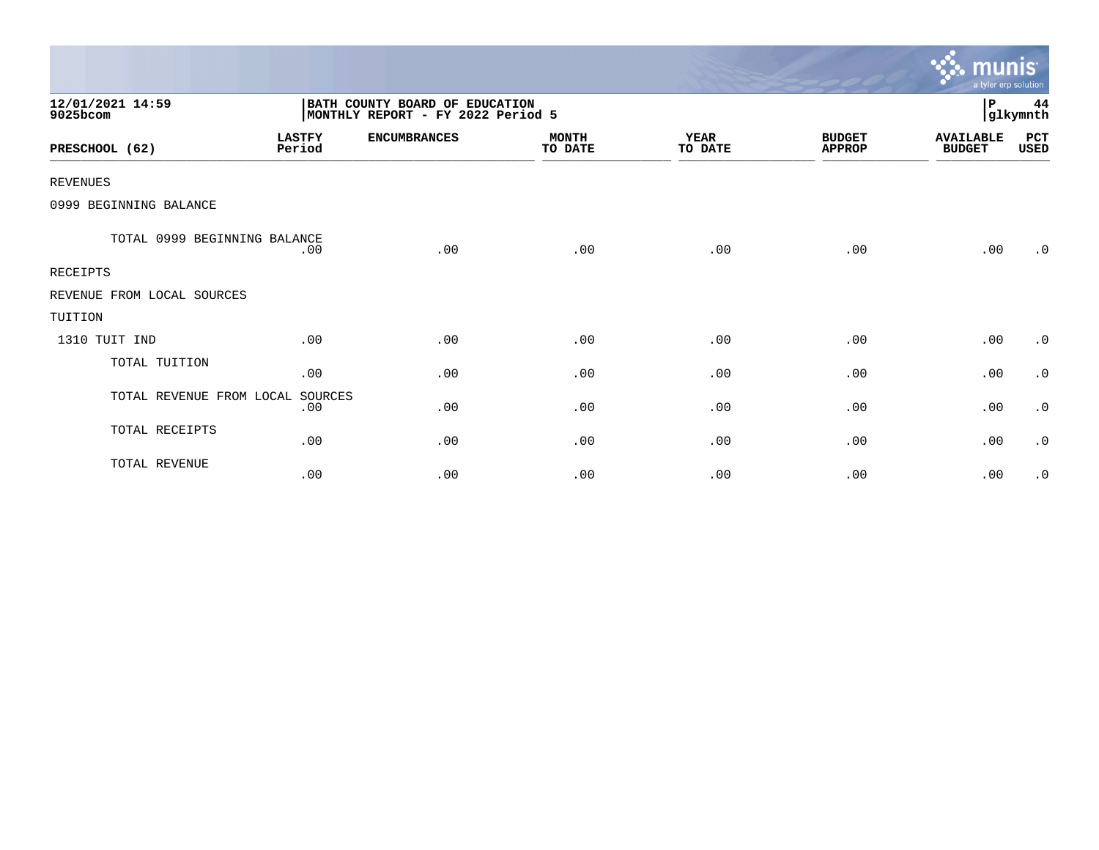|                              |                         |                                                                     |                         |                        |                                | munis <sup>.</sup><br>a tyler erp solution |                |
|------------------------------|-------------------------|---------------------------------------------------------------------|-------------------------|------------------------|--------------------------------|--------------------------------------------|----------------|
| 12/01/2021 14:59<br>9025bcom |                         | BATH COUNTY BOARD OF EDUCATION<br>MONTHLY REPORT - FY 2022 Period 5 |                         |                        |                                | $\, {\bf P}$                               | 44<br>glkymnth |
| PRESCHOOL (62)               | <b>LASTFY</b><br>Period | <b>ENCUMBRANCES</b>                                                 | <b>MONTH</b><br>TO DATE | <b>YEAR</b><br>TO DATE | <b>BUDGET</b><br><b>APPROP</b> | <b>AVAILABLE</b><br><b>BUDGET</b>          | PCT<br>USED    |
| <b>REVENUES</b>              |                         |                                                                     |                         |                        |                                |                                            |                |
| 0999 BEGINNING BALANCE       |                         |                                                                     |                         |                        |                                |                                            |                |
| TOTAL 0999 BEGINNING BALANCE | .00                     | .00                                                                 | .00                     | .00                    | .00                            | .00                                        | $\cdot$ 0      |
| <b>RECEIPTS</b>              |                         |                                                                     |                         |                        |                                |                                            |                |
| REVENUE FROM LOCAL SOURCES   |                         |                                                                     |                         |                        |                                |                                            |                |
| TUITION                      |                         |                                                                     |                         |                        |                                |                                            |                |
| 1310 TUIT IND                | .00                     | .00                                                                 | .00                     | .00                    | .00                            | .00                                        | $\cdot$ 0      |
| TOTAL TUITION                | .00                     | .00                                                                 | .00                     | .00                    | .00                            | .00                                        | $\cdot$ 0      |
| TOTAL REVENUE FROM LOCAL     | SOURCES<br>.00          | .00                                                                 | .00                     | .00                    | .00                            | .00                                        | $\cdot$ 0      |
| TOTAL RECEIPTS               | .00                     | .00                                                                 | .00                     | .00                    | .00                            | .00                                        | $\cdot$ 0      |
| TOTAL REVENUE                | .00                     | .00                                                                 | .00                     | .00                    | .00                            | .00                                        | $\cdot$ 0      |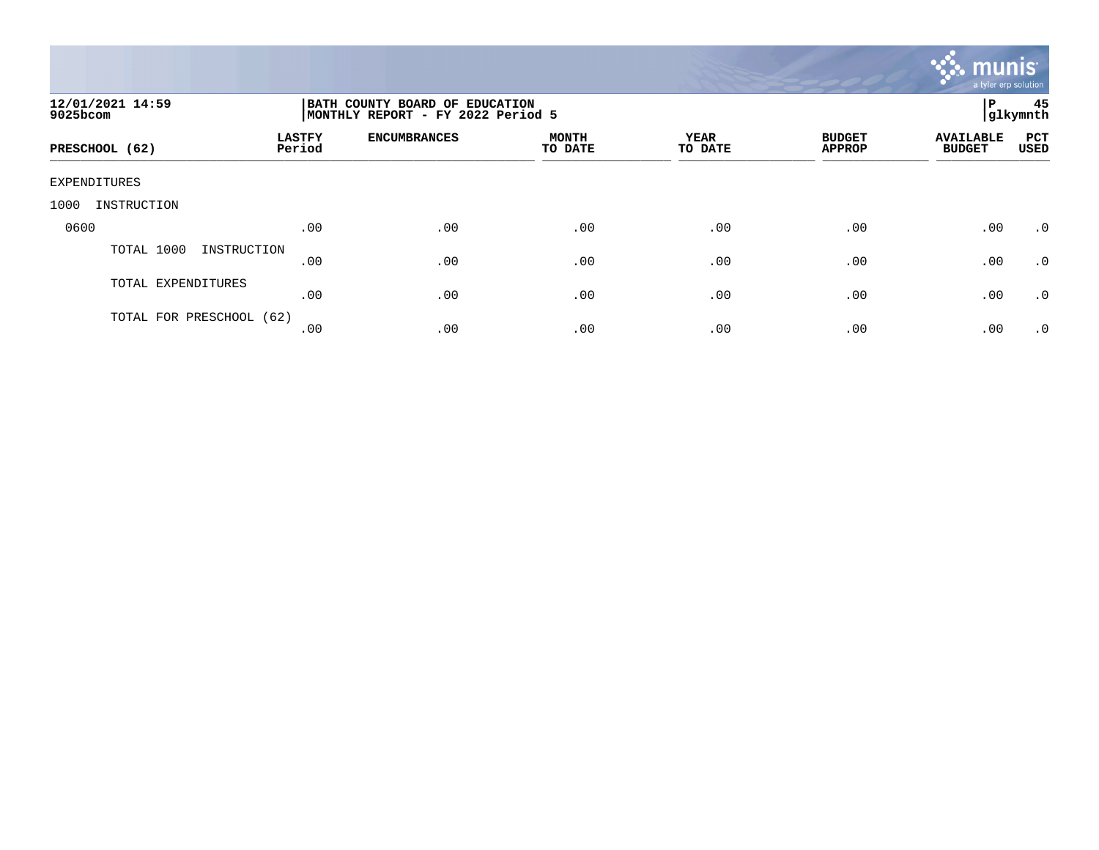

| 12/01/2021 14:59<br>9025bcom |                         | BATH COUNTY BOARD OF EDUCATION<br>MONTHLY REPORT - FY 2022 Period 5 |                         |                        |                                |                                   |                    |
|------------------------------|-------------------------|---------------------------------------------------------------------|-------------------------|------------------------|--------------------------------|-----------------------------------|--------------------|
| PRESCHOOL (62)               | <b>LASTFY</b><br>Period | <b>ENCUMBRANCES</b>                                                 | <b>MONTH</b><br>TO DATE | <b>YEAR</b><br>TO DATE | <b>BUDGET</b><br><b>APPROP</b> | <b>AVAILABLE</b><br><b>BUDGET</b> | PCT<br><b>USED</b> |
| EXPENDITURES                 |                         |                                                                     |                         |                        |                                |                                   |                    |
| 1000<br>INSTRUCTION          |                         |                                                                     |                         |                        |                                |                                   |                    |
| 0600                         | .00                     | .00                                                                 | .00                     | .00                    | .00                            | .00                               | .0                 |
| TOTAL 1000<br>INSTRUCTION    | .00                     | .00                                                                 | .00                     | .00                    | .00                            | .00                               | $\cdot$ 0          |
| TOTAL EXPENDITURES           | .00                     | .00                                                                 | .00                     | .00                    | .00                            | .00                               | .0                 |
| TOTAL FOR PRESCHOOL (62)     | .00                     | .00                                                                 | .00                     | .00                    | .00                            | .00                               | $\cdot$ 0          |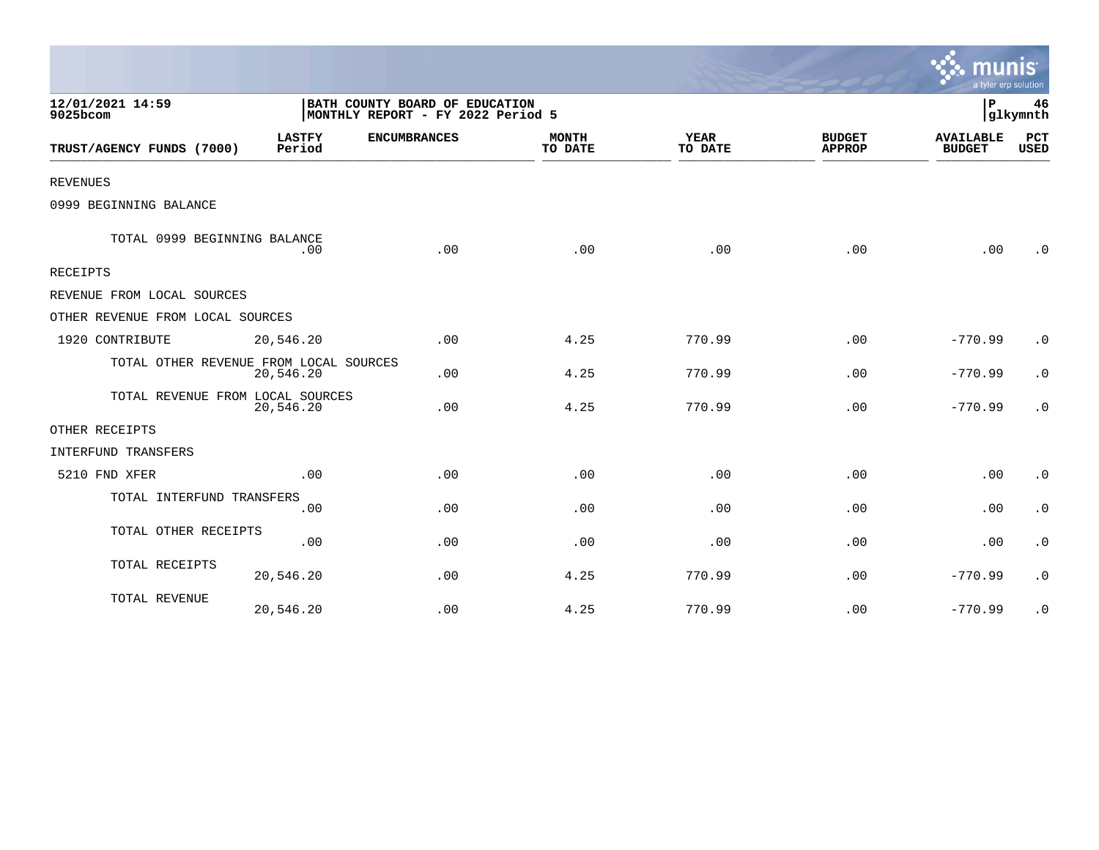|                                        |                         |                                                                     |                         |                        |                                | a tyler erp solution              |                    |
|----------------------------------------|-------------------------|---------------------------------------------------------------------|-------------------------|------------------------|--------------------------------|-----------------------------------|--------------------|
| 12/01/2021 14:59<br>9025bcom           |                         | BATH COUNTY BOARD OF EDUCATION<br>MONTHLY REPORT - FY 2022 Period 5 |                         |                        |                                | P                                 | 46<br>glkymnth     |
| TRUST/AGENCY FUNDS (7000)              | <b>LASTFY</b><br>Period | <b>ENCUMBRANCES</b>                                                 | <b>MONTH</b><br>TO DATE | <b>YEAR</b><br>TO DATE | <b>BUDGET</b><br><b>APPROP</b> | <b>AVAILABLE</b><br><b>BUDGET</b> | PCT<br><b>USED</b> |
| <b>REVENUES</b>                        |                         |                                                                     |                         |                        |                                |                                   |                    |
| 0999 BEGINNING BALANCE                 |                         |                                                                     |                         |                        |                                |                                   |                    |
| TOTAL 0999 BEGINNING BALANCE           | .00                     | .00                                                                 | .00                     | .00                    | .00                            | .00                               | $\cdot$ 0          |
| RECEIPTS                               |                         |                                                                     |                         |                        |                                |                                   |                    |
| REVENUE FROM LOCAL SOURCES             |                         |                                                                     |                         |                        |                                |                                   |                    |
| OTHER REVENUE FROM LOCAL SOURCES       |                         |                                                                     |                         |                        |                                |                                   |                    |
| 1920 CONTRIBUTE                        | 20,546.20               | .00                                                                 | 4.25                    | 770.99                 | .00                            | $-770.99$                         | $\cdot$ 0          |
| TOTAL OTHER REVENUE FROM LOCAL SOURCES | 20,546.20               | .00                                                                 | 4.25                    | 770.99                 | .00                            | $-770.99$                         | $\cdot$ 0          |
| TOTAL REVENUE FROM LOCAL SOURCES       | 20,546.20               | .00                                                                 | 4.25                    | 770.99                 | .00                            | $-770.99$                         | $\cdot$ 0          |
| OTHER RECEIPTS                         |                         |                                                                     |                         |                        |                                |                                   |                    |
| INTERFUND TRANSFERS                    |                         |                                                                     |                         |                        |                                |                                   |                    |
| 5210 FND XFER                          | .00                     | .00                                                                 | .00                     | .00                    | .00                            | .00                               | $\cdot$ 0          |
| TOTAL INTERFUND TRANSFERS              | .00                     | .00                                                                 | .00                     | .00                    | .00                            | .00                               | $\cdot$ 0          |
| TOTAL OTHER RECEIPTS                   | .00                     | .00                                                                 | .00                     | .00                    | .00                            | .00                               | $\cdot$ 0          |
| TOTAL RECEIPTS                         | 20,546.20               | .00                                                                 | 4.25                    | 770.99                 | .00                            | $-770.99$                         | $\cdot$ 0          |
| TOTAL REVENUE                          | 20,546.20               | .00                                                                 | 4.25                    | 770.99                 | .00                            | $-770.99$                         | $\cdot$ 0          |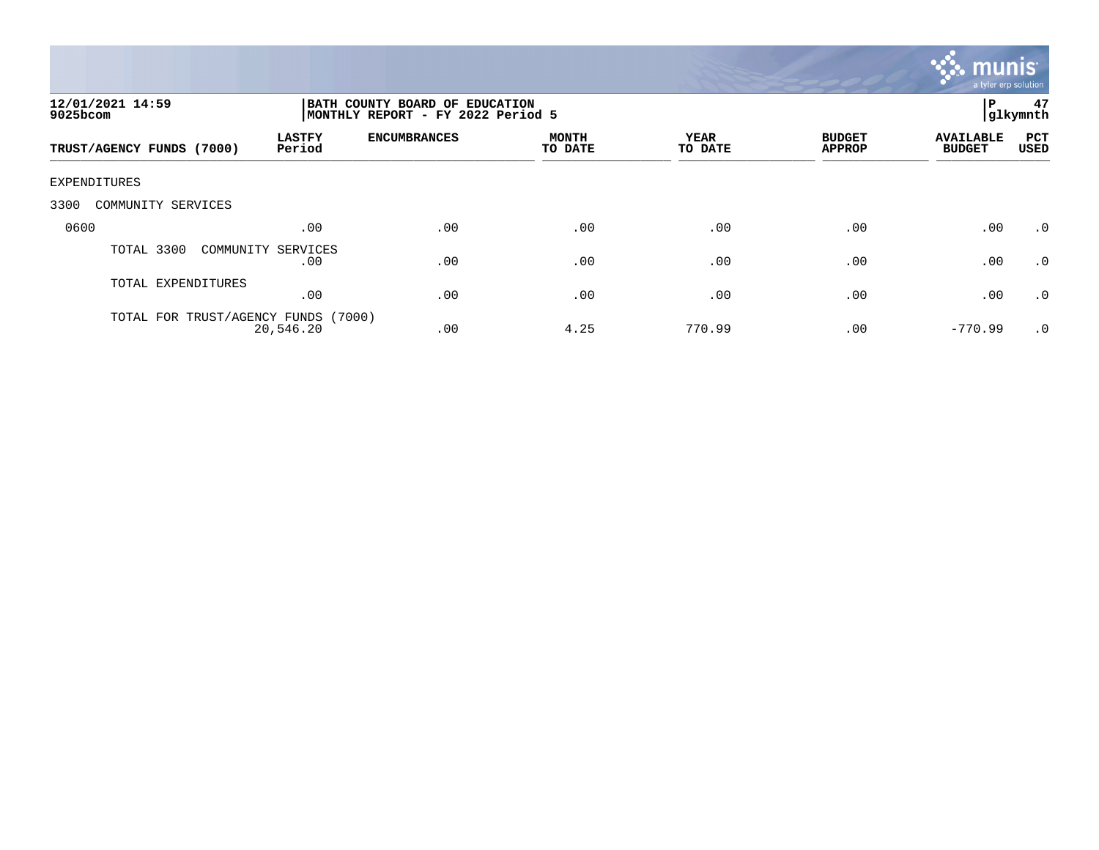

| 12/01/2021 14:59<br>9025bcom        |                           | P<br>BATH COUNTY BOARD OF EDUCATION<br>MONTHLY REPORT - FY 2022 Period 5<br> glkymnth |                         |                 |                                |                                   |                    |
|-------------------------------------|---------------------------|---------------------------------------------------------------------------------------|-------------------------|-----------------|--------------------------------|-----------------------------------|--------------------|
| TRUST/AGENCY FUNDS (7000)           | <b>LASTFY</b><br>Period   | <b>ENCUMBRANCES</b>                                                                   | <b>MONTH</b><br>TO DATE | YEAR<br>TO DATE | <b>BUDGET</b><br><b>APPROP</b> | <b>AVAILABLE</b><br><b>BUDGET</b> | PCT<br><b>USED</b> |
| <b>EXPENDITURES</b>                 |                           |                                                                                       |                         |                 |                                |                                   |                    |
| 3300<br>COMMUNITY SERVICES          |                           |                                                                                       |                         |                 |                                |                                   |                    |
| 0600                                | .00                       | .00                                                                                   | .00                     | .00             | .00                            | .00                               | $\cdot$ 0          |
| TOTAL 3300                          | COMMUNITY SERVICES<br>.00 | .00                                                                                   | .00                     | .00             | .00                            | .00                               | $\cdot$ 0          |
| TOTAL EXPENDITURES                  | .00                       | .00                                                                                   | .00                     | .00             | .00                            | .00                               | $\cdot$ 0          |
| TOTAL FOR TRUST/AGENCY FUNDS (7000) | 20,546.20                 | .00                                                                                   | 4.25                    | 770.99          | .00                            | $-770.99$                         | $\cdot$ 0          |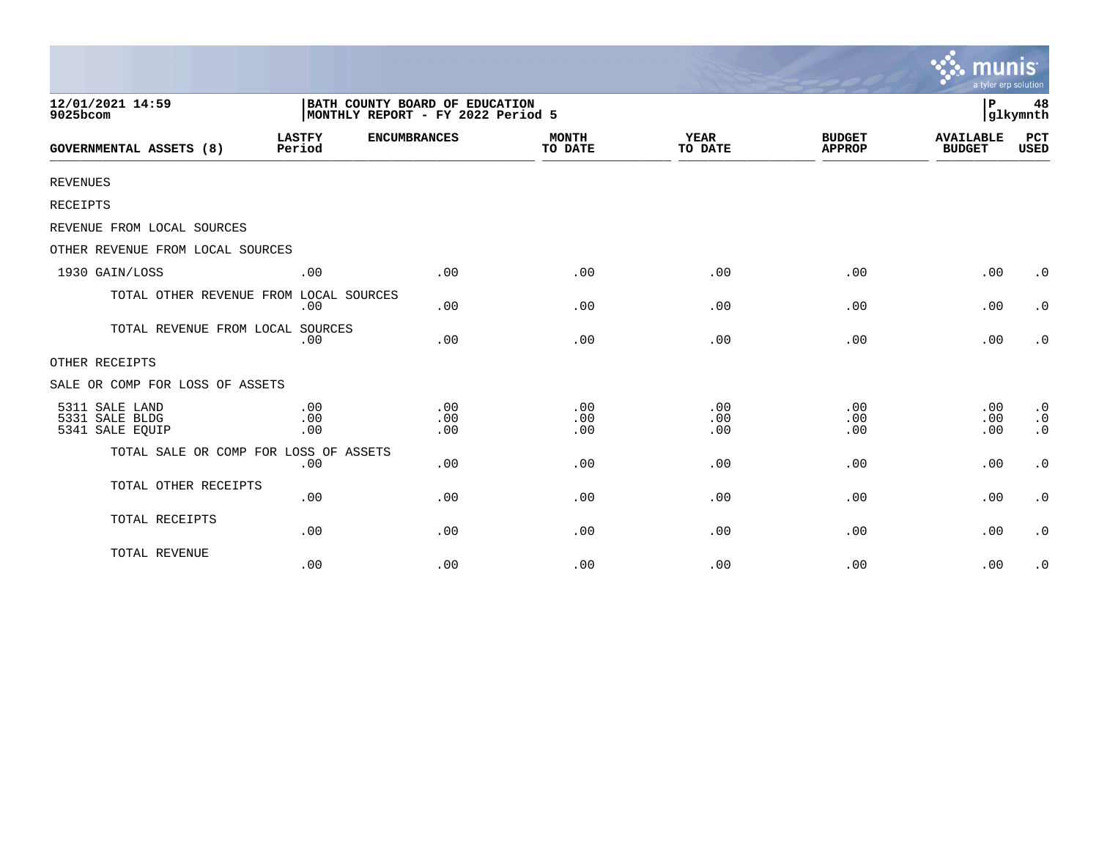|                                                     |                                                                     |                   |                         |                        |                                | munis<br>a tyler erp solution     |                                                  |
|-----------------------------------------------------|---------------------------------------------------------------------|-------------------|-------------------------|------------------------|--------------------------------|-----------------------------------|--------------------------------------------------|
| 12/01/2021 14:59<br>9025bcom                        | BATH COUNTY BOARD OF EDUCATION<br>MONTHLY REPORT - FY 2022 Period 5 |                   |                         |                        |                                |                                   | 48<br>glkymnth                                   |
| <b>GOVERNMENTAL ASSETS (8)</b>                      | <b>LASTFY</b><br><b>ENCUMBRANCES</b><br>Period                      |                   | <b>MONTH</b><br>TO DATE | <b>YEAR</b><br>TO DATE | <b>BUDGET</b><br><b>APPROP</b> | <b>AVAILABLE</b><br><b>BUDGET</b> | PCT<br><b>USED</b>                               |
| <b>REVENUES</b>                                     |                                                                     |                   |                         |                        |                                |                                   |                                                  |
| RECEIPTS                                            |                                                                     |                   |                         |                        |                                |                                   |                                                  |
| REVENUE FROM LOCAL SOURCES                          |                                                                     |                   |                         |                        |                                |                                   |                                                  |
| OTHER REVENUE FROM LOCAL SOURCES                    |                                                                     |                   |                         |                        |                                |                                   |                                                  |
| 1930 GAIN/LOSS                                      | .00                                                                 | .00               | .00                     | .00                    | .00                            | .00                               | $\cdot$ 0                                        |
| TOTAL OTHER REVENUE FROM LOCAL SOURCES              | .00                                                                 | .00               | .00                     | .00                    | .00                            | .00                               | $\cdot$ 0                                        |
| TOTAL REVENUE FROM LOCAL SOURCES                    | .00                                                                 | .00               | .00                     | .00                    | .00                            | .00                               | $\cdot$ 0                                        |
| OTHER RECEIPTS                                      |                                                                     |                   |                         |                        |                                |                                   |                                                  |
| SALE OR COMP FOR LOSS OF ASSETS                     |                                                                     |                   |                         |                        |                                |                                   |                                                  |
| 5311 SALE LAND<br>5331 SALE BLDG<br>5341 SALE EQUIP | .00<br>.00<br>.00                                                   | .00<br>.00<br>.00 | .00<br>.00<br>.00       | .00<br>.00<br>.00      | .00<br>.00<br>.00              | .00<br>.00<br>.00                 | $\boldsymbol{\cdot}$ 0<br>$\cdot$ 0<br>$\cdot$ 0 |
| TOTAL SALE OR COMP FOR LOSS OF ASSETS               | .00                                                                 | .00               | .00                     | .00                    | .00                            | .00                               | $\boldsymbol{\cdot}$ 0                           |
| TOTAL OTHER RECEIPTS                                | .00                                                                 | .00               | .00                     | .00                    | .00                            | .00                               | $\boldsymbol{\cdot}$ 0                           |
| TOTAL RECEIPTS                                      | .00                                                                 | .00               | .00                     | .00                    | .00                            | .00                               | $\cdot$ 0                                        |
| TOTAL REVENUE                                       | .00                                                                 | .00               | .00                     | .00                    | .00                            | .00                               | $\cdot$ 0                                        |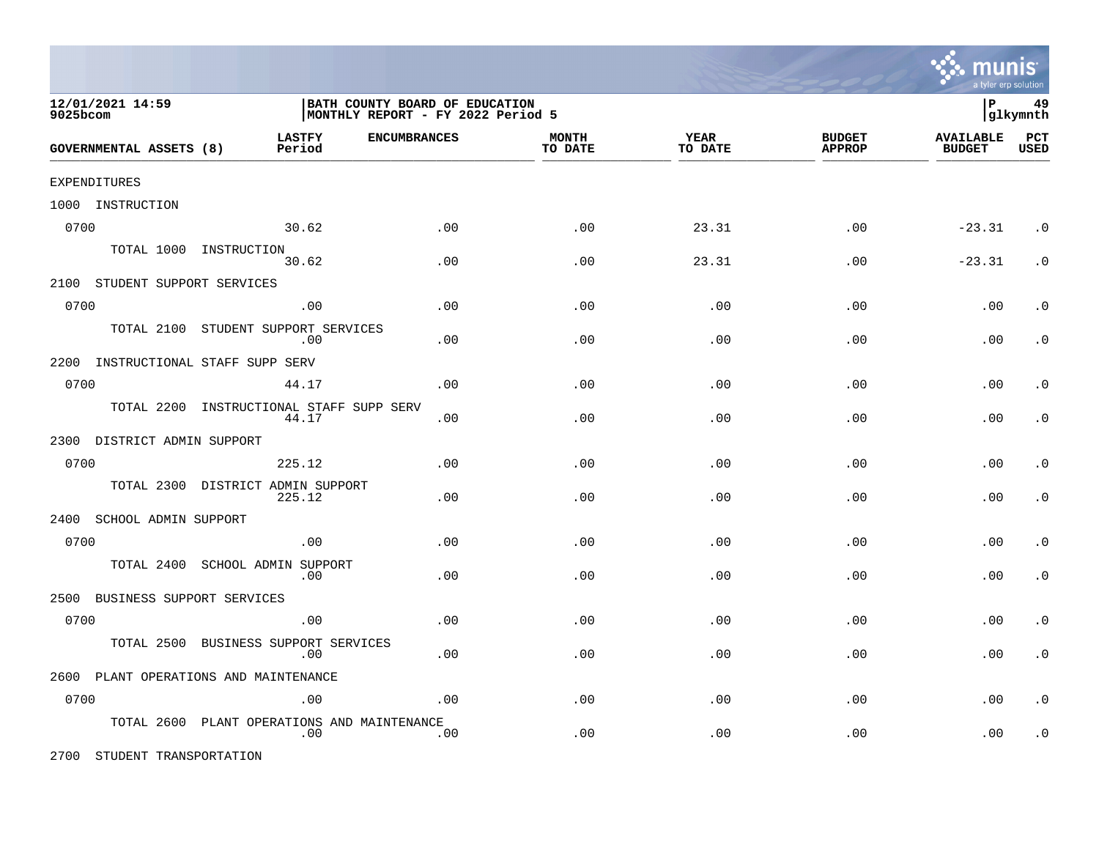

| 12/01/2021 14:59<br>9025bcom       |                                                | BATH COUNTY BOARD OF EDUCATION<br>MONTHLY REPORT - FY 2022 Period 5 |                         |                 |                                |                                   | 49<br> glkymnth    |
|------------------------------------|------------------------------------------------|---------------------------------------------------------------------|-------------------------|-----------------|--------------------------------|-----------------------------------|--------------------|
| GOVERNMENTAL ASSETS (8)            | <b>LASTFY</b><br><b>ENCUMBRANCES</b><br>Period |                                                                     | <b>MONTH</b><br>TO DATE | YEAR<br>TO DATE | <b>BUDGET</b><br><b>APPROP</b> | <b>AVAILABLE</b><br><b>BUDGET</b> | PCT<br><b>USED</b> |
| EXPENDITURES                       |                                                |                                                                     |                         |                 |                                |                                   |                    |
| 1000 INSTRUCTION                   |                                                |                                                                     |                         |                 |                                |                                   |                    |
| 0700                               | 30.62                                          | .00                                                                 | .00                     | 23.31           | .00                            | $-23.31$                          | $\cdot$ 0          |
|                                    | TOTAL 1000 INSTRUCTION<br>30.62                | .00                                                                 | .00                     | 23.31           | .00                            | $-23.31$                          | $\cdot$ 0          |
| 2100 STUDENT SUPPORT SERVICES      |                                                |                                                                     |                         |                 |                                |                                   |                    |
| 0700                               | .00                                            | .00                                                                 | .00                     | .00             | .00                            | .00                               | . $\boldsymbol{0}$ |
| TOTAL 2100                         | STUDENT SUPPORT SERVICES<br>.00                | .00                                                                 | .00                     | .00             | .00                            | .00                               | $\cdot$ 0          |
| 2200 INSTRUCTIONAL STAFF SUPP SERV |                                                |                                                                     |                         |                 |                                |                                   |                    |
| 0700                               | 44.17                                          | .00                                                                 | .00                     | .00             | .00                            | .00                               | $\cdot$ 0          |
| TOTAL 2200                         | INSTRUCTIONAL STAFF SUPP SERV<br>44.17         | .00                                                                 | .00                     | .00             | .00                            | .00                               | $\cdot$ 0          |
| 2300 DISTRICT ADMIN SUPPORT        |                                                |                                                                     |                         |                 |                                |                                   |                    |
| 0700                               | 225.12                                         | .00                                                                 | .00                     | .00             | .00                            | .00                               | $\cdot$ 0          |
| TOTAL 2300                         | DISTRICT ADMIN SUPPORT<br>225.12               | .00                                                                 | .00                     | .00             | .00                            | .00                               | $\cdot$ 0          |
| 2400 SCHOOL ADMIN SUPPORT          |                                                |                                                                     |                         |                 |                                |                                   |                    |
| 0700                               | .00                                            | .00                                                                 | .00                     | .00             | .00                            | .00                               | $\cdot$ 0          |
| TOTAL 2400                         | SCHOOL ADMIN SUPPORT<br>.00                    | .00                                                                 | .00                     | .00             | .00                            | .00                               | $\cdot$ 0          |
| 2500<br>BUSINESS SUPPORT SERVICES  |                                                |                                                                     |                         |                 |                                |                                   |                    |
| 0700                               | .00                                            | .00                                                                 | .00                     | .00             | .00                            | .00                               | $\cdot$ 0          |
| TOTAL 2500                         | BUSINESS SUPPORT SERVICES<br>.00               | .00                                                                 | .00                     | .00             | .00                            | .00                               | $\cdot$ 0          |
|                                    | 2600 PLANT OPERATIONS AND MAINTENANCE          |                                                                     |                         |                 |                                |                                   |                    |
| 0700                               | .00                                            | .00                                                                 | .00                     | .00             | .00                            | .00                               | $\cdot$ 0          |
| TOTAL 2600                         | PLANT OPERATIONS AND MAINTENANCE<br>.00        | .00                                                                 | .00                     | .00             | .00                            | .00                               | $\cdot$ 0          |

2700 STUDENT TRANSPORTATION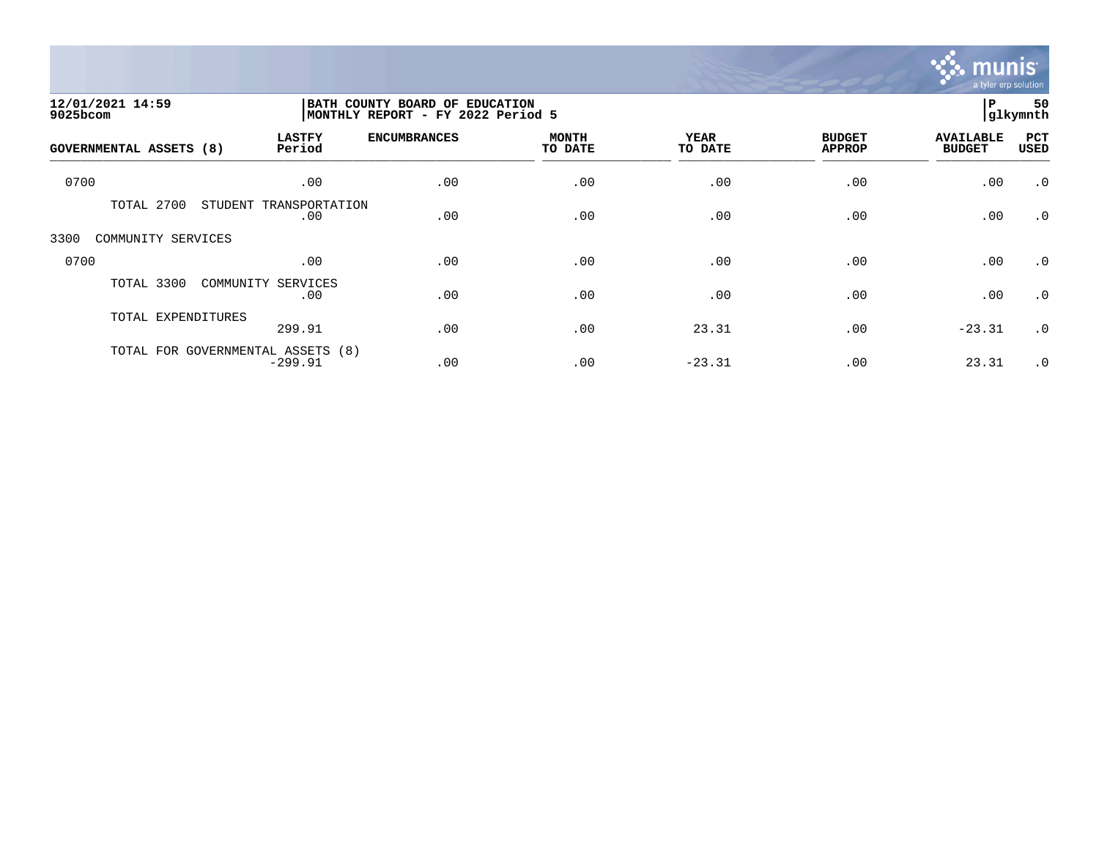

| 12/01/2021 14:59<br>9025bcom |                                                | BATH COUNTY BOARD OF EDUCATION<br>MONTHLY REPORT - FY 2022 Period 5 |                         |                        |                                |                                   |             |
|------------------------------|------------------------------------------------|---------------------------------------------------------------------|-------------------------|------------------------|--------------------------------|-----------------------------------|-------------|
| GOVERNMENTAL ASSETS (8)      | <b>LASTFY</b><br>Period                        | <b>ENCUMBRANCES</b>                                                 | <b>MONTH</b><br>TO DATE | <b>YEAR</b><br>TO DATE | <b>BUDGET</b><br><b>APPROP</b> | <b>AVAILABLE</b><br><b>BUDGET</b> | PCT<br>USED |
| 0700                         | .00                                            | .00                                                                 | .00                     | .00                    | .00                            | .00                               | $\cdot$ 0   |
| TOTAL 2700                   | STUDENT<br>TRANSPORTATION<br>.00               | .00                                                                 | .00                     | .00                    | .00                            | .00                               | $\cdot$ 0   |
| 3300<br>COMMUNITY SERVICES   |                                                |                                                                     |                         |                        |                                |                                   |             |
| 0700                         | .00                                            | .00                                                                 | .00                     | .00                    | .00                            | .00                               | $\cdot$ 0   |
| TOTAL 3300                   | COMMUNITY SERVICES<br>.00                      | .00                                                                 | .00                     | .00                    | .00                            | .00                               | $\cdot$ 0   |
| TOTAL EXPENDITURES           | 299.91                                         | .00                                                                 | .00                     | 23.31                  | .00                            | $-23.31$                          | $\cdot$ 0   |
|                              | TOTAL FOR GOVERNMENTAL ASSETS (8)<br>$-299.91$ | .00                                                                 | .00                     | $-23.31$               | .00                            | 23.31                             | $\cdot$ 0   |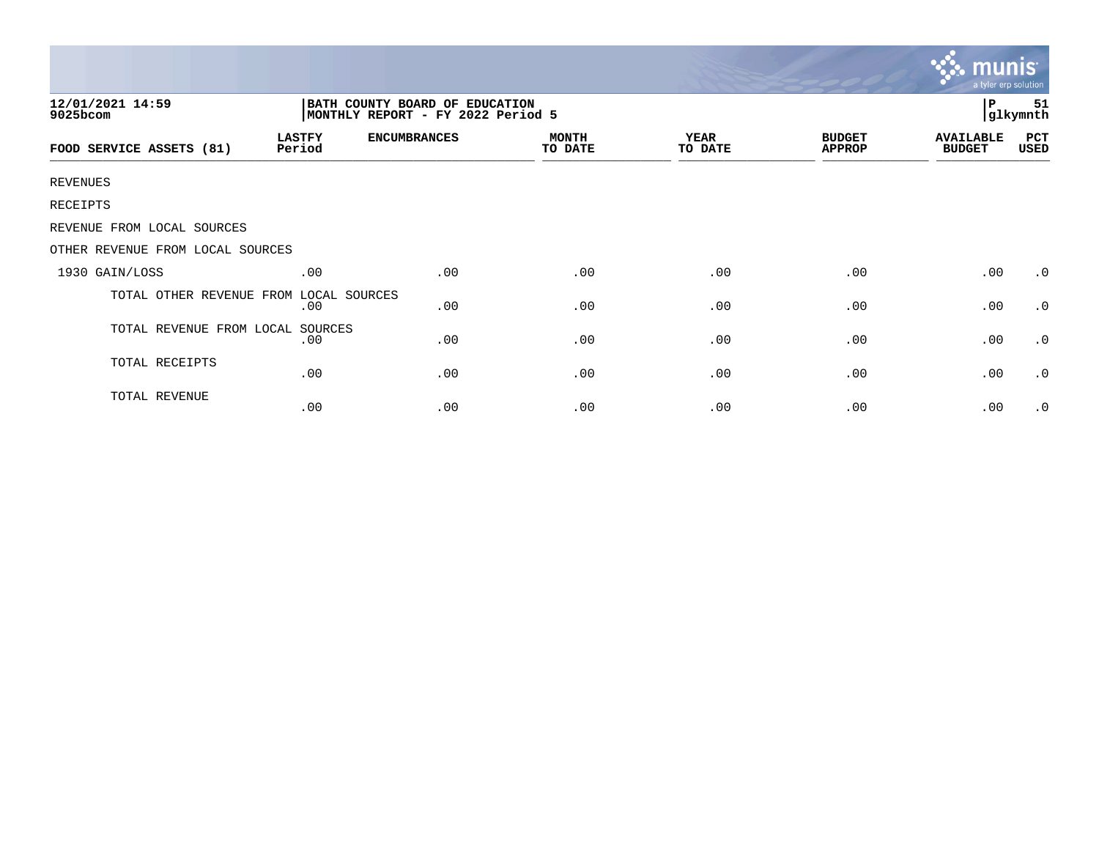|                                  |                                                                     |                     |                         |                        |                                | munis<br>a tyler erp solution     |                |
|----------------------------------|---------------------------------------------------------------------|---------------------|-------------------------|------------------------|--------------------------------|-----------------------------------|----------------|
| 12/01/2021 14:59<br>9025bcom     | BATH COUNTY BOARD OF EDUCATION<br>MONTHLY REPORT - FY 2022 Period 5 |                     |                         |                        |                                | P                                 | 51<br>glkymnth |
| FOOD SERVICE ASSETS (81)         | <b>LASTFY</b><br>Period                                             | <b>ENCUMBRANCES</b> | <b>MONTH</b><br>TO DATE | <b>YEAR</b><br>TO DATE | <b>BUDGET</b><br><b>APPROP</b> | <b>AVAILABLE</b><br><b>BUDGET</b> | PCT<br>USED    |
| <b>REVENUES</b>                  |                                                                     |                     |                         |                        |                                |                                   |                |
| RECEIPTS                         |                                                                     |                     |                         |                        |                                |                                   |                |
| REVENUE FROM LOCAL SOURCES       |                                                                     |                     |                         |                        |                                |                                   |                |
| OTHER REVENUE FROM LOCAL SOURCES |                                                                     |                     |                         |                        |                                |                                   |                |
| 1930 GAIN/LOSS                   | .00                                                                 | .00                 | .00                     | .00                    | .00                            | .00                               | $\cdot$ 0      |
| TOTAL OTHER REVENUE FROM         | LOCAL SOURCES<br>.00                                                | .00                 | .00                     | .00                    | .00                            | .00                               | $\cdot$ 0      |
| TOTAL REVENUE FROM LOCAL SOURCES | .00                                                                 | .00                 | .00                     | .00                    | .00                            | .00                               | $\cdot$ 0      |
| TOTAL RECEIPTS                   | .00                                                                 | .00                 | .00                     | .00                    | .00                            | .00                               | $\cdot$ 0      |
| TOTAL REVENUE                    | .00                                                                 | .00                 | .00                     | .00                    | .00                            | .00                               | $\cdot$ 0      |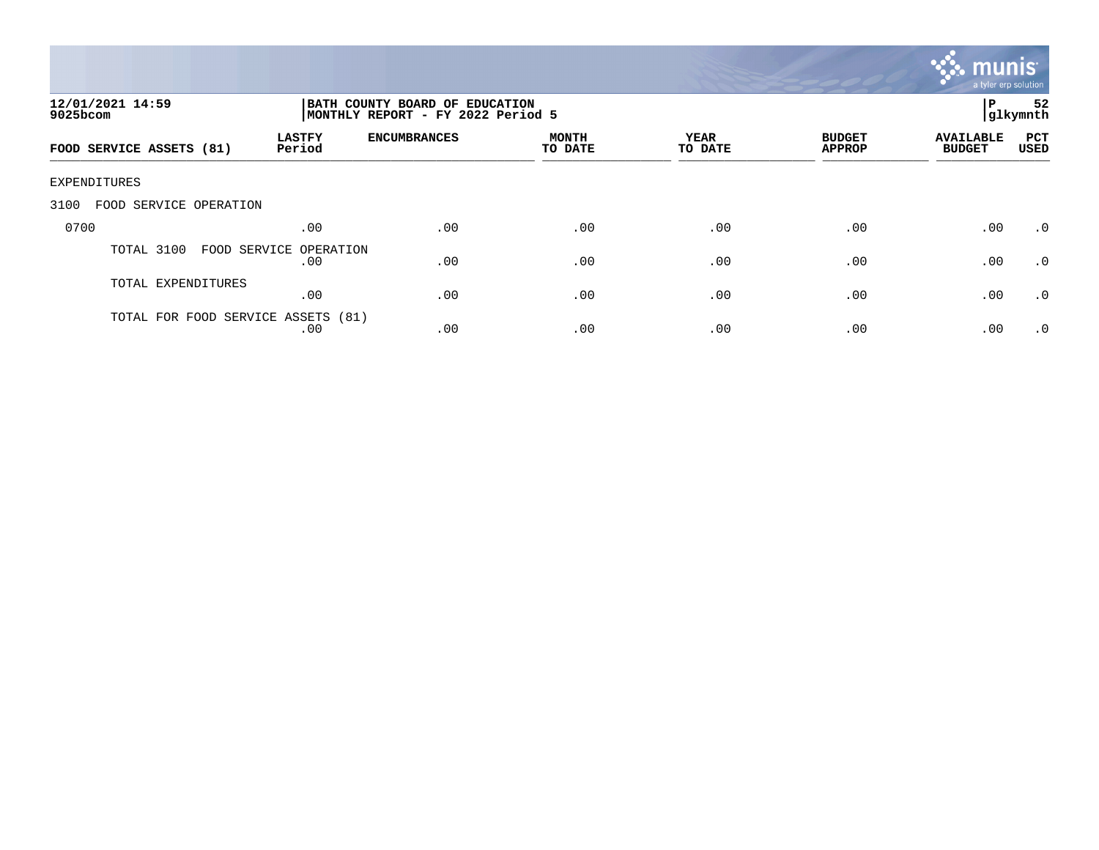

| 12/01/2021 14:59<br>$9025$ bcom    |                               | P<br>  BATH COUNTY BOARD OF EDUCATION<br> glkymnth<br>MONTHLY REPORT - FY 2022 Period 5 |                         |                 |                                |                                   |                    |  |
|------------------------------------|-------------------------------|-----------------------------------------------------------------------------------------|-------------------------|-----------------|--------------------------------|-----------------------------------|--------------------|--|
| FOOD SERVICE ASSETS (81)           | <b>LASTFY</b><br>Period       | <b>ENCUMBRANCES</b>                                                                     | <b>MONTH</b><br>TO DATE | YEAR<br>TO DATE | <b>BUDGET</b><br><b>APPROP</b> | <b>AVAILABLE</b><br><b>BUDGET</b> | PCT<br><b>USED</b> |  |
| EXPENDITURES                       |                               |                                                                                         |                         |                 |                                |                                   |                    |  |
| FOOD SERVICE OPERATION<br>3100     |                               |                                                                                         |                         |                 |                                |                                   |                    |  |
| 0700                               | .00                           | .00                                                                                     | .00                     | .00             | .00                            | .00                               | .0                 |  |
| TOTAL 3100                         | FOOD SERVICE OPERATION<br>.00 | .00                                                                                     | .00                     | .00             | .00                            | .00                               | .0                 |  |
| TOTAL EXPENDITURES                 | .00                           | .00                                                                                     | .00                     | .00             | .00                            | .00                               | .0                 |  |
| TOTAL FOR FOOD SERVICE ASSETS (81) | .00                           | .00                                                                                     | .00                     | .00             | .00                            | .00                               | .0                 |  |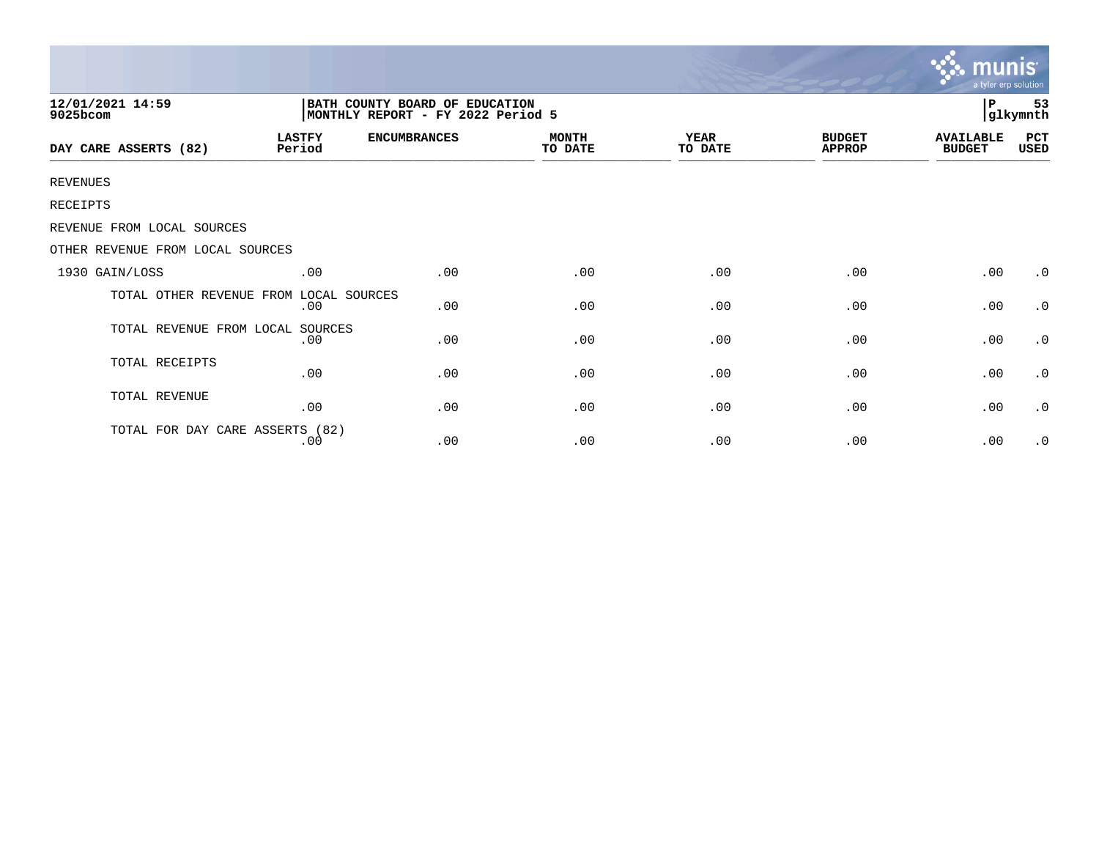|                                        |                                                                     |                     |                         |                        |                                | <u>munis </u><br>a tyler erp solution |                |
|----------------------------------------|---------------------------------------------------------------------|---------------------|-------------------------|------------------------|--------------------------------|---------------------------------------|----------------|
| 12/01/2021 14:59<br>9025bcom           | BATH COUNTY BOARD OF EDUCATION<br>MONTHLY REPORT - FY 2022 Period 5 |                     |                         |                        |                                | Р                                     | 53<br>glkymnth |
| DAY CARE ASSERTS (82)                  | <b>LASTFY</b><br>Period                                             | <b>ENCUMBRANCES</b> | <b>MONTH</b><br>TO DATE | <b>YEAR</b><br>TO DATE | <b>BUDGET</b><br><b>APPROP</b> | <b>AVAILABLE</b><br><b>BUDGET</b>     | PCT<br>USED    |
| <b>REVENUES</b>                        |                                                                     |                     |                         |                        |                                |                                       |                |
| <b>RECEIPTS</b>                        |                                                                     |                     |                         |                        |                                |                                       |                |
| REVENUE FROM LOCAL SOURCES             |                                                                     |                     |                         |                        |                                |                                       |                |
| OTHER REVENUE FROM LOCAL SOURCES       |                                                                     |                     |                         |                        |                                |                                       |                |
| 1930 GAIN/LOSS                         | .00                                                                 | .00                 | .00                     | .00                    | .00                            | .00                                   | $\cdot$ 0      |
| TOTAL OTHER REVENUE FROM LOCAL SOURCES | .00                                                                 | .00                 | .00                     | .00                    | .00                            | .00                                   | $\cdot$ 0      |
| TOTAL REVENUE FROM LOCAL SOURCES       | .00                                                                 | .00                 | .00                     | .00                    | .00                            | .00                                   | $\cdot$ 0      |
| TOTAL RECEIPTS                         | .00                                                                 | .00                 | .00                     | .00                    | .00                            | .00                                   | $\cdot$ 0      |
| TOTAL REVENUE                          | .00                                                                 | .00                 | .00                     | .00                    | .00                            | .00                                   | $\cdot$ 0      |
| TOTAL FOR DAY CARE ASSERTS (82)        | .00                                                                 | .00                 | .00                     | .00                    | .00                            | .00                                   | $\cdot$ 0      |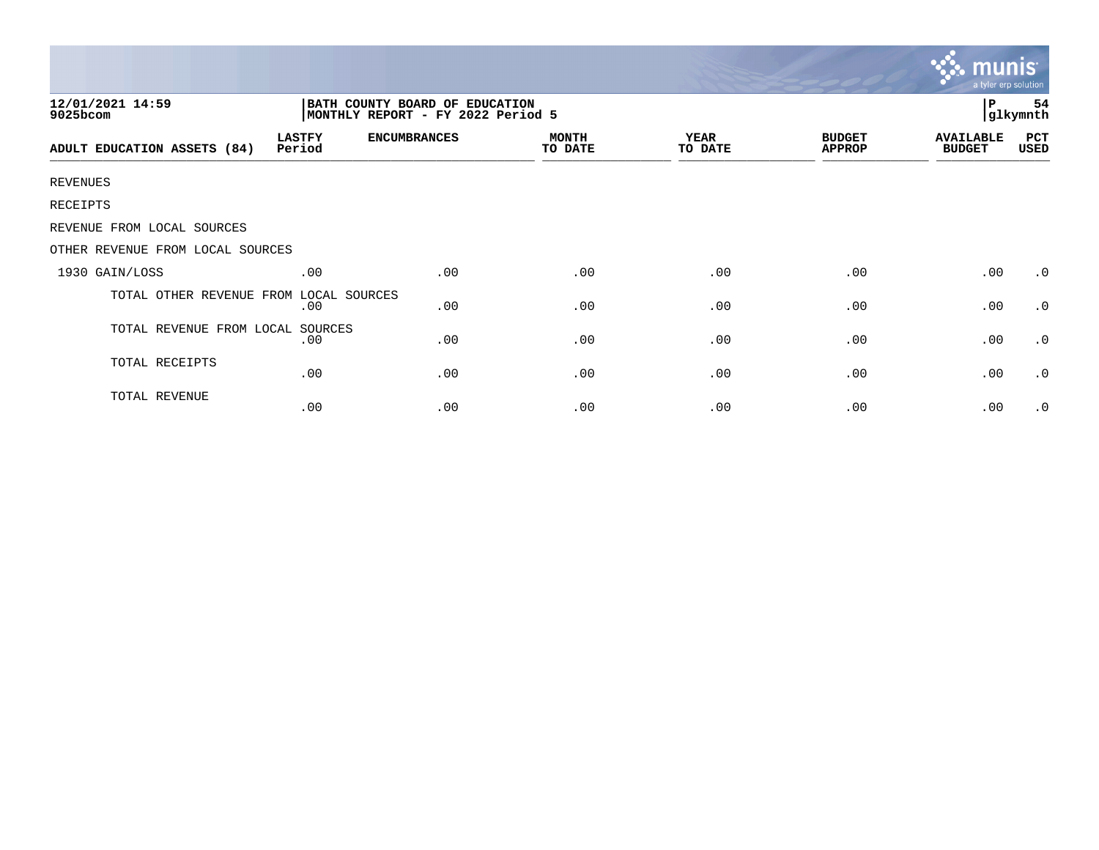|                                  |                                                                     |                     |                         |                        |                                | munis<br>a tyler erp solution     |                |
|----------------------------------|---------------------------------------------------------------------|---------------------|-------------------------|------------------------|--------------------------------|-----------------------------------|----------------|
| 12/01/2021 14:59<br>9025bcom     | BATH COUNTY BOARD OF EDUCATION<br>MONTHLY REPORT - FY 2022 Period 5 |                     |                         |                        |                                | P                                 | 54<br>glkymnth |
| ADULT EDUCATION ASSETS (84)      | <b>LASTFY</b><br>Period                                             | <b>ENCUMBRANCES</b> | <b>MONTH</b><br>TO DATE | <b>YEAR</b><br>TO DATE | <b>BUDGET</b><br><b>APPROP</b> | <b>AVAILABLE</b><br><b>BUDGET</b> | PCT<br>USED    |
| <b>REVENUES</b>                  |                                                                     |                     |                         |                        |                                |                                   |                |
| RECEIPTS                         |                                                                     |                     |                         |                        |                                |                                   |                |
| REVENUE FROM LOCAL SOURCES       |                                                                     |                     |                         |                        |                                |                                   |                |
| OTHER REVENUE FROM LOCAL SOURCES |                                                                     |                     |                         |                        |                                |                                   |                |
| 1930 GAIN/LOSS                   | .00                                                                 | .00                 | .00                     | .00                    | .00                            | .00                               | $\cdot$ 0      |
| TOTAL OTHER REVENUE FROM         | LOCAL SOURCES<br>.00                                                | .00                 | .00                     | .00                    | .00                            | .00                               | $\cdot$ 0      |
| TOTAL REVENUE FROM LOCAL SOURCES | .00                                                                 | .00                 | .00                     | .00                    | .00                            | .00                               | $\cdot$ 0      |
| TOTAL RECEIPTS                   | .00                                                                 | .00                 | .00                     | .00                    | .00                            | .00                               | $\cdot$ 0      |
| TOTAL REVENUE                    | .00                                                                 | .00                 | .00                     | .00                    | .00                            | .00                               | $\cdot$ 0      |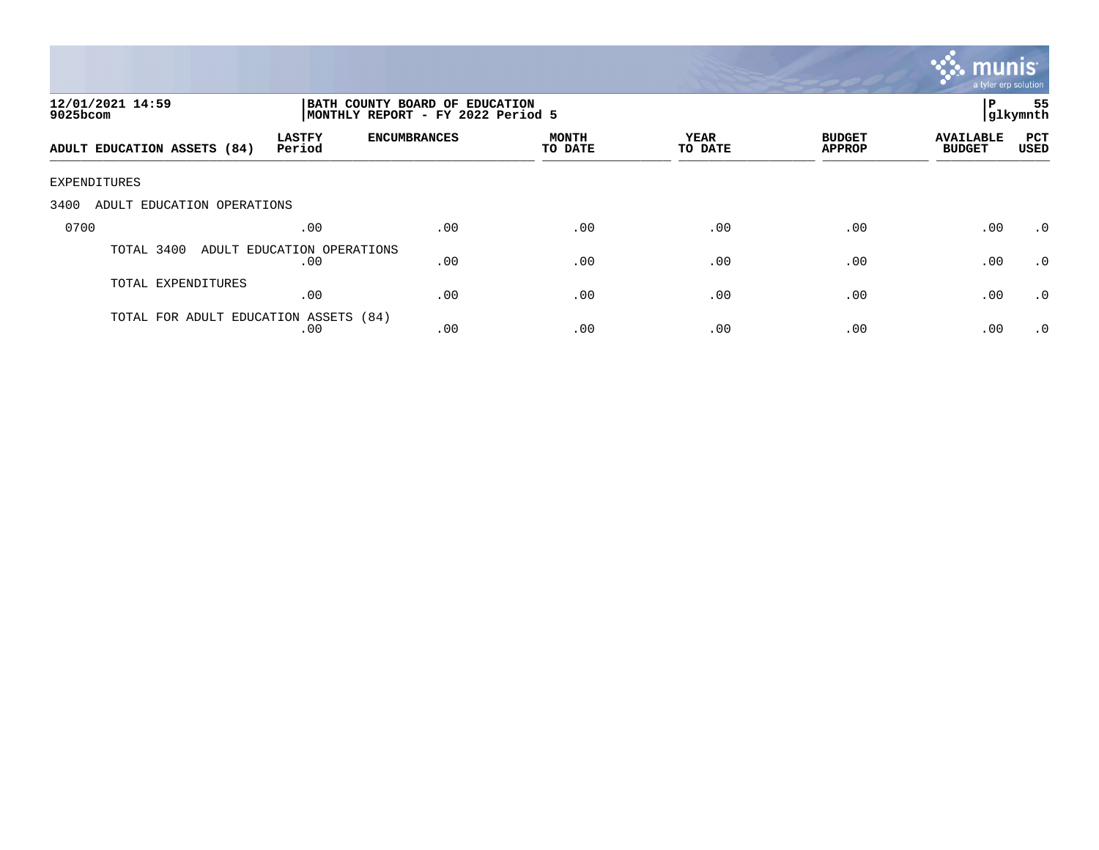

| 12/01/2021 14:59<br>9025bcom          |                                   | BATH COUNTY BOARD OF EDUCATION<br>MONTHLY REPORT - FY 2022 Period 5 |                         |                 |                                |                                   | 55<br> glkymnth    |
|---------------------------------------|-----------------------------------|---------------------------------------------------------------------|-------------------------|-----------------|--------------------------------|-----------------------------------|--------------------|
| ADULT EDUCATION ASSETS (84)           | <b>LASTFY</b><br>Period           | <b>ENCUMBRANCES</b>                                                 | <b>MONTH</b><br>TO DATE | YEAR<br>TO DATE | <b>BUDGET</b><br><b>APPROP</b> | <b>AVAILABLE</b><br><b>BUDGET</b> | PCT<br><b>USED</b> |
| EXPENDITURES                          |                                   |                                                                     |                         |                 |                                |                                   |                    |
| 3400<br>ADULT EDUCATION OPERATIONS    |                                   |                                                                     |                         |                 |                                |                                   |                    |
| 0700                                  | .00                               | .00                                                                 | .00                     | .00             | .00                            | .00                               | $\cdot$ 0          |
| TOTAL 3400                            | ADULT EDUCATION OPERATIONS<br>.00 | .00                                                                 | .00                     | .00             | .00                            | .00                               | $\cdot$ 0          |
| TOTAL EXPENDITURES                    | .00                               | .00                                                                 | .00                     | .00             | .00                            | .00                               | .0                 |
| TOTAL FOR ADULT EDUCATION ASSETS (84) | .00                               | .00                                                                 | .00                     | .00             | .00                            | .00                               | $\cdot$ 0          |